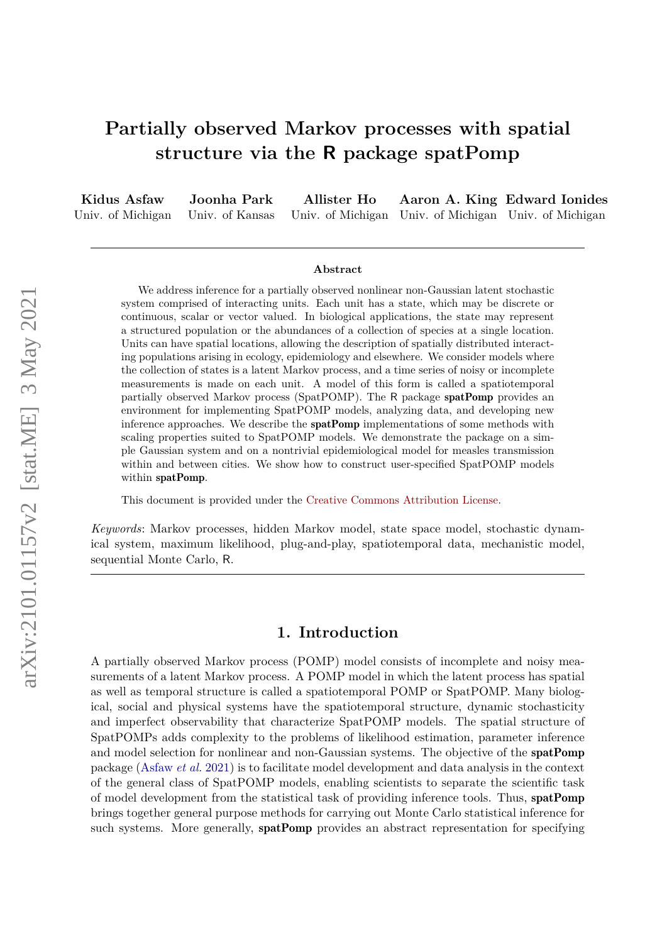# **Partially observed Markov processes with spatial structure via the R package spatPomp**

**Kidus Asfaw** Univ. of Michigan **Joonha Park** Univ. of Kansas **Allister Ho** Univ. of Michigan Univ. of Michigan Univ. of Michigan **Aaron A. King Edward Ionides**

#### **Abstract**

We address inference for a partially observed nonlinear non-Gaussian latent stochastic system comprised of interacting units. Each unit has a state, which may be discrete or continuous, scalar or vector valued. In biological applications, the state may represent a structured population or the abundances of a collection of species at a single location. Units can have spatial locations, allowing the description of spatially distributed interacting populations arising in ecology, epidemiology and elsewhere. We consider models where the collection of states is a latent Markov process, and a time series of noisy or incomplete measurements is made on each unit. A model of this form is called a spatiotemporal partially observed Markov process (SpatPOMP). The R package spatPomp provides an environment for implementing SpatPOMP models, analyzing data, and developing new inference approaches. We describe the spatPomp implementations of some methods with scaling properties suited to SpatPOMP models. We demonstrate the package on a simple Gaussian system and on a nontrivial epidemiological model for measles transmission within and between cities. We show how to construct user-specified SpatPOMP models within spatPomp.

This document is provided under the [Creative Commons Attribution License.](http://creativecommons.org/licenses/by/3.0/)

*Keywords*: Markov processes, hidden Markov model, state space model, stochastic dynamical system, maximum likelihood, plug-and-play, spatiotemporal data, mechanistic model, sequential Monte Carlo, R.

# **1. Introduction**

A partially observed Markov process (POMP) model consists of incomplete and noisy measurements of a latent Markov process. A POMP model in which the latent process has spatial as well as temporal structure is called a spatiotemporal POMP or SpatPOMP. Many biological, social and physical systems have the spatiotemporal structure, dynamic stochasticity and imperfect observability that characterize SpatPOMP models. The spatial structure of SpatPOMPs adds complexity to the problems of likelihood estimation, parameter inference and model selection for nonlinear and non-Gaussian systems. The objective of the spatPomp package [\(Asfaw](#page-42-0) *et al.* [2021\)](#page-42-0) is to facilitate model development and data analysis in the context of the general class of SpatPOMP models, enabling scientists to separate the scientific task of model development from the statistical task of providing inference tools. Thus, spatPomp brings together general purpose methods for carrying out Monte Carlo statistical inference for such systems. More generally, **spatPomp** provides an abstract representation for specifying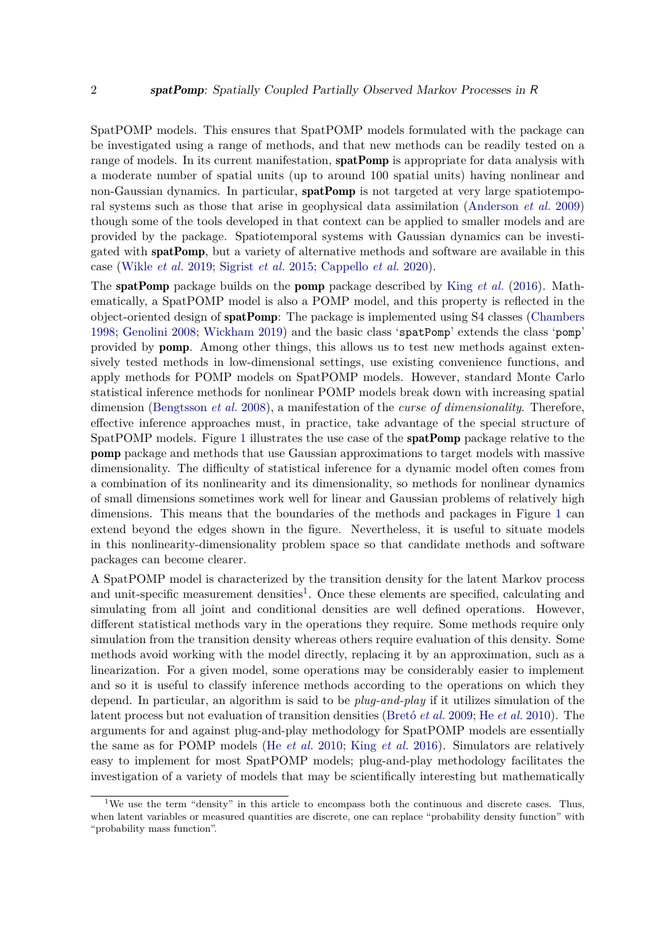SpatPOMP models. This ensures that SpatPOMP models formulated with the package can be investigated using a range of methods, and that new methods can be readily tested on a range of models. In its current manifestation, **spatPomp** is appropriate for data analysis with a moderate number of spatial units (up to around 100 spatial units) having nonlinear and non-Gaussian dynamics. In particular, **spatPomp** is not targeted at very large spatiotemporal systems such as those that arise in geophysical data assimilation [\(Anderson](#page-42-1) *et al.* [2009\)](#page-42-1) though some of the tools developed in that context can be applied to smaller models and are provided by the package. Spatiotemporal systems with Gaussian dynamics can be investigated with spatPomp, but a variety of alternative methods and software are available in this case [\(Wikle](#page-47-0) *et al.* [2019;](#page-47-0) [Sigrist](#page-46-0) *et al.* [2015;](#page-46-0) [Cappello](#page-44-0) *et al.* [2020\)](#page-44-0).

The spatPomp package builds on the pomp package described by King *[et al.](#page-45-0)* [\(2016\)](#page-45-0). Mathematically, a SpatPOMP model is also a POMP model, and this property is reflected in the object-oriented design of spatPomp: The package is implemented using S4 classes [\(Chambers](#page-44-1) [1998;](#page-44-1) [Genolini](#page-44-2) [2008;](#page-44-2) [Wickham](#page-47-1) [2019\)](#page-47-1) and the basic class 'spatPomp' extends the class 'pomp' provided by pomp. Among other things, this allows us to test new methods against extensively tested methods in low-dimensional settings, use existing convenience functions, and apply methods for POMP models on SpatPOMP models. However, standard Monte Carlo statistical inference methods for nonlinear POMP models break down with increasing spatial dimension [\(Bengtsson](#page-43-0) *et al.* [2008\)](#page-43-0), a manifestation of the *curse of dimensionality*. Therefore, effective inference approaches must, in practice, take advantage of the special structure of SpatPOMP models. Figure [1](#page-2-0) illustrates the use case of the spatPomp package relative to the pomp package and methods that use Gaussian approximations to target models with massive dimensionality. The difficulty of statistical inference for a dynamic model often comes from a combination of its nonlinearity and its dimensionality, so methods for nonlinear dynamics of small dimensions sometimes work well for linear and Gaussian problems of relatively high dimensions. This means that the boundaries of the methods and packages in Figure [1](#page-2-0) can extend beyond the edges shown in the figure. Nevertheless, it is useful to situate models in this nonlinearity-dimensionality problem space so that candidate methods and software packages can become clearer.

A SpatPOMP model is characterized by the transition density for the latent Markov process and unit-specific measurement densities<sup>[1](#page-1-0)</sup>. Once these elements are specified, calculating and simulating from all joint and conditional densities are well defined operations. However, different statistical methods vary in the operations they require. Some methods require only simulation from the transition density whereas others require evaluation of this density. Some methods avoid working with the model directly, replacing it by an approximation, such as a linearization. For a given model, some operations may be considerably easier to implement and so it is useful to classify inference methods according to the operations on which they depend. In particular, an algorithm is said to be *plug-and-play* if it utilizes simulation of the latent process but not evaluation of transition densities [\(Bretó](#page-43-1) *et al.* [2009;](#page-43-1) He *[et al.](#page-45-1)* [2010\)](#page-45-1). The arguments for and against plug-and-play methodology for SpatPOMP models are essentially the same as for POMP models (He *[et al.](#page-45-1)* [2010;](#page-45-1) King *[et al.](#page-45-0)* [2016\)](#page-45-0). Simulators are relatively easy to implement for most SpatPOMP models; plug-and-play methodology facilitates the investigation of a variety of models that may be scientifically interesting but mathematically

<span id="page-1-0"></span><sup>&</sup>lt;sup>1</sup>We use the term "density" in this article to encompass both the continuous and discrete cases. Thus, when latent variables or measured quantities are discrete, one can replace "probability density function" with "probability mass function".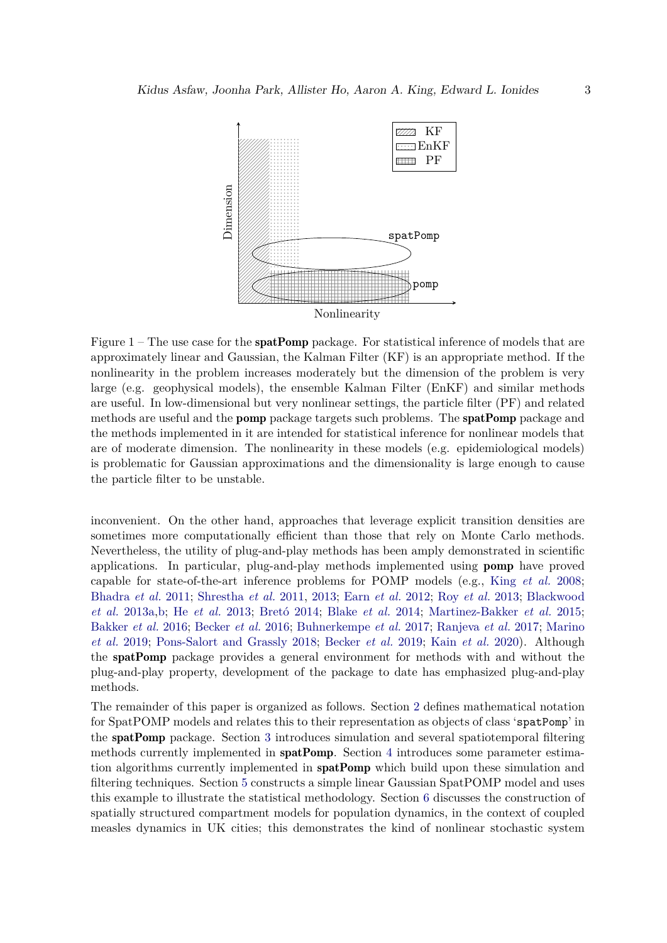<span id="page-2-0"></span>

Figure  $1$  – The use case for the **spatPomp** package. For statistical inference of models that are approximately linear and Gaussian, the Kalman Filter (KF) is an appropriate method. If the nonlinearity in the problem increases moderately but the dimension of the problem is very large (e.g. geophysical models), the ensemble Kalman Filter (EnKF) and similar methods are useful. In low-dimensional but very nonlinear settings, the particle filter (PF) and related methods are useful and the pomp package targets such problems. The spatPomp package and the methods implemented in it are intended for statistical inference for nonlinear models that are of moderate dimension. The nonlinearity in these models (e.g. epidemiological models) is problematic for Gaussian approximations and the dimensionality is large enough to cause the particle filter to be unstable.

inconvenient. On the other hand, approaches that leverage explicit transition densities are sometimes more computationally efficient than those that rely on Monte Carlo methods. Nevertheless, the utility of plug-and-play methods has been amply demonstrated in scientific applications. In particular, plug-and-play methods implemented using pomp have proved capable for state-of-the-art inference problems for POMP models (e.g., King *[et al.](#page-45-2)* [2008;](#page-45-2) [Bhadra](#page-43-2) *et al.* [2011;](#page-43-2) [Shrestha](#page-46-1) *et al.* [2011,](#page-46-1) [2013;](#page-46-2) Earn *[et al.](#page-44-3)* [2012;](#page-44-3) Roy *[et al.](#page-46-3)* [2013;](#page-46-3) [Blackwood](#page-43-3) *[et al.](#page-43-3)* [2013a](#page-43-3)[,b;](#page-43-4) He *[et al.](#page-44-4)* [2013;](#page-44-4) [Bretó](#page-43-5) [2014;](#page-43-5) [Blake](#page-43-6) *et al.* [2014;](#page-43-6) [Martinez-Bakker](#page-46-4) *et al.* [2015;](#page-46-4) [Bakker](#page-42-2) *et al.* [2016;](#page-42-2) [Becker](#page-43-7) *et al.* [2016;](#page-43-7) [Buhnerkempe](#page-44-5) *et al.* [2017;](#page-44-5) [Ranjeva](#page-46-5) *et al.* [2017;](#page-46-5) [Marino](#page-46-6) *[et al.](#page-46-6)* [2019;](#page-46-6) [Pons-Salort and Grassly](#page-46-7) [2018;](#page-46-7) [Becker](#page-43-8) *et al.* [2019;](#page-43-8) Kain *[et al.](#page-45-3)* [2020\)](#page-45-3). Although the spatPomp package provides a general environment for methods with and without the plug-and-play property, development of the package to date has emphasized plug-and-play methods.

The remainder of this paper is organized as follows. Section [2](#page-3-0) defines mathematical notation for SpatPOMP models and relates this to their representation as objects of class 'spatPomp' in the spatPomp package. Section [3](#page-9-0) introduces simulation and several spatiotemporal filtering methods currently implemented in spatPomp. Section [4](#page-16-0) introduces some parameter estimation algorithms currently implemented in **spatPomp** which build upon these simulation and filtering techniques. Section [5](#page-21-0) constructs a simple linear Gaussian SpatPOMP model and uses this example to illustrate the statistical methodology. Section [6](#page-29-0) discusses the construction of spatially structured compartment models for population dynamics, in the context of coupled measles dynamics in UK cities; this demonstrates the kind of nonlinear stochastic system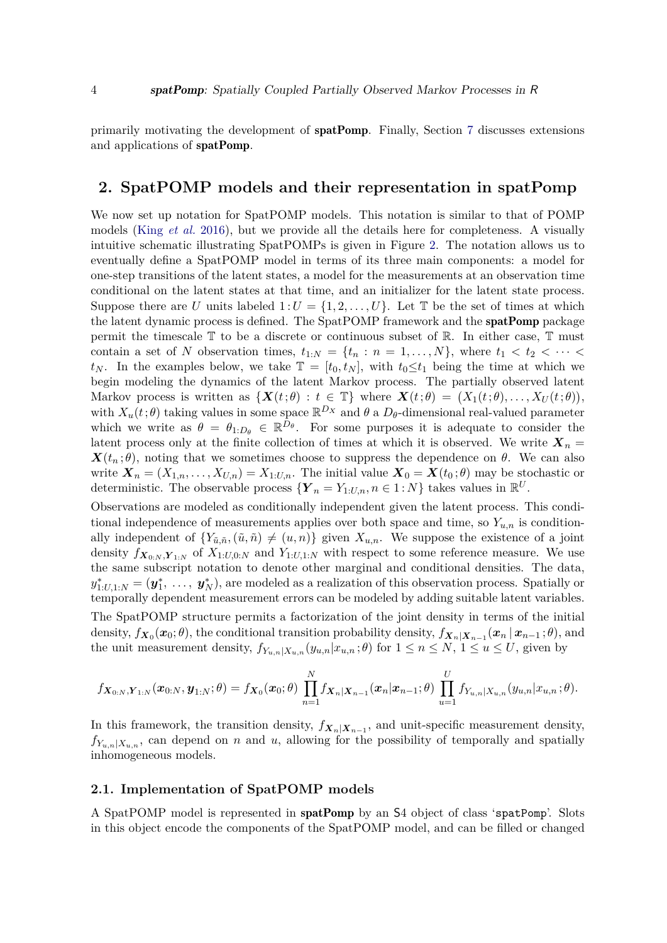primarily motivating the development of spatPomp. Finally, Section [7](#page-41-0) discusses extensions and applications of spatPomp.

# <span id="page-3-0"></span>**2. SpatPOMP models and their representation in spatPomp**

We now set up notation for SpatPOMP models. This notation is similar to that of POMP models (King *[et al.](#page-45-0)* [2016\)](#page-45-0), but we provide all the details here for completeness. A visually intuitive schematic illustrating SpatPOMPs is given in Figure [2.](#page-4-0) The notation allows us to eventually define a SpatPOMP model in terms of its three main components: a model for one-step transitions of the latent states, a model for the measurements at an observation time conditional on the latent states at that time, and an initializer for the latent state process. Suppose there are *U* units labeled  $1:U = \{1, 2, \ldots, U\}$ . Let T be the set of times at which the latent dynamic process is defined. The SpatPOMP framework and the **spatPomp** package permit the timescale T to be a discrete or continuous subset of R. In either case, T must contain a set of *N* observation times,  $t_{1:N} = \{t_n : n = 1, \ldots, N\}$ , where  $t_1 < t_2 < \cdots <$ *t<sub>N</sub>*. In the examples below, we take  $\mathbb{T} = [t_0, t_N]$ , with  $t_0 \le t_1$  being the time at which we begin modeling the dynamics of the latent Markov process. The partially observed latent Markov process is written as  $\{X(t;\theta): t \in \mathbb{T}\}\$  where  $X(t;\theta) = (X_1(t;\theta), \ldots, X_U(t;\theta)),$ with  $X_u(t;\theta)$  taking values in some space  $\mathbb{R}^{D_X}$  and  $\theta$  a  $D_{\theta}$ -dimensional real-valued parameter which we write as  $\theta = \theta_{1:D_{\theta}} \in \mathbb{R}^{D_{\theta}}$ . For some purposes it is adequate to consider the latent process only at the finite collection of times at which it is observed. We write  $X_n =$  $\mathbf{X}(t_n;\theta)$ , noting that we sometimes choose to suppress the dependence on  $\theta$ . We can also write  $\mathbf{X}_n = (X_{1,n}, \ldots, X_{U,n}) = X_{1:U,n}$ . The initial value  $\mathbf{X}_0 = \mathbf{X}(t_0; \theta)$  may be stochastic or deterministic. The observable process  $\{Y_n = Y_{1:U,n}, n \in 1:N\}$  takes values in  $\mathbb{R}^U$ .

Observations are modeled as conditionally independent given the latent process. This conditional independence of measurements applies over both space and time, so  $Y_{u,n}$  is conditionally independent of  $\{Y_{\tilde{u},\tilde{n}},(\tilde{u},\tilde{n})\neq(u,n)\}\$ given  $X_{u,n}$ . We suppose the existence of a joint density  $f_{\mathbf{X}_{0:N},\mathbf{Y}_{1:N}}$  of  $X_{1:U,0:N}$  and  $Y_{1:U,1:N}$  with respect to some reference measure. We use the same subscript notation to denote other marginal and conditional densities. The data,  $y_{1:U,1:N}^* = (\mathbf{y}_1^*, \ldots, \mathbf{y}_N^*)$ , are modeled as a realization of this observation process. Spatially or temporally dependent measurement errors can be modeled by adding suitable latent variables.

The SpatPOMP structure permits a factorization of the joint density in terms of the initial  $\alpha$  density,  $f_{\boldsymbol{X}_0}(\boldsymbol{x}_0;\theta)$ , the conditional transition probability density,  $f_{\boldsymbol{X}_n|\boldsymbol{X}_{n-1}}(\boldsymbol{x}_n | \boldsymbol{x}_{n-1};\theta)$ , and the unit measurement density,  $f_{Y_{u,n}|X_{u,n}}(y_{u,n}|x_{u,n};\theta)$  for  $1 \leq n \leq N$ ,  $1 \leq u \leq U$ , given by

$$
f_{\boldsymbol{X}_{0:N},\boldsymbol{Y}_{1:N}}(\boldsymbol{x}_{0:N},\boldsymbol{y}_{1:N};\theta) = f_{\boldsymbol{X}_0}(\boldsymbol{x}_0;\theta)\, \prod_{n=1}^N f_{\boldsymbol{X}_n|\boldsymbol{X}_{n-1}}(\boldsymbol{x}_n|\boldsymbol{x}_{n-1};\theta)\, \prod_{u=1}^U f_{Y_{u,n}|X_{u,n}}(y_{u,n}|x_{u,n};\theta).
$$

In this framework, the transition density,  $f_{X_n|X_{n-1}}$ , and unit-specific measurement density,  $f_{Y_{u,n}|X_{u,n}}$ , can depend on *n* and *u*, allowing for the possibility of temporally and spatially inhomogeneous models.

# **2.1. Implementation of SpatPOMP models**

A SpatPOMP model is represented in spatPomp by an S4 object of class 'spatPomp'. Slots in this object encode the components of the SpatPOMP model, and can be filled or changed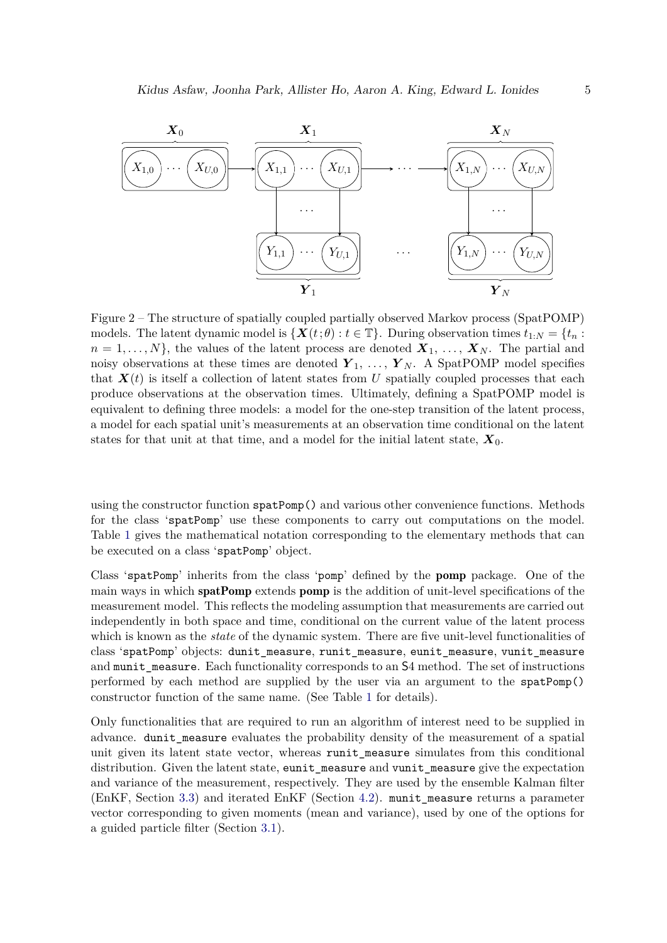<span id="page-4-0"></span>

Figure 2 – The structure of spatially coupled partially observed Markov process (SpatPOMP) models. The latent dynamic model is  $\{X(t;\theta): t \in \mathbb{T}\}\)$ . During observation times  $t_{1:N} = \{t_n:$  $n = 1, \ldots, N$ , the values of the latent process are denoted  $X_1, \ldots, X_N$ . The partial and noisy observations at these times are denoted  $Y_1, \ldots, Y_N$ . A SpatPOMP model specifies that  $\mathbf{X}(t)$  is itself a collection of latent states from U spatially coupled processes that each produce observations at the observation times. Ultimately, defining a SpatPOMP model is equivalent to defining three models: a model for the one-step transition of the latent process, a model for each spatial unit's measurements at an observation time conditional on the latent states for that unit at that time, and a model for the initial latent state, *X*0.

using the constructor function spatPomp() and various other convenience functions. Methods for the class 'spatPomp' use these components to carry out computations on the model. Table [1](#page-5-0) gives the mathematical notation corresponding to the elementary methods that can be executed on a class 'spatPomp' object.

Class 'spatPomp' inherits from the class 'pomp' defined by the pomp package. One of the main ways in which **spatPomp** extends **pomp** is the addition of unit-level specifications of the measurement model. This reflects the modeling assumption that measurements are carried out independently in both space and time, conditional on the current value of the latent process which is known as the *state* of the dynamic system. There are five unit-level functionalities of class 'spatPomp' objects: dunit\_measure, runit\_measure, eunit\_measure, vunit\_measure and munit\_measure. Each functionality corresponds to an S4 method. The set of instructions performed by each method are supplied by the user via an argument to the spatPomp() constructor function of the same name. (See Table [1](#page-5-0) for details).

Only functionalities that are required to run an algorithm of interest need to be supplied in advance. dunit\_measure evaluates the probability density of the measurement of a spatial unit given its latent state vector, whereas runit measure simulates from this conditional distribution. Given the latent state, eunit\_measure and vunit\_measure give the expectation and variance of the measurement, respectively. They are used by the ensemble Kalman filter (EnKF, Section [3.3\)](#page-13-0) and iterated EnKF (Section [4.2\)](#page-18-0). munit\_measure returns a parameter vector corresponding to given moments (mean and variance), used by one of the options for a guided particle filter (Section [3.1\)](#page-9-1).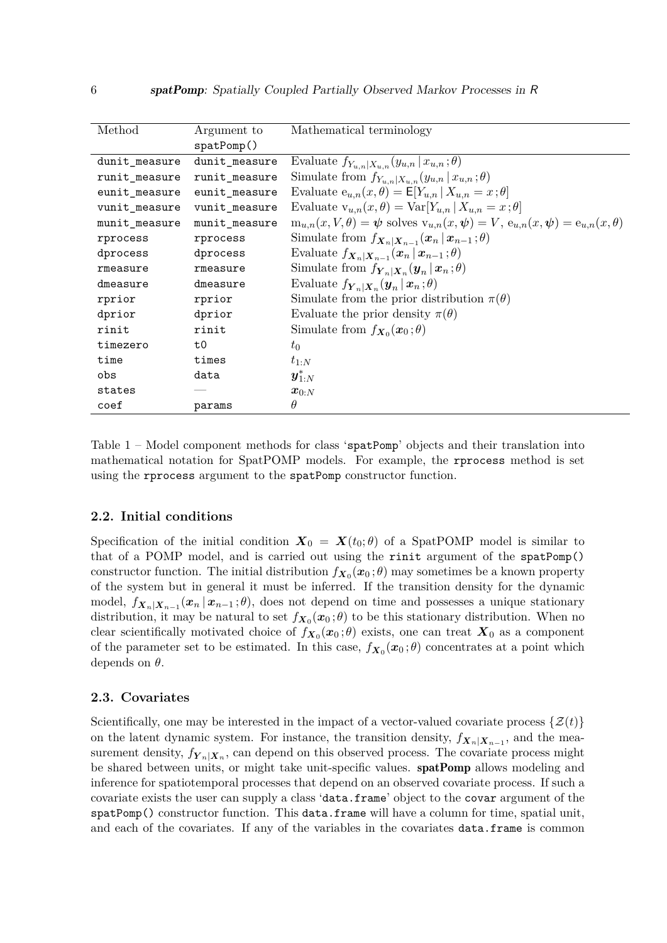<span id="page-5-0"></span>

| Method        | Argument to   | Mathematical terminology                                                                               |
|---------------|---------------|--------------------------------------------------------------------------------------------------------|
|               | spatPomp()    |                                                                                                        |
| dunit_measure | dunit_measure | Evaluate $f_{Y_{u,n} X_{u,n}}(y_{u,n} x_{u,n};\theta)$                                                 |
| runit_measure | runit_measure | Simulate from $f_{Y_{u,n} X_{u,n}}(y_{u,n} x_{u,n};\theta)$                                            |
| eunit_measure | eunit_measure | Evaluate $e_{u,n}(x, \theta) = E[Y_{u,n}   X_{u,n} = x; \theta]$                                       |
| vunit_measure | vunit_measure | Evaluate $v_{u,n}(x,\theta) = \text{Var}[Y_{u,n}   X_{u,n} = x;\theta]$                                |
| munit_measure | munit_measure | $m_{u,n}(x, V, \theta) = \psi$ solves $v_{u,n}(x, \psi) = V$ , $e_{u,n}(x, \psi) = e_{u,n}(x, \theta)$ |
| rprocess      | rprocess      | Simulate from $f_{\mathbf{X}_n \mathbf{X}_{n-1}}(\mathbf{x}_n \mathbf{x}_{n-1};\theta)$                |
| dprocess      | dprocess      | Evaluate $f_{\mathbf{X}_n \mathbf{X}_{n-1}}(\mathbf{x}_n \mathbf{x}_{n-1};\theta)$                     |
| rmeasure      | rmeasure      | Simulate from $f_{\boldsymbol{Y}_n \boldsymbol{X}_n}(\boldsymbol{y}_n \boldsymbol{x}_n;\theta)$        |
| dmeasure      | dmeasure      | Evaluate $f_{\boldsymbol{Y}_n \boldsymbol{X}_n}(\boldsymbol{y}_n \boldsymbol{x}_n;\theta)$             |
| rprior        | rprior        | Simulate from the prior distribution $\pi(\theta)$                                                     |
| dprior        | dprior        | Evaluate the prior density $\pi(\theta)$                                                               |
| rinit         | rinit         | Simulate from $f_{\mathbf{X}_0}(\mathbf{x}_0;\theta)$                                                  |
| timezero      | t0            | $t_0$                                                                                                  |
| time          | times         | $t_{1:N}$                                                                                              |
| obs           | data          | $\boldsymbol{y}_{1:N}^*$                                                                               |
| states        |               | $\boldsymbol{x}_{0:N}$                                                                                 |
| coef          | params        | $\theta$                                                                                               |

Table 1 – Model component methods for class 'spatPomp' objects and their translation into mathematical notation for SpatPOMP models. For example, the rprocess method is set using the rprocess argument to the spatPomp constructor function.

# **2.2. Initial conditions**

Specification of the initial condition  $X_0 = X(t_0;\theta)$  of a SpatPOMP model is similar to that of a POMP model, and is carried out using the rinit argument of the spatPomp() constructor function. The initial distribution  $f_{\mathbf{X}_0}(\mathbf{x}_0;\theta)$  may sometimes be a known property of the system but in general it must be inferred. If the transition density for the dynamic model,  $f_{\boldsymbol{X}_n|\boldsymbol{X}_{n-1}}(\boldsymbol{x}_n | \boldsymbol{x}_{n-1}; \theta)$ , does not depend on time and possesses a unique stationary distribution, it may be natural to set  $f_{X_0}(x_0;\theta)$  to be this stationary distribution. When no clear scientifically motivated choice of  $f_{\boldsymbol{X}_0}(\boldsymbol{x}_0;\theta)$  exists, one can treat  $\boldsymbol{X}_0$  as a component of the parameter set to be estimated. In this case,  $f_{X_0}(x_0;\theta)$  concentrates at a point which depends on *θ*.

# **2.3. Covariates**

Scientifically, one may be interested in the impact of a vector-valued covariate process  $\{\mathcal{Z}(t)\}$ on the latent dynamic system. For instance, the transition density,  $f_{X_n|X_{n-1}}$ , and the measurement density,  $f_{\boldsymbol{Y}_n|\boldsymbol{X}_n}$ , can depend on this observed process. The covariate process might be shared between units, or might take unit-specific values. **spatPomp** allows modeling and inference for spatiotemporal processes that depend on an observed covariate process. If such a covariate exists the user can supply a class 'data.frame' object to the covar argument of the spatPomp() constructor function. This data.frame will have a column for time, spatial unit, and each of the covariates. If any of the variables in the covariates data.frame is common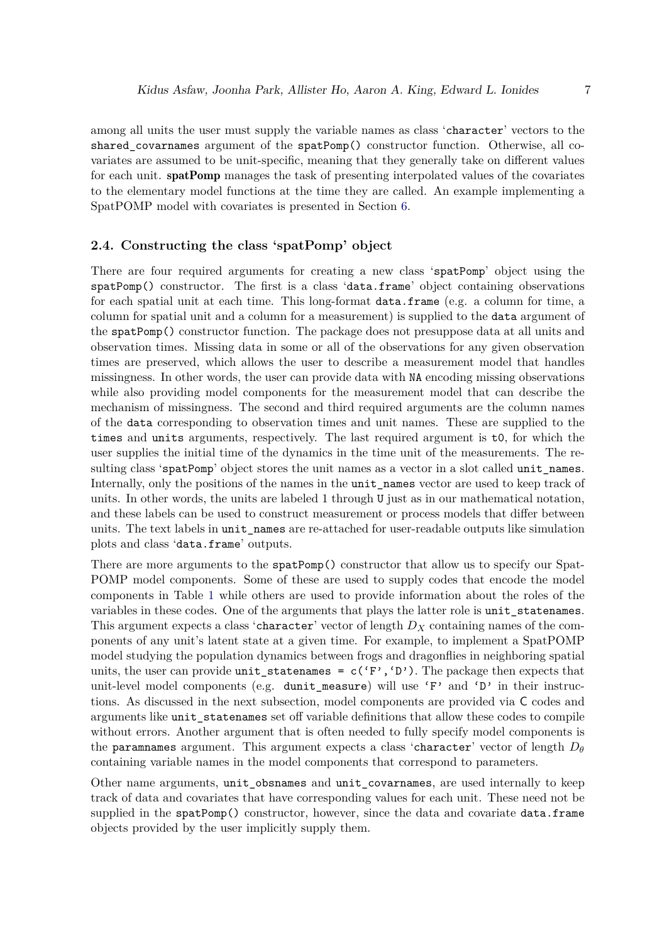among all units the user must supply the variable names as class 'character' vectors to the shared covarnames argument of the spatPomp() constructor function. Otherwise, all covariates are assumed to be unit-specific, meaning that they generally take on different values for each unit. spatPomp manages the task of presenting interpolated values of the covariates to the elementary model functions at the time they are called. An example implementing a SpatPOMP model with covariates is presented in Section [6.](#page-29-0)

### **2.4. Constructing the class 'spatPomp' object**

There are four required arguments for creating a new class 'spatPomp' object using the spatPomp() constructor. The first is a class 'data.frame' object containing observations for each spatial unit at each time. This long-format data.frame (e.g. a column for time, a column for spatial unit and a column for a measurement) is supplied to the data argument of the spatPomp() constructor function. The package does not presuppose data at all units and observation times. Missing data in some or all of the observations for any given observation times are preserved, which allows the user to describe a measurement model that handles missingness. In other words, the user can provide data with NA encoding missing observations while also providing model components for the measurement model that can describe the mechanism of missingness. The second and third required arguments are the column names of the data corresponding to observation times and unit names. These are supplied to the times and units arguments, respectively. The last required argument is t0, for which the user supplies the initial time of the dynamics in the time unit of the measurements. The resulting class 'spatPomp' object stores the unit names as a vector in a slot called unit names. Internally, only the positions of the names in the unit\_names vector are used to keep track of units. In other words, the units are labeled 1 through U just as in our mathematical notation, and these labels can be used to construct measurement or process models that differ between units. The text labels in unit\_names are re-attached for user-readable outputs like simulation plots and class 'data.frame' outputs.

There are more arguments to the spatPomp() constructor that allow us to specify our Spat-POMP model components. Some of these are used to supply codes that encode the model components in Table [1](#page-5-0) while others are used to provide information about the roles of the variables in these codes. One of the arguments that plays the latter role is unit\_statenames. This argument expects a class 'character' vector of length *D<sup>X</sup>* containing names of the components of any unit's latent state at a given time. For example, to implement a SpatPOMP model studying the population dynamics between frogs and dragonflies in neighboring spatial units, the user can provide unit\_statenames =  $c('F', 'D')$ . The package then expects that unit-level model components (e.g. dunit measure) will use 'F' and 'D' in their instructions. As discussed in the next subsection, model components are provided via C codes and arguments like unit\_statenames set off variable definitions that allow these codes to compile without errors. Another argument that is often needed to fully specify model components is the paramnames argument. This argument expects a class 'character' vector of length  $D_{\theta}$ containing variable names in the model components that correspond to parameters.

Other name arguments, unit\_obsnames and unit\_covarnames, are used internally to keep track of data and covariates that have corresponding values for each unit. These need not be supplied in the spatPomp() constructor, however, since the data and covariate data.frame objects provided by the user implicitly supply them.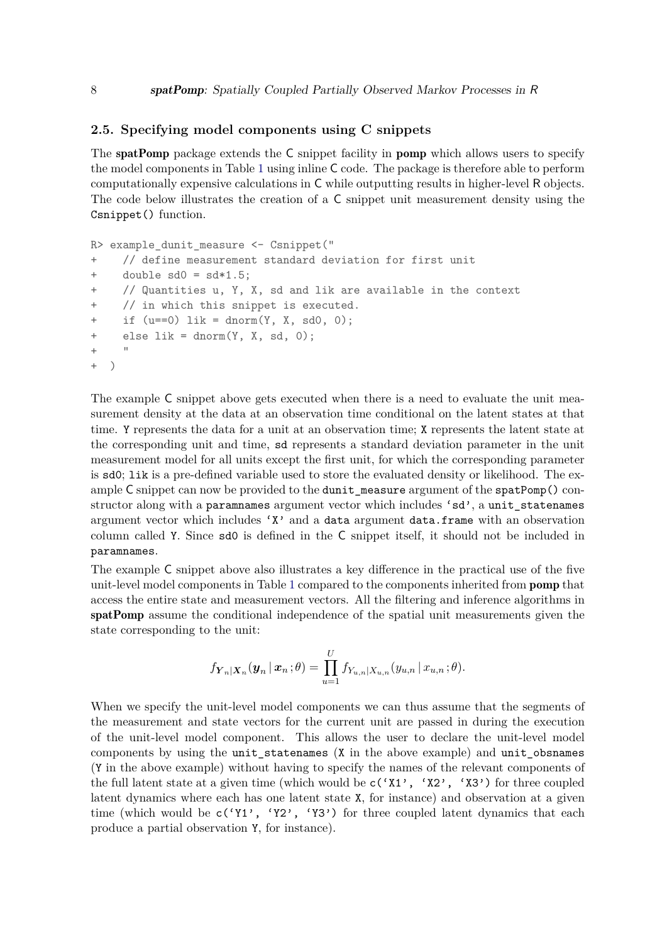### <span id="page-7-0"></span>**2.5. Specifying model components using C snippets**

The **spatPomp** package extends the C snippet facility in **pomp** which allows users to specify the model components in Table [1](#page-5-0) using inline C code. The package is therefore able to perform computationally expensive calculations in C while outputting results in higher-level R objects. The code below illustrates the creation of a C snippet unit measurement density using the Csnippet() function.

```
R> example dunit measure <- Csnippet("
+ // define measurement standard deviation for first unit
+ double sd0 = sd*1.5;
+ // Quantities u, Y, X, sd and lik are available in the context
+ // in which this snippet is executed.
+ if (u==0) lik = dnorm(Y, X, sd0, 0);
+ else lik = dnorm(Y, X, sd, 0);
+ - "
+ )
```
The example C snippet above gets executed when there is a need to evaluate the unit measurement density at the data at an observation time conditional on the latent states at that time. Y represents the data for a unit at an observation time; X represents the latent state at the corresponding unit and time, sd represents a standard deviation parameter in the unit measurement model for all units except the first unit, for which the corresponding parameter is sd0; lik is a pre-defined variable used to store the evaluated density or likelihood. The example C snippet can now be provided to the dunit measure argument of the spatPomp() constructor along with a paramnames argument vector which includes 'sd', a unit statenames argument vector which includes 'X' and a data argument data.frame with an observation column called Y. Since sd0 is defined in the C snippet itself, it should not be included in paramnames.

The example C snippet above also illustrates a key difference in the practical use of the five unit-level model components in Table [1](#page-5-0) compared to the components inherited from pomp that access the entire state and measurement vectors. All the filtering and inference algorithms in spatPomp assume the conditional independence of the spatial unit measurements given the state corresponding to the unit:

$$
f_{\boldsymbol{Y}_n|\boldsymbol{X}_n}(\boldsymbol{y}_n | \boldsymbol{x}_n; \theta) = \prod_{u=1}^U f_{Y_{u,n}|X_{u,n}}(y_{u,n} | x_{u,n}; \theta).
$$

When we specify the unit-level model components we can thus assume that the segments of the measurement and state vectors for the current unit are passed in during the execution of the unit-level model component. This allows the user to declare the unit-level model components by using the unit\_statenames (X in the above example) and unit\_obsnames (Y in the above example) without having to specify the names of the relevant components of the full latent state at a given time (which would be  $c('X1', 'X2', 'X3')$  for three coupled latent dynamics where each has one latent state X, for instance) and observation at a given time (which would be  $c('Y1', 'Y2', 'Y3')$  for three coupled latent dynamics that each produce a partial observation Y, for instance).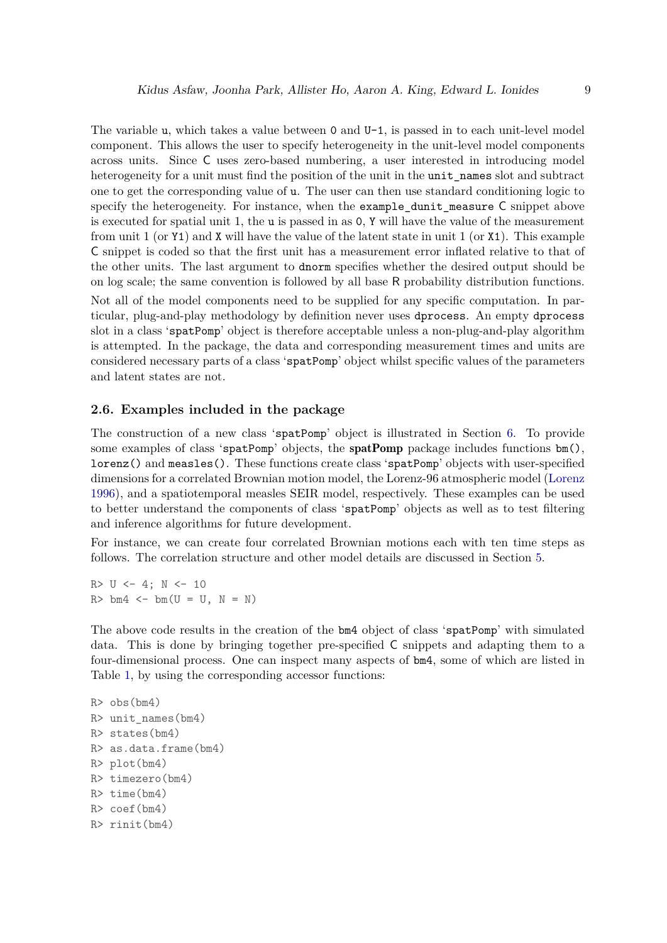The variable u, which takes a value between 0 and U-1, is passed in to each unit-level model component. This allows the user to specify heterogeneity in the unit-level model components across units. Since C uses zero-based numbering, a user interested in introducing model heterogeneity for a unit must find the position of the unit in the unit names slot and subtract one to get the corresponding value of u. The user can then use standard conditioning logic to specify the heterogeneity. For instance, when the example\_dunit\_measure C snippet above is executed for spatial unit 1, the u is passed in as 0, Y will have the value of the measurement from unit 1 (or Y1) and X will have the value of the latent state in unit 1 (or X1). This example C snippet is coded so that the first unit has a measurement error inflated relative to that of the other units. The last argument to dnorm specifies whether the desired output should be on log scale; the same convention is followed by all base R probability distribution functions. Not all of the model components need to be supplied for any specific computation. In particular, plug-and-play methodology by definition never uses dprocess. An empty dprocess slot in a class 'spatPomp' object is therefore acceptable unless a non-plug-and-play algorithm is attempted. In the package, the data and corresponding measurement times and units are considered necessary parts of a class 'spatPomp' object whilst specific values of the parameters and latent states are not.

# **2.6. Examples included in the package**

The construction of a new class 'spatPomp' object is illustrated in Section [6.](#page-29-0) To provide some examples of class 'spatPomp' objects, the spatPomp package includes functions  $bm()$ , lorenz() and measles(). These functions create class 'spatPomp' objects with user-specified dimensions for a correlated Brownian motion model, the Lorenz-96 atmospheric model [\(Lorenz](#page-46-8) [1996\)](#page-46-8), and a spatiotemporal measles SEIR model, respectively. These examples can be used to better understand the components of class 'spatPomp' objects as well as to test filtering and inference algorithms for future development.

For instance, we can create four correlated Brownian motions each with ten time steps as follows. The correlation structure and other model details are discussed in Section [5.](#page-21-0)

 $R > U \le -4$ ;  $N \le -10$  $R>bm4 \leftarrow bm(U = U, N = N)$ 

The above code results in the creation of the bm4 object of class 'spatPomp' with simulated data. This is done by bringing together pre-specified C snippets and adapting them to a four-dimensional process. One can inspect many aspects of bm4, some of which are listed in Table [1,](#page-5-0) by using the corresponding accessor functions:

```
R> obs(bm4)
R> unit_names(bm4)
R> states(bm4)
R> as.data.frame(bm4)
R> plot(bm4)
R> timezero(bm4)
R> time(bm4)
R> coef(bm4)
R> rinit(bm4)
```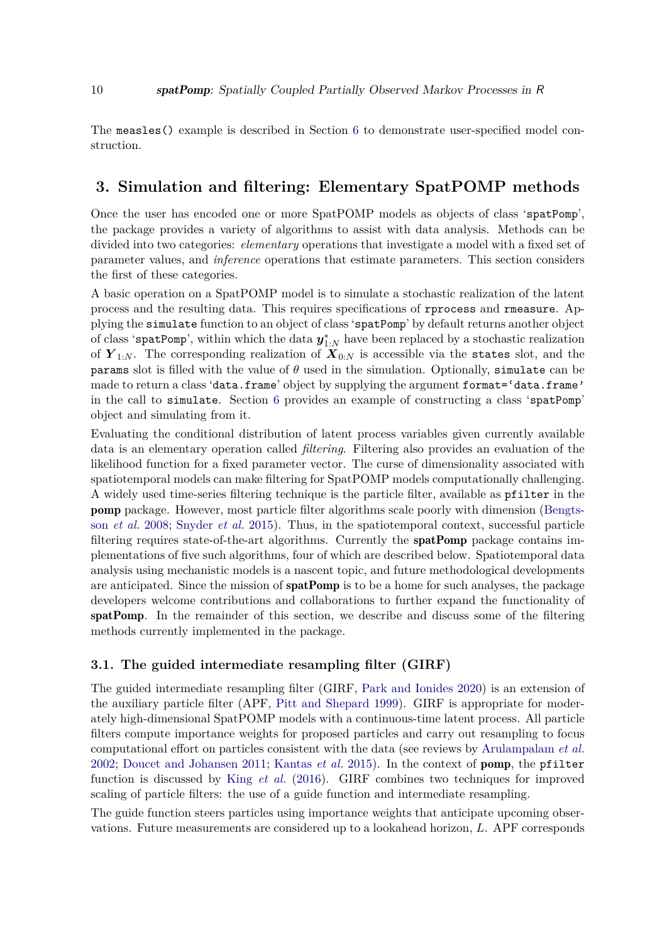The measles() example is described in Section [6](#page-29-0) to demonstrate user-specified model construction.

# <span id="page-9-0"></span>**3. Simulation and filtering: Elementary SpatPOMP methods**

Once the user has encoded one or more SpatPOMP models as objects of class 'spatPomp', the package provides a variety of algorithms to assist with data analysis. Methods can be divided into two categories: *elementary* operations that investigate a model with a fixed set of parameter values, and *inference* operations that estimate parameters. This section considers the first of these categories.

A basic operation on a SpatPOMP model is to simulate a stochastic realization of the latent process and the resulting data. This requires specifications of rprocess and rmeasure. Applying the simulate function to an object of class 'spatPomp' by default returns another object of class 'spatPomp', within which the data  $y_{1:N}^*$  have been replaced by a stochastic realization of  $Y_{1:N}$ . The corresponding realization of  $X_{0:N}$  is accessible via the states slot, and the params slot is filled with the value of *θ* used in the simulation. Optionally, simulate can be made to return a class 'data.frame' object by supplying the argument format='data.frame' in the call to simulate. Section [6](#page-29-0) provides an example of constructing a class 'spatPomp' object and simulating from it.

Evaluating the conditional distribution of latent process variables given currently available data is an elementary operation called *filtering*. Filtering also provides an evaluation of the likelihood function for a fixed parameter vector. The curse of dimensionality associated with spatiotemporal models can make filtering for SpatPOMP models computationally challenging. A widely used time-series filtering technique is the particle filter, available as pfilter in the pomp package. However, most particle filter algorithms scale poorly with dimension [\(Bengts](#page-43-0)son *[et al.](#page-43-0)* [2008;](#page-43-0) [Snyder](#page-47-2) *et al.* [2015\)](#page-47-2). Thus, in the spatiotemporal context, successful particle filtering requires state-of-the-art algorithms. Currently the spatPomp package contains implementations of five such algorithms, four of which are described below. Spatiotemporal data analysis using mechanistic models is a nascent topic, and future methodological developments are anticipated. Since the mission of **spatPomp** is to be a home for such analyses, the package developers welcome contributions and collaborations to further expand the functionality of spatPomp. In the remainder of this section, we describe and discuss some of the filtering methods currently implemented in the package.

# <span id="page-9-1"></span>**3.1. The guided intermediate resampling filter (GIRF)**

The guided intermediate resampling filter (GIRF, [Park and Ionides](#page-46-9) [2020\)](#page-46-9) is an extension of the auxiliary particle filter (APF, [Pitt and Shepard](#page-46-10) [1999\)](#page-46-10). GIRF is appropriate for moderately high-dimensional SpatPOMP models with a continuous-time latent process. All particle filters compute importance weights for proposed particles and carry out resampling to focus computational effort on particles consistent with the data (see reviews by [Arulampalam](#page-42-3) *et al.* [2002;](#page-42-3) [Doucet and Johansen](#page-44-6) [2011;](#page-44-6) [Kantas](#page-45-4) *et al.* [2015\)](#page-45-4). In the context of pomp, the pfilter function is discussed by King *[et al.](#page-45-0)* [\(2016\)](#page-45-0). GIRF combines two techniques for improved scaling of particle filters: the use of a guide function and intermediate resampling.

The guide function steers particles using importance weights that anticipate upcoming observations. Future measurements are considered up to a lookahead horizon, *L*. APF corresponds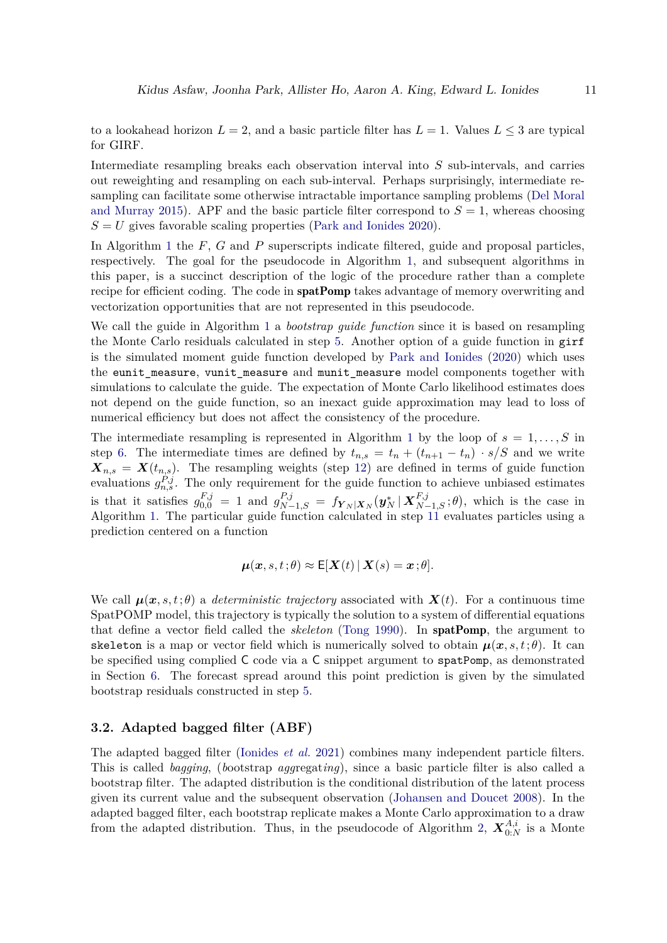to a lookahead horizon  $L = 2$ , and a basic particle filter has  $L = 1$ . Values  $L \leq 3$  are typical for GIRF.

Intermediate resampling breaks each observation interval into *S* sub-intervals, and carries out reweighting and resampling on each sub-interval. Perhaps surprisingly, intermediate resampling can facilitate some otherwise intractable importance sampling problems [\(Del Moral](#page-44-7) [and Murray](#page-44-7) [2015\)](#page-44-7). APF and the basic particle filter correspond to  $S = 1$ , whereas choosing  $S = U$  gives favorable scaling properties [\(Park and Ionides](#page-46-9) [2020\)](#page-46-9).

In Algorithm [1](#page-11-0) the *F*, *G* and *P* superscripts indicate filtered, guide and proposal particles, respectively. The goal for the pseudocode in Algorithm [1,](#page-11-0) and subsequent algorithms in this paper, is a succinct description of the logic of the procedure rather than a complete recipe for efficient coding. The code in **spatPomp** takes advantage of memory overwriting and vectorization opportunities that are not represented in this pseudocode.

We call the guide in Algorithm [1](#page-11-0) a *bootstrap guide function* since it is based on resampling the Monte Carlo residuals calculated in step [5.](#page-11-1) Another option of a guide function in girf is the simulated moment guide function developed by [Park and Ionides](#page-46-9) [\(2020\)](#page-46-9) which uses the eunit measure, vunit measure and munit measure model components together with simulations to calculate the guide. The expectation of Monte Carlo likelihood estimates does not depend on the guide function, so an inexact guide approximation may lead to loss of numerical efficiency but does not affect the consistency of the procedure.

The intermediate resampling is represented in Algorithm [1](#page-11-0) by the loop of  $s = 1, \ldots, S$  in step [6.](#page-11-2) The intermediate times are defined by  $t_{n,s} = t_n + (t_{n+1} - t_n) \cdot s/S$  and we write  $\mathbf{X}_{n,s} = \mathbf{X}(t_{n,s})$ . The resampling weights (step [12\)](#page-11-3) are defined in terms of guide function evaluations  $g_{n,s}^{P,j}$ . The only requirement for the guide function to achieve unbiased estimates is that it satisfies  $g_{0,0}^{F,j} = 1$  and  $g_{N-1,S}^{P,j} = f_{\mathbf{Y}_N|\mathbf{X}_N}(\mathbf{y}_N^* | \mathbf{X}_{N-1,S}^{F,j}; \theta)$ , which is the case in Algorithm [1.](#page-11-0) The particular guide function calculated in step [11](#page-11-4) evaluates particles using a prediction centered on a function

$$
\boldsymbol{\mu}(\boldsymbol{x},s,t;\theta) \approx \mathsf{E}[\boldsymbol{X}(t) \,|\, \boldsymbol{X}(s) = \boldsymbol{x};\theta].
$$

We call  $\mu(x, s, t; \theta)$  a *deterministic trajectory* associated with  $X(t)$ . For a continuous time SpatPOMP model, this trajectory is typically the solution to a system of differential equations that define a vector field called the *skeleton* [\(Tong](#page-47-3) [1990\)](#page-47-3). In spatPomp, the argument to skeleton is a map or vector field which is numerically solved to obtain  $\mu(x, s, t; \theta)$ . It can be specified using complied C code via a C snippet argument to spatPomp, as demonstrated in Section [6.](#page-29-0) The forecast spread around this point prediction is given by the simulated bootstrap residuals constructed in step [5.](#page-11-1)

# **3.2. Adapted bagged filter (ABF)**

The adapted bagged filter [\(Ionides](#page-45-5) *et al.* [2021\)](#page-45-5) combines many independent particle filters. This is called *bagging*, (*b*ootstrap *agg*regat*ing*), since a basic particle filter is also called a bootstrap filter. The adapted distribution is the conditional distribution of the latent process given its current value and the subsequent observation [\(Johansen and Doucet](#page-45-6) [2008\)](#page-45-6). In the adapted bagged filter, each bootstrap replicate makes a Monte Carlo approximation to a draw from the adapted distribution. Thus, in the pseudocode of Algorithm [2,](#page-13-1)  $\mathbf{X}_{0:N}^{A,i}$  is a Monte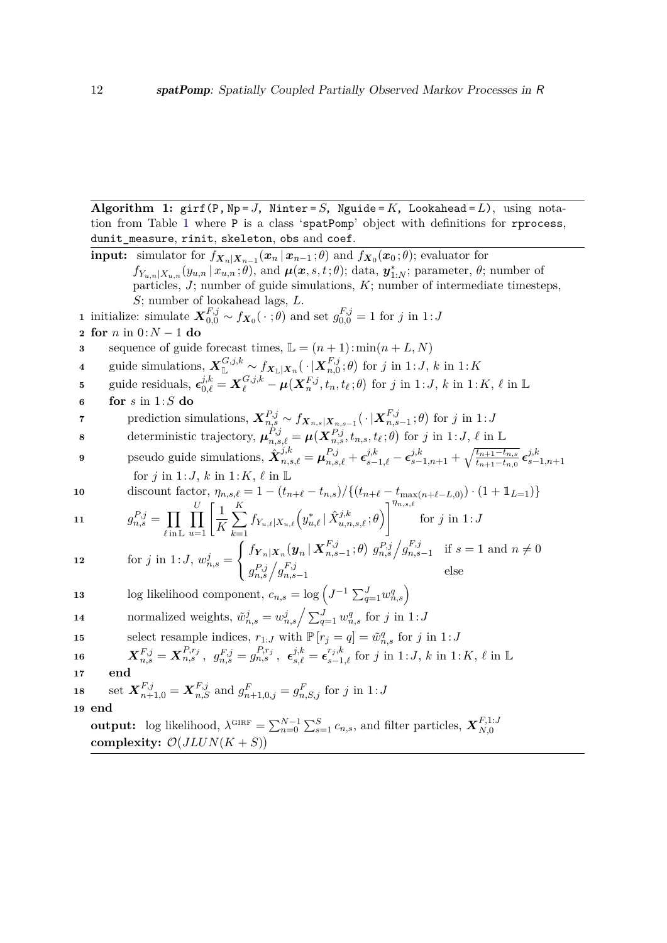**Algorithm 1:** girf(P, Np = *J*, Ninter = *S*, Nguide =  $K$ , Lookahead =  $L$ ), using notation from Table [1](#page-5-0) where P is a class 'spatPomp' object with definitions for rprocess, dunit\_measure, rinit, skeleton, obs and coef.

<span id="page-11-4"></span><span id="page-11-3"></span><span id="page-11-2"></span><span id="page-11-1"></span><span id="page-11-0"></span>**input:** simulator for  $f_{\boldsymbol{X}_n|\boldsymbol{X}_{n-1}}(\boldsymbol{x}_n | \boldsymbol{x}_{n-1}; \theta)$  and  $f_{\boldsymbol{X}_0}(\boldsymbol{x}_0; \theta)$ ; evaluator for  $f_{Y_{u,n}|X_{u,n}}(y_{u,n}|x_{u,n};\theta)$ , and  $\mu(x,s,t;\theta)$ ; data,  $y_{1:N}^*$ ; parameter,  $\theta$ ; number of particles, *J*; number of guide simulations, *K*; number of intermediate timesteps, *S*; number of lookahead lags, *L*. **1** initialize: simulate  $\mathbf{X}_{0,0}^{F,j} \sim f_{\mathbf{X}_0}(\cdot;\theta)$  and set  $g_{0,0}^{F,j} = 1$  for *j* in 1:*J* **2 for** *n* in 0:*N* − 1 **do 3** sequence of guide forecast times,  $\mathbb{L} = (n+1) : min(n+L, N)$  $\boldsymbol{X}_{\mathbb{L}}^{G,j,k} \sim f_{\boldsymbol{X}_{\mathbb{L}}|\boldsymbol{X}_{n}}(\,\cdot\,|\boldsymbol{X}_{n,0}^{F,j})$  $f_{n,0}^{F,j}$ ;  $\theta$ ) for *j* in 1:*J*, *k* in 1:*K* 5 guide residuals,  $\epsilon_{0,\ell}^{j,k} = \mathbf{X}_{\ell}^{G,j,k} - \mu(\mathbf{X}_{n}^{F,j}, t_n, t_\ell; \theta)$  for j in 1: J, k in 1: K,  $\ell$  in L **6 for** *s* in 1:*S* **do**  $\mathbf{y} = \text{gradient} \times \mathbf{y} = \sum_{n=1}^{N} \mathbf{y} \cdot \mathbf{y} = \sum_{n=1}^{N} \mathbf{y} \cdot \mathbf{y} = \sum_{n=1}^{N} \mathbf{y} \cdot \mathbf{y} = \sum_{n=1}^{N} \mathbf{y} \cdot \mathbf{y} = \sum_{n=1}^{N} \mathbf{y} \cdot \mathbf{y} = \sum_{n=1}^{N} \mathbf{y} \cdot \mathbf{y} = \sum_{n=1}^{N} \mathbf{y} \cdot \mathbf{y} = \sum_{n=1}^{N} \mathbf{y} \cdot \mathbf{y}$  $f_{n,s-1}^{F,j}$ ; *θ*) for *j* in 1: *J* **8** deterministic trajectory,  $\boldsymbol{\mu}_{n,s,\ell}^{P,j} = \boldsymbol{\mu}(\boldsymbol{X}_{n,s}^{P,j}, t_{n,s}, t_{\ell} ; \theta)$  for *j* in 1:*J*,  $\ell$  in L **9** pseudo guide simulations,  $\hat{\bm{X}}_{n,s,\ell}^{j,k} = \bm{\mu}_{n,s,\ell}^{P,j} + \bm{\epsilon}_{s-1,\ell}^{j,k} - \bm{\epsilon}_{s-1,n+1}^{j,k} + \sqrt{\frac{t_{n+1}-t_{n,s}}{t_{n+1}-t_{n,0}}}$  $\frac{t_{n+1}-t_{n,s}}{t_{n+1}-t_{n,0}}$   $\epsilon_{s-}^{j,k}$ *s*−1*,n*+1 for *j* in 1:*J*, *k* in 1:*K*,  $\ell$  in L **10** discount factor,  $\eta_{n,s,\ell} = 1 - (t_{n+\ell} - t_{n,s}) / \{(t_{n+\ell} - t_{\max(n+\ell-L,0)}) \cdot (1 + \mathbb{1}_{L=1})\}$ **11** *g*  $P_{n,s}^{D,j} = \prod$  $\ell$  in  $\mathbb L$  $\Pi$  $\prod_{u=1}^{U} \left[ \frac{1}{K} \right]$ *K*  $\sum$  $\left[\sum_{i=1}^{K} f_{Y_{u,\ell}} | X_{u,\ell} \left(y_{u,\ell}^{*} \mid \hat{X}_{u,n,s,\ell}^{j,k} ; \theta \right) \right]^{ \eta_{n,s,\ell} }$ *k*=1 for *j* in 1:*J* **12** for *j* in 1:*J*,  $w_{n,s}^j =$  $\sqrt{ }$  $\frac{1}{2}$  $\mathcal{L}$  $f_{\boldsymbol{Y}_n|\boldsymbol{X}_n}(\boldsymbol{y}_n\,|\,\boldsymbol{X}_{n,s}^{F,j})$  $F, j$ <sub>*n*,s-1</sub>;  $\theta$ )  $g_{n,s}^{P,j} / g_{n,s}^{F,j}$  $\int_{n,s-1}^{r,j}$  if  $s=1$  and  $n \neq 0$  $g_{n,s}^{P,j}\Big/g_{n,s}^{F,j}$ *n*,*s*−1 else **13** log likelihood component,  $c_{n,s} = \log \left( J^{-1} \sum_{q=1}^{J} w_{n,s}^q \right)$ **14** normalized weights,  $\tilde{w}_{n,s}^j = w_{n,s}^j / \sum_{q=1}^J w_{n,s}^q$  for *j* in 1:*J* **15** select resample indices,  $r_{1:J}$  with  $\mathbb{P}[r_j = q] = \tilde{w}_{n,s}^q$  for *j* in 1:*J*  $\bm{X}^{F,j}_{n,s} = \bm{X}^{P,r_j}_{n,s} \ , \ \ g^{F,j}_{n,s} = g^{P,r_j}_{n,s} \ , \ \ \bm{\epsilon}^{j,k}_{s,\ell} = \bm{\epsilon}^{r_j,k}_{s-1,\ell} \ \text{for} \ \ j \ \text{in} \ 1:J, \ k \ \text{in} \ 1:K, \ \ell \ \text{in} \ \mathbb{L}$ **17 end 18** set  $\mathbf{X}_{n+1,0}^{F,j} = \mathbf{X}_{n,S}^{F,j}$  and  $g_{n+1,0,j}^F = g_{n,S,j}^F$  for *j* in 1:*J* **19 end output:** log likelihood,  $\lambda^{\text{GIRF}} = \sum_{n=0}^{N-1} \sum_{s=1}^{S} c_{n,s}$ , and filter particles,  $\mathbf{X}_{N,0}^{F,1:J}$ *N,*0 complexity:  $\mathcal{O}(JLUN(K+S))$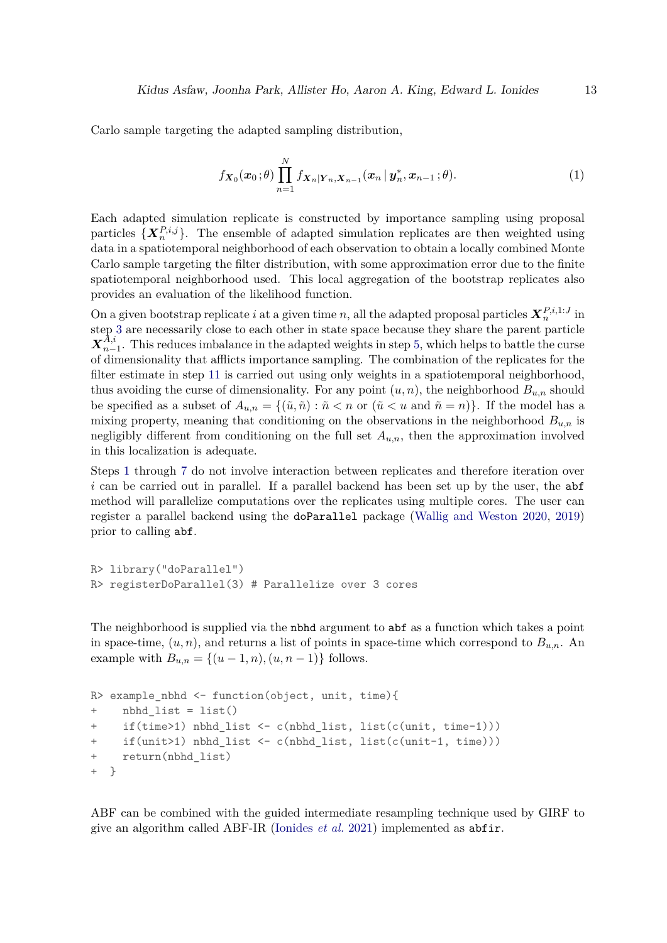Carlo sample targeting the adapted sampling distribution,

$$
f_{\boldsymbol{X}_0}(\boldsymbol{x}_0;\theta) \prod_{n=1}^N f_{\boldsymbol{X}_n|\boldsymbol{Y}_n,\boldsymbol{X}_{n-1}}(\boldsymbol{x}_n\,|\,\boldsymbol{y}_n^*,\boldsymbol{x}_{n-1};\theta). \hspace{1cm} (1)
$$

Each adapted simulation replicate is constructed by importance sampling using proposal particles  $\{X_n^{P,i,j}\}.$  The ensemble of adapted simulation replicates are then weighted using data in a spatiotemporal neighborhood of each observation to obtain a locally combined Monte Carlo sample targeting the filter distribution, with some approximation error due to the finite spatiotemporal neighborhood used. This local aggregation of the bootstrap replicates also provides an evaluation of the likelihood function.

On a given bootstrap replicate *i* at a given time *n*, all the adapted proposal particles  $X_n^{P,i,1:J}$  in step [3](#page-13-2) are necessarily close to each other in state space because they share the parent particle  $\boldsymbol{X}_{n-}^{\bar{A},i}$  $n-1$ . This reduces imbalance in the adapted weights in step [5,](#page-13-3) which helps to battle the curse of dimensionality that afflicts importance sampling. The combination of the replicates for the filter estimate in step [11](#page-13-4) is carried out using only weights in a spatiotemporal neighborhood, thus avoiding the curse of dimensionality. For any point  $(u, n)$ , the neighborhood  $B_{u,n}$  should be specified as a subset of  $A_{u,n} = \{(\tilde{u}, \tilde{n}) : \tilde{n} < n \text{ or } (\tilde{u} < u \text{ and } \tilde{n} = n)\}.$  If the model has a mixing property, meaning that conditioning on the observations in the neighborhood *Bu,n* is negligibly different from conditioning on the full set  $A_{u,n}$ , then the approximation involved in this localization is adequate.

Steps [1](#page-13-5) through [7](#page-13-6) do not involve interaction between replicates and therefore iteration over *i* can be carried out in parallel. If a parallel backend has been set up by the user, the abf method will parallelize computations over the replicates using multiple cores. The user can register a parallel backend using the doParallel package [\(Wallig and Weston](#page-47-4) [2020,](#page-47-4) [2019\)](#page-47-5) prior to calling abf.

```
R> library("doParallel")
R> registerDoParallel(3) # Parallelize over 3 cores
```
The neighborhood is supplied via the nbhd argument to abf as a function which takes a point in space-time,  $(u, n)$ , and returns a list of points in space-time which correspond to  $B_{u,n}$ . An example with  $B_{u,n} = \{(u-1,n), (u, n-1)\}\)$  follows.

```
R> example_nbhd <- function(object, unit, time){
+ nbhd_list = list()
+ if(time>1) nbhd_list <- c(nbhd_list, list(c(unit, time-1)))
+ if(unit>1) nbhd_list <- c(nbhd_list, list(c(unit-1, time)))
+ return(nbhd_list)
+ }
```
ABF can be combined with the guided intermediate resampling technique used by GIRF to give an algorithm called ABF-IR [\(Ionides](#page-45-5) *et al.* [2021\)](#page-45-5) implemented as abfir.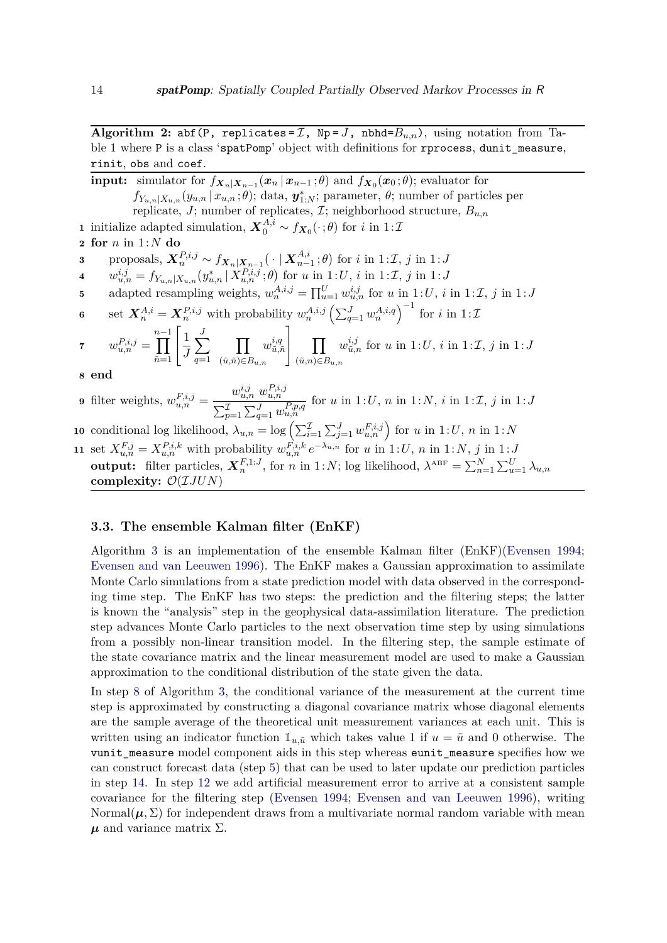**Algorithm 2:** abf(P, replicates =  $I$ , Np =  $J$ , nbhd= $B_{u,n}$ ), using notation from Ta-ble [1](#page-5-0) where P is a class 'spatPomp' object with definitions for rprocess, dunit\_measure, rinit, obs and coef.

<span id="page-13-5"></span><span id="page-13-3"></span><span id="page-13-2"></span><span id="page-13-1"></span>**input:** simulator for  $f_{\boldsymbol{X}_n|\boldsymbol{X}_{n-1}}(\boldsymbol{x}_n | \boldsymbol{x}_{n-1}; \theta)$  and  $f_{\boldsymbol{X}_0}(\boldsymbol{x}_0; \theta)$ ; evaluator for  $f_{Y_{u,n}|X_{u,n}}(y_{u,n}|x_{u,n};\theta)$ ; data,  $\mathbf{y}_{1:N}^*$ ; parameter,  $\theta$ ; number of particles per replicate, *J*; number of replicates, I; neighborhood structure, *Bu,n* **1** initialize adapted simulation,  $\mathbf{X}_0^{A,i} \sim f_{\mathbf{X}_0}(\cdot; \theta)$  for *i* in 1:*T* **2 for** *n* in 1:*N* **do**  $\mathbf{3} \qquad \text{proposals}, \ \boldsymbol{X}_n^{P,i,j} \sim f_{\boldsymbol{X}_n|\boldsymbol{X}_{n-1}}(\ \cdot \mid \boldsymbol{X}_{n-1}^{A,i})$  $\binom{A, i}{n-1}$ ; *θ*) for *i* in 1:*I*, *j* in 1:*J* **4**  $w_{u,n}^{i,j} = f_{Y_{u,n}|X_{u,n}}(y_{u,n}^* | X_{u,n}^{P,i,j}; \theta)$  for *u* in 1:*U*, *i* in 1:*Z*, *j* in 1:*J* **5** adapted resampling weights,  $w_n^{A,i,j} = \prod_{u=1}^U w_{u,n}^{i,j}$  for *u* in 1:*U*, *i* in 1:*I*, *j* in 1:*J* **6** set  $\mathbf{X}_n^{A,i} = \mathbf{X}_n^{P,i,j}$  with probability  $w_n^{A,i,j} \left( \sum_{q=1}^J w_n^{A,i,q} \right)^{-1}$  for *i* in 1:*T*  $\sigma w^{P,i,j}_{u,n} =$ *n*<sup>−1</sup><br><sup>1</sup>  $\tilde{n}=1$  $\lceil$  $\overline{\phantom{a}}$ 1 *J*  $\sum$ *J q*=1  $\Pi$  $($ *ū*, $\tilde{n}$ )∈ $B$ <sub>*u*, $n$ </sub>  $w^{i,q}_{\tilde n, j}$  $\tilde{u}, \tilde{n}$ 1  $\parallel$   $\Box$ (˜*u,n*)∈*Bu,n*  $w^{i,j}_{\tilde{n},j}$  $u_{\tilde{u},n}^{i,j}$  for *u* in 1:*U*, *i* in 1:*I*, *j* in 1:*J* **8 end 9** filter weights,  $w_{u,n}^{F,i,j} =$  $w_{u,n}^{i,j}$   $w_{u,n}^{P,i,j}$  $\sum_{p=1}^{L} \sum_{q=1}^{J} w_{u,n}^{P,p,q}$ for  $u$  in 1: $U$ ,  $n$  in 1: $N$ ,  $i$  in 1: $\mathcal{I}$ ,  $j$  in 1: $J$ **10** conditional log likelihood,  $\lambda_{u,n} = \log \left( \sum_{i=1}^{L} \sum_{j=1}^{J} w_{u,n}^{F,i,j} \right)$  for *u* in 1:*U*, *n* in 1:*N* 11 set  $X_{u,n}^{F,j} = X_{u,n}^{P,i,k}$  with probability  $w_{u,n}^{F,i,k} e^{-\lambda_{u,n}}$  for u in 1:U, n in 1:N, j in 1:J **output:** filter particles,  $\mathbf{X}_n^{F,1:J}$ , for *n* in 1:*N*; log likelihood,  $\lambda^{ABF} = \sum_{n=1}^{N} \sum_{u=1}^{U} \lambda_{u,n}$ 

# <span id="page-13-0"></span>**3.3. The ensemble Kalman filter (EnKF)**

<span id="page-13-6"></span><span id="page-13-4"></span>**complexity:** O(I*JUN*)

Algorithm [3](#page-14-0) is an implementation of the ensemble Kalman filter (EnKF)[\(Evensen](#page-44-8) [1994;](#page-44-8) [Evensen and van Leeuwen](#page-44-9) [1996\)](#page-44-9). The EnKF makes a Gaussian approximation to assimilate Monte Carlo simulations from a state prediction model with data observed in the corresponding time step. The EnKF has two steps: the prediction and the filtering steps; the latter is known the "analysis" step in the geophysical data-assimilation literature. The prediction step advances Monte Carlo particles to the next observation time step by using simulations from a possibly non-linear transition model. In the filtering step, the sample estimate of the state covariance matrix and the linear measurement model are used to make a Gaussian approximation to the conditional distribution of the state given the data.

In step [8](#page-14-1) of Algorithm [3,](#page-14-0) the conditional variance of the measurement at the current time step is approximated by constructing a diagonal covariance matrix whose diagonal elements are the sample average of the theoretical unit measurement variances at each unit. This is written using an indicator function  $\mathbb{1}_{u,\tilde{u}}$  which takes value 1 if  $u = \tilde{u}$  and 0 otherwise. The vunit\_measure model component aids in this step whereas eunit\_measure specifies how we can construct forecast data (step [5\)](#page-14-2) that can be used to later update our prediction particles in step [14.](#page-14-3) In step [12](#page-14-4) we add artificial measurement error to arrive at a consistent sample covariance for the filtering step [\(Evensen](#page-44-8) [1994;](#page-44-8) [Evensen and van Leeuwen](#page-44-9) [1996\)](#page-44-9), writing Normal $(\mu, \Sigma)$  for independent draws from a multivariate normal random variable with mean  $\mu$  and variance matrix  $\Sigma$ .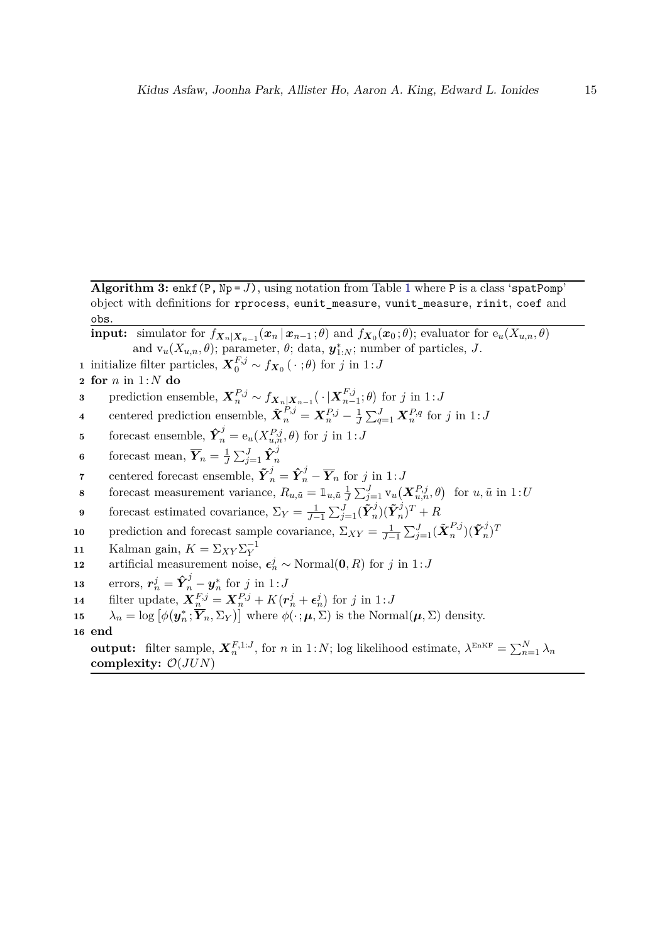**Algorithm 3:** enkf(P,  $Np = J$ ), using notation from Table [1](#page-5-0) where P is a class 'spatPomp' object with definitions for rprocess, eunit\_measure, vunit\_measure, rinit, coef and obs.

<span id="page-14-0"></span>**input:** simulator for  $f_{\boldsymbol{X}_n|\boldsymbol{X}_{n-1}}(\boldsymbol{x}_n | \boldsymbol{x}_{n-1}; \theta)$  and  $f_{\boldsymbol{X}_0}(\boldsymbol{x}_0; \theta)$ ; evaluator for  $e_u(X_{u,n}, \theta)$ and  $v_u(X_{u,n}, \theta)$ ; parameter,  $\theta$ ; data,  $\mathbf{y}_{1:N}^*$ ; number of particles, *J*.

- **1** initialize filter particles,  $\mathbf{X}_0^{F,j} \sim f_{\mathbf{X}_0}(\cdot ; \theta)$  for *j* in 1:*J*
- **2 for** *n* in 1:*N* **do**
- $\mathbf{3}$  prediction ensemble,  $\mathbf{X}_n^{P,j} \sim f_{\mathbf{X}_n|\mathbf{X}_{n-1}}(\cdot|\mathbf{X}_{n-1}^{F,j})$  $f_{n-1}^{F,j}$ ; *θ*) for *j* in 1:*J*
- **4** centered prediction ensemble,  $\tilde{\boldsymbol{X}}_n^{P,j} = \boldsymbol{X}_n^{P,j} \frac{1}{J}$  $\frac{1}{J}\sum_{q=1}^{J} \boldsymbol{X}_n^{P,q}$  for *j* in 1:*J*
- <span id="page-14-2"></span>**5** forecast ensemble,  $\hat{\mathbf{Y}}_n^j = e_u(X_{u,n}^{P,j}, \theta)$  for *j* in 1:*J*
- **6** forecast mean,  $\overline{Y}_n = \frac{1}{J}$  $\frac{1}{J}\sum_{j=1}^J \mathbf{\hat{Y}}_n^j$ *n*
- **7** centered forecast ensemble,  $\tilde{\boldsymbol{Y}}_n^j = \hat{\boldsymbol{Y}}_n^j \overline{\boldsymbol{Y}}_n$  for *j* in 1:*J*
- <span id="page-14-1"></span>**8** forecast measurement variance,  $R_{u,\tilde{u}} = \mathbb{1}_{u,\tilde{u}} \frac{1}{J}$  $\frac{1}{J} \sum_{j=1}^{J}$   $v_u(X_{u,n}^{P,j}, \theta)$  for  $u, \tilde{u}$  in 1:*U*
- **9** forecast estimated covariance,  $\Sigma_Y = \frac{1}{J-1} \sum_{j=1}^J (\tilde{\boldsymbol{Y}}_n^j)$  $\tilde{Y}_n^j)(\tilde{\boldsymbol{Y}}_n^j)$  $(n)^{T}$  + *R*
- **10** prediction and forecast sample covariance,  $\Sigma_{XY} = \frac{1}{J-1} \sum_{j=1}^{J} (\tilde{\boldsymbol{X}}_n^{P,j})$  $_{n}^{P,j})(\tilde{\boldsymbol{Y}}_{n}^{j}% \boldsymbol{\beta})\coloneqq(\tilde{\boldsymbol{Y}}_{n}^{j}-\tilde{\boldsymbol{Y}}_{n}^{j})$  $\binom{J}{n}$ <sup>T</sup>
- **11** Kalman gain,  $K = \sum_{XY} \sum_{Y}^{-1}$
- <span id="page-14-4"></span>**12** artificial measurement noise,  $\epsilon_n^j \sim \text{Normal}(\mathbf{0}, R)$  for *j* in 1:*J*
- **13** errors,  $r_n^j = \hat{Y}_n^j y_n^*$  for *j* in 1:*J*
- <span id="page-14-3"></span>**14** filter update,  $\mathbf{X}_n^{F,j} = \mathbf{X}_n^{P,j} + K(r_n^j + \epsilon_n^j)$  for *j* in 1:*J*
- **15**  $\lambda_n = \log \left[ \phi(\mathbf{y}_n^*; \overline{Y}_n, \Sigma_Y) \right]$  where  $\phi(\cdot; \boldsymbol{\mu}, \Sigma)$  is the Normal $(\boldsymbol{\mu}, \Sigma)$  density.
- **16 end**

**output:** filter sample,  $\mathbf{X}_n^{F,1:J}$ , for *n* in 1:*N*; log likelihood estimate,  $\lambda^{\text{EnKF}} = \sum_{n=1}^{N} \lambda_n$ **complexity:** O(*JUN*)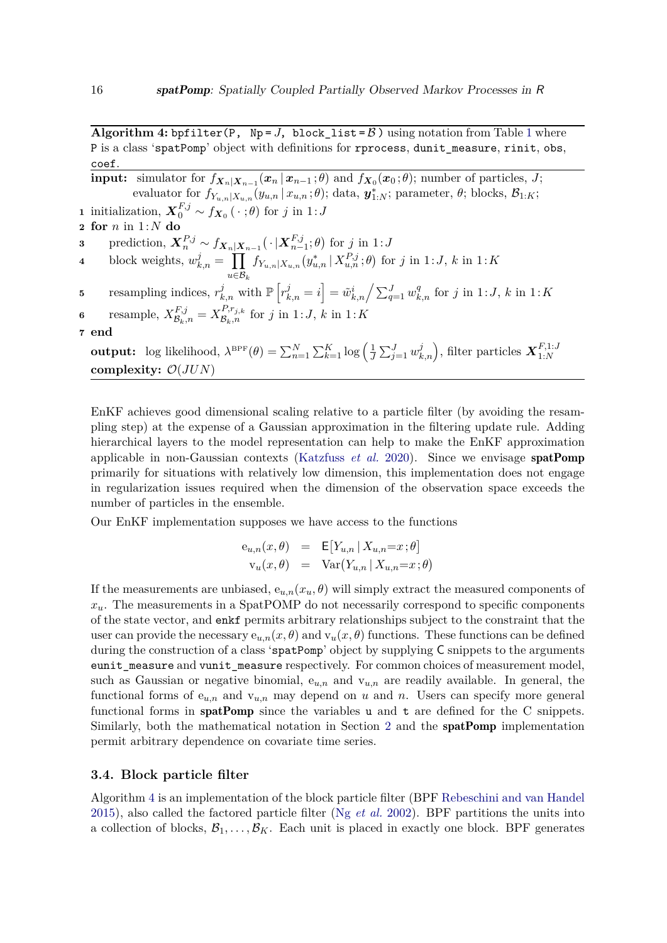**Algorithm 4:** bpfilter(P,  $Np = J$ , block list =  $\beta$ ) using notation from Table [1](#page-5-0) where P is a class 'spatPomp' object with definitions for rprocess, dunit\_measure, rinit, obs, coef.

<span id="page-15-0"></span>**input:** simulator for  $f_{X_n|X_{n-1}}(x_n | x_{n-1}; \theta)$  and  $f_{X_0}(x_0; \theta)$ ; number of particles, *J*;  $\mathbf{e}$ valuator for  $f_{Y_{u,n}|X_{u,n}}(y_{u,n} | x_{u,n}; \theta)$ ; data,  $\mathbf{y}_{1:N}^*$ ; parameter,  $\theta$ ; blocks,  $\mathcal{B}_{1:K}$ ; **1** initialization,  $\mathbf{X}_0^{F,j} \sim f_{\mathbf{X}_0}(\cdot ; \theta)$  for *j* in 1:*J* **2 for** *n* in 1:*N* **do**  $\mathbf{3} \qquad \text{prediction},\ \bm{X}_n^{P,j}\sim f_{\bm{X}_n|\bm{X}_{n-1}}(\,\cdot\,|\bm{X}_{n-1}^{F,j})$  $f_{n-1}^{F,j}$ ; *θ*) for *j* in 1:*J* **4** block weights,  $w_{k,n}^j = \prod$  $u∈B_k$  $f_{Y_{u,n}|X_{u,n}}(y_{u,n}^* | X_{u,n}^{P,j}; \theta)$  for *j* in 1:*J*, *k* in 1:*K* 5 resampling indices,  $r_{k,n}^j$  with  $\mathbb{P}\left[r_{k,n}^j = i\right] = \tilde{w}_{k,n}^i / \sum_{q=1}^J w_{k,n}^q$  for j in 1: J, k in 1: K **6** resample,  $X_{\mathcal{B}_k,n}^{F,j} = X_{\mathcal{B}_k,n}^{P,r_{j,k}}$  for *j* in 1:*J*, *k* in 1:*K* **7 end output:** log likelihood,  $\lambda^{\text{BPF}}(\theta) = \sum_{n=1}^{N} \sum_{k=1}^{K} \log \left( \frac{1}{k} \right)$  $\frac{1}{J} \sum_{j=1}^{J} w_{k,n}^{j}$ , filter particles  $\boldsymbol{X}_{1:N}^{F,1:J}$ 1:*N* **complexity:** O(*JUN*)

EnKF achieves good dimensional scaling relative to a particle filter (by avoiding the resampling step) at the expense of a Gaussian approximation in the filtering update rule. Adding hierarchical layers to the model representation can help to make the EnKF approximation applicable in non-Gaussian contexts [\(Katzfuss](#page-45-7) *et al.* [2020\)](#page-45-7). Since we envisage spatPomp primarily for situations with relatively low dimension, this implementation does not engage in regularization issues required when the dimension of the observation space exceeds the number of particles in the ensemble.

Our EnKF implementation supposes we have access to the functions

$$
e_{u,n}(x,\theta) = \mathbb{E}[Y_{u,n} | X_{u,n} = x; \theta]
$$
  

$$
v_u(x,\theta) = \text{Var}(Y_{u,n} | X_{u,n} = x; \theta)
$$

If the measurements are unbiased,  $e_{u,n}(x_u, \theta)$  will simply extract the measured components of  $x<sub>u</sub>$ . The measurements in a SpatPOMP do not necessarily correspond to specific components of the state vector, and enkf permits arbitrary relationships subject to the constraint that the user can provide the necessary  $e_{u,n}(x, \theta)$  and  $v_u(x, \theta)$  functions. These functions can be defined during the construction of a class 'spatPomp' object by supplying C snippets to the arguments eunit measure and vunit measure respectively. For common choices of measurement model, such as Gaussian or negative binomial,  $e_{u,n}$  and  $v_{u,n}$  are readily available. In general, the functional forms of  $e_{u,n}$  and  $v_{u,n}$  may depend on *u* and *n*. Users can specify more general functional forms in  $\text{spatPomp}$  since the variables u and t are defined for the C snippets. Similarly, both the mathematical notation in Section [2](#page-3-0) and the spatPomp implementation permit arbitrary dependence on covariate time series.

# **3.4. Block particle filter**

Algorithm [4](#page-15-0) is an implementation of the block particle filter (BPF [Rebeschini and van Handel](#page-46-11) [2015\)](#page-46-11), also called the factored particle filter (Ng *[et al.](#page-46-12)* [2002\)](#page-46-12). BPF partitions the units into a collection of blocks,  $\mathcal{B}_1, \ldots, \mathcal{B}_K$ . Each unit is placed in exactly one block. BPF generates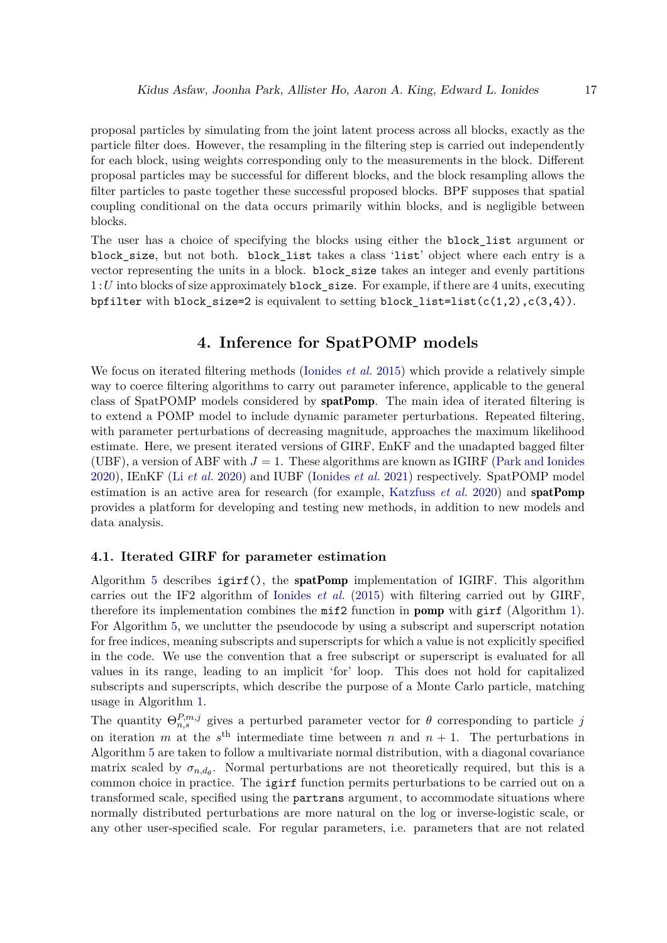proposal particles by simulating from the joint latent process across all blocks, exactly as the particle filter does. However, the resampling in the filtering step is carried out independently for each block, using weights corresponding only to the measurements in the block. Different proposal particles may be successful for different blocks, and the block resampling allows the filter particles to paste together these successful proposed blocks. BPF supposes that spatial coupling conditional on the data occurs primarily within blocks, and is negligible between blocks.

The user has a choice of specifying the blocks using either the **block list** argument or block\_size, but not both. block\_list takes a class 'list' object where each entry is a vector representing the units in a block. block\_size takes an integer and evenly partitions 1 :*U* into blocks of size approximately block\_size. For example, if there are 4 units, executing bpfilter with block size=2 is equivalent to setting block list=list(c(1,2),c(3,4)).

# **4. Inference for SpatPOMP models**

<span id="page-16-0"></span>We focus on iterated filtering methods [\(Ionides](#page-45-8) *et al.* [2015\)](#page-45-8) which provide a relatively simple way to coerce filtering algorithms to carry out parameter inference, applicable to the general class of SpatPOMP models considered by spatPomp. The main idea of iterated filtering is to extend a POMP model to include dynamic parameter perturbations. Repeated filtering, with parameter perturbations of decreasing magnitude, approaches the maximum likelihood estimate. Here, we present iterated versions of GIRF, EnKF and the unadapted bagged filter (UBF), a version of ABF with  $J = 1$ . These algorithms are known as IGIRF [\(Park and Ionides](#page-46-9) [2020\)](#page-46-9), IEnKF (Li *[et al.](#page-45-9)* [2020\)](#page-45-9) and IUBF [\(Ionides](#page-45-5) *et al.* [2021\)](#page-45-5) respectively. SpatPOMP model estimation is an active area for research (for example, [Katzfuss](#page-45-7) *et al.* [2020\)](#page-45-7) and spatPomp provides a platform for developing and testing new methods, in addition to new models and data analysis.

# <span id="page-16-1"></span>**4.1. Iterated GIRF for parameter estimation**

Algorithm [5](#page-17-0) describes  $igirf()$ , the spatPomp implementation of IGIRF. This algorithm carries out the IF2 algorithm of [Ionides](#page-45-8) *et al.* [\(2015\)](#page-45-8) with filtering carried out by GIRF, therefore its implementation combines the mif2 function in pomp with girf (Algorithm [1\)](#page-11-0). For Algorithm [5,](#page-17-0) we unclutter the pseudocode by using a subscript and superscript notation for free indices, meaning subscripts and superscripts for which a value is not explicitly specified in the code. We use the convention that a free subscript or superscript is evaluated for all values in its range, leading to an implicit 'for' loop. This does not hold for capitalized subscripts and superscripts, which describe the purpose of a Monte Carlo particle, matching usage in Algorithm [1.](#page-11-0)

The quantity  $\Theta_{n,s}^{P,m,j}$  gives a perturbed parameter vector for  $\theta$  corresponding to particle *j* on iteration *m* at the  $s<sup>th</sup>$  intermediate time between *n* and  $n + 1$ . The perturbations in Algorithm [5](#page-17-0) are taken to follow a multivariate normal distribution, with a diagonal covariance matrix scaled by  $\sigma_{n,d_\theta}$ . Normal perturbations are not theoretically required, but this is a common choice in practice. The igirf function permits perturbations to be carried out on a transformed scale, specified using the partrans argument, to accommodate situations where normally distributed perturbations are more natural on the log or inverse-logistic scale, or any other user-specified scale. For regular parameters, i.e. parameters that are not related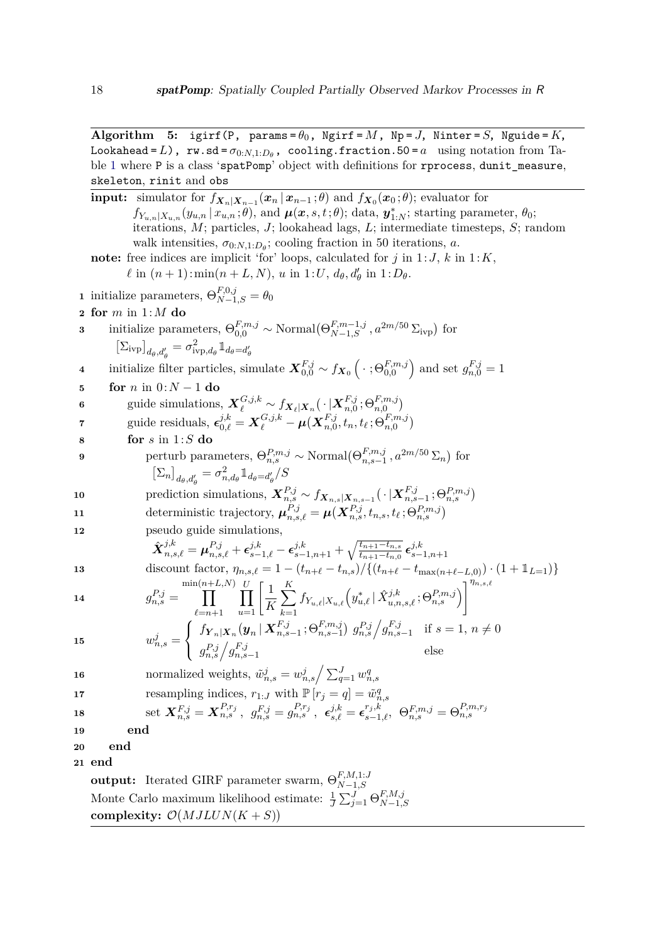**Algorithm** 5: igirf(P, params= $\theta_0$ , Ngirf= $M$ , Np= $J$ , Ninter= $S$ , Nguide= $K$ ,  $\texttt{Look ahead} = L$ ),  $\texttt{rw.sd} = \sigma_{0:N,1:D_\theta}$ ,  $\texttt{cooling.fraction}.50 = a$  using notation from Table [1](#page-5-0) where P is a class 'spatPomp' object with definitions for rprocess, dunit\_measure, skeleton, rinit and obs

<span id="page-17-0"></span>**input:** simulator for  $f_{\boldsymbol{X}_n|\boldsymbol{X}_{n-1}}(\boldsymbol{x}_n | \boldsymbol{x}_{n-1}; \theta)$  and  $f_{\boldsymbol{X}_0}(\boldsymbol{x}_0; \theta)$ ; evaluator for  $f_{Y_{u,n}|X_{u,n}}(y_{u,n}|x_{u,n};\theta)$ , and  $\boldsymbol{\mu}(\boldsymbol{x},s,t;\theta)$ ; data,  $\boldsymbol{y}_{1:N}^*$ ; starting parameter,  $\theta_0$ ; iterations, *M*; particles, *J*; lookahead lags, *L*; intermediate timesteps, *S*; random walk intensities,  $\sigma_{0:N,1:D_\theta}$ ; cooling fraction in 50 iterations, *a*. note: free indices are implicit 'for' loops, calculated for  $j$  in 1:*J*,  $k$  in 1:*K*,  $\ell$  in  $(n + 1)$ : min $(n + L, N)$ , *u* in 1:*U*,  $d_{\theta}$ ,  $d'_{\theta}$  in 1:  $D_{\theta}$ . **1** initialize parameters,  $\Theta_{N-1,S}^{F,0,j} = \theta_0$ **2 for** *m* in 1:*M* **do 3** initialize parameters,  $\Theta_{0,0}^{F,m,j} \sim \text{Normal}(\Theta_{N-1,S}^{F,m-1,j}, a^{2m/50} \Sigma_{\text{ivp}})$  for  $\left[\sum_{\text{ivp}}\right]_{d_{\theta},d_{\theta}'} = \sigma_{\text{ivp},d_{\theta}}^2 \mathbbm{1}_{d_{\theta}=d_{\theta}'}$ *θ* **4** initialize filter particles, simulate  $\mathbf{X}_{0,0}^{F,j} \sim f_{\mathbf{X}_0} \left( \cdot ; \Theta_{0,0}^{F,m,j} \right)$  and set  $g_{n,0}^{F,j} = 1$ **5 for** *n* in 0:*N* − 1 **do**  $\mathbf{6}$  guide simulations,  $\boldsymbol{X}_{\ell}^{G,j,k} \sim f_{\boldsymbol{X}_{\ell}|\boldsymbol{X}_{n}}(\,\cdot\,|\boldsymbol{X}_{n,0}^{F,j})$  $_{n,0}^{F,j};\Theta_{n,0}^{F,m,j})$  $\mathbf{y} = \mathbf{X}^{G,j,k}_{\ell} = \mathbf{X}^{G,j,k}_{\ell} - \boldsymbol{\mu}(\mathbf{X}^{F,j}_{n,0})$  $F_{n,0}^{F,j}, t_n, t_\ell$  ;  $\Theta_{n,0}^{F,m,j})$ **8 for** *s* in 1:*S* **do 9** perturb parameters,  $\Theta_{n,s}^{P,m,j} \sim \text{Normal}(\Theta_{n,s-1}^{F,m,j})$  $f_{n,s-1}^{F,m,j}$ ,  $a^{2m/50} \Sigma_n$  for  $\left[\sum_{n}\right]_{d_{\theta},d'_{\theta}} = \sigma_{n,d_{\theta}}^{2} \mathbb{1}_{d_{\theta}=d'_{\theta}} / S$ 10
prediction simulations,  $\boldsymbol{X}_{n,s}^{P,j} \sim f_{\boldsymbol{X}_{n,s}|\boldsymbol{X}_{n,s-1}}(\cdot|\boldsymbol{X}_{n,s}^{F,j})$  $_{n,s-1}^{F,j};\Theta_{n,s}^{P,m,j})$ 11 deterministic trajectory,  $\boldsymbol{\mu}_{n,s,\ell}^{P,j} = \boldsymbol{\mu}(\boldsymbol{X}_{n,s}^{P,j}, t_{n,s}, t_{\ell} ; \Theta_{n,s}^{P,m,j})$ **12** pseudo guide simulations,  $\hat{\bm{X}}_{n,s,\ell}^{j,k} = \bm{\mu}_{n,s,\ell}^{P,j} + \bm{\epsilon}_{s-1,\ell}^{j,k} - \bm{\epsilon}_{s-1,n+1}^{j,k} + \sqrt{\frac{t_{n+1}-t_{n,s}}{t_{n+1}-t_{n,0}}}$  $\frac{t_{n+1}-t_{n,s}}{t_{n+1}-t_{n,0}}$   $\epsilon_{s-}^{j,k}$ *s*−1*,n*+1 13 discount factor,  $\eta_{n,s,\ell} = 1 - (t_{n+\ell} - t_{n,s}) / \{(t_{n+\ell} - t_{\max(n+\ell-L,0)}) \cdot (1 + 1_{L=1})\}$ **14**  $g_{n,s}^{P,j} =$ min(*n* $\Pi$  $+L,N$  $\ell = n+1$  $\Pi$  $\prod_{u=1}^{U} \left[ \frac{1}{K} \right]$ *K*  $\sum$ *K k*=1  $f_{Y_{u,\ell}|X_{u,\ell}}\Big(y_{u,\ell}^*\,|\, \hat{X}_{u,n,s,\ell}^{j,k}; \Theta_{n,s}^{P,m,j}\Big)$  $\eta_{n,s,\ell}$ 15  $w_{n,s}^j =$  $\sqrt{ }$  $\frac{1}{2}$  $\mathcal{L}$  $f_{\boldsymbol{Y}_n|\boldsymbol{X}_n}(\boldsymbol{y}_n\,|\,\boldsymbol{X}_{n,s}^{F,j})$  $F_{n,s-1}^{F,j}$ ; $\Theta_{n,s-1}^{F,m,j}$ )  $g_{n,s}^{P,j}$  $/g_{n,s}^{F,j}$  $\int_{n,s-1}^{r,j}$  if  $s = 1, n \neq 0$  $g_{n,s}^{P,j} \left/ g_{n,s}^{F,j} \right.$ *n*,*s*−1
else **16** normalized weights,  $\tilde{w}_{n,s}^j = w_{n,s}^j / \sum_{q=1}^J w_{n,s}^q$ **17** resampling indices,  $r_{1:J}$  with  $\mathbb{P}[r_j = q] = \tilde{w}_{n,s}^q$  $\text{18} \qquad \qquad \text{set} \,\, \bm{X}^{F,j}_{n,s} = \bm{X}^{P,r_j}_{n,s} \,, \,\,\, g^{F,j}_{n,s} = g^{P,r_j}_{n,s} \,, \,\,\, \bm{\epsilon}^{j,k}_{s,\ell} = \bm{\epsilon}^{r_j,k}_{s-1,\ell} , \,\,\, \Theta^{F,m,j}_{n,s} = \Theta^{P,m,r_j}_{n,s}$ **19 end 20 end 21 end output:** Iterated GIRF parameter swarm,  $\Theta_{N-1}^{F,M,1:J}$ *N*−1*,S* Monte Carlo maximum likelihood estimate:  $\frac{1}{J} \sum_{j=1}^{J} \Theta_{N-1,j}^{F,M,j}$ *N*−1*,S* complexity:  $\mathcal{O}(MJLUN(K+S))$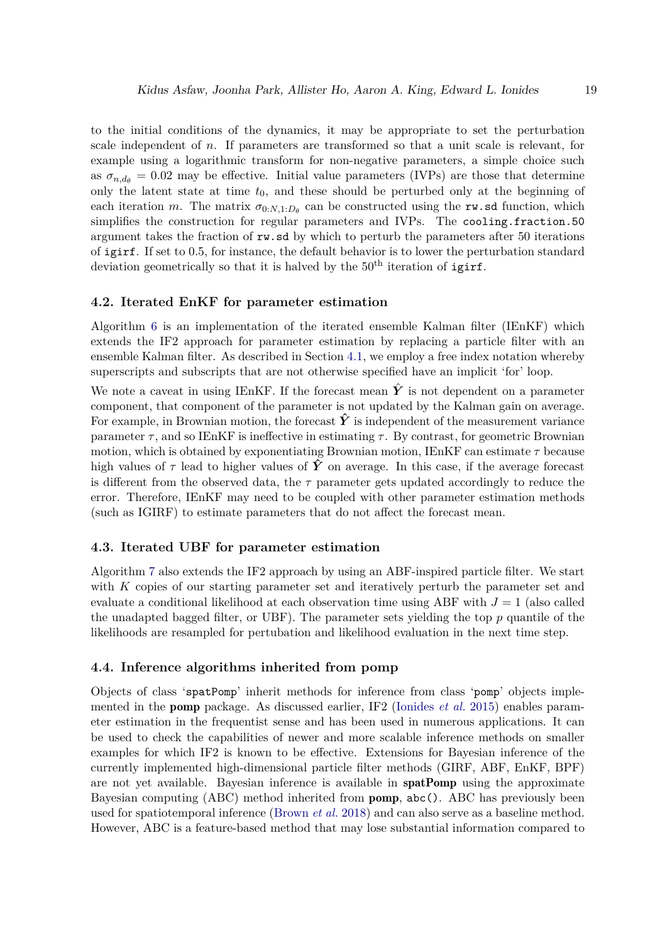to the initial conditions of the dynamics, it may be appropriate to set the perturbation scale independent of *n*. If parameters are transformed so that a unit scale is relevant, for example using a logarithmic transform for non-negative parameters, a simple choice such as  $\sigma_{n,d} = 0.02$  may be effective. Initial value parameters (IVPs) are those that determine only the latent state at time  $t_0$ , and these should be perturbed only at the beginning of each iteration *m*. The matrix  $\sigma_{0:N,1:D_\theta}$  can be constructed using the rw.sd function, which simplifies the construction for regular parameters and IVPs. The cooling.fraction.50 argument takes the fraction of rw.sd by which to perturb the parameters after 50 iterations of igirf. If set to 0.5, for instance, the default behavior is to lower the perturbation standard deviation geometrically so that it is halved by the  $50<sup>th</sup>$  iteration of igirf.

# <span id="page-18-0"></span>**4.2. Iterated EnKF for parameter estimation**

Algorithm [6](#page-19-0) is an implementation of the iterated ensemble Kalman filter (IEnKF) which extends the IF2 approach for parameter estimation by replacing a particle filter with an ensemble Kalman filter. As described in Section [4.1,](#page-16-1) we employ a free index notation whereby superscripts and subscripts that are not otherwise specified have an implicit 'for' loop.

We note a caveat in using IEnKF. If the forecast mean  $\hat{Y}$  is not dependent on a parameter component, that component of the parameter is not updated by the Kalman gain on average. For example, in Brownian motion, the forecast  $\hat{Y}$  is independent of the measurement variance parameter  $\tau$ , and so IEnKF is ineffective in estimating  $\tau$ . By contrast, for geometric Brownian motion, which is obtained by exponentiating Brownian motion, IEnKF can estimate *τ* because high values of  $\tau$  lead to higher values of  $\hat{Y}$  on average. In this case, if the average forecast is different from the observed data, the  $\tau$  parameter gets updated accordingly to reduce the error. Therefore, IEnKF may need to be coupled with other parameter estimation methods (such as IGIRF) to estimate parameters that do not affect the forecast mean.

#### **4.3. Iterated UBF for parameter estimation**

Algorithm [7](#page-20-0) also extends the IF2 approach by using an ABF-inspired particle filter. We start with *K* copies of our starting parameter set and iteratively perturb the parameter set and evaluate a conditional likelihood at each observation time using ABF with  $J = 1$  (also called the unadapted bagged filter, or UBF). The parameter sets yielding the top *p* quantile of the likelihoods are resampled for pertubation and likelihood evaluation in the next time step.

### **4.4. Inference algorithms inherited from pomp**

Objects of class 'spatPomp' inherit methods for inference from class 'pomp' objects implemented in the pomp package. As discussed earlier, IF2 [\(Ionides](#page-45-8) *et al.* [2015\)](#page-45-8) enables parameter estimation in the frequentist sense and has been used in numerous applications. It can be used to check the capabilities of newer and more scalable inference methods on smaller examples for which IF2 is known to be effective. Extensions for Bayesian inference of the currently implemented high-dimensional particle filter methods (GIRF, ABF, EnKF, BPF) are not yet available. Bayesian inference is available in spatPomp using the approximate Bayesian computing (ABC) method inherited from pomp, abc(). ABC has previously been used for spatiotemporal inference [\(Brown](#page-43-9) *et al.* [2018\)](#page-43-9) and can also serve as a baseline method. However, ABC is a feature-based method that may lose substantial information compared to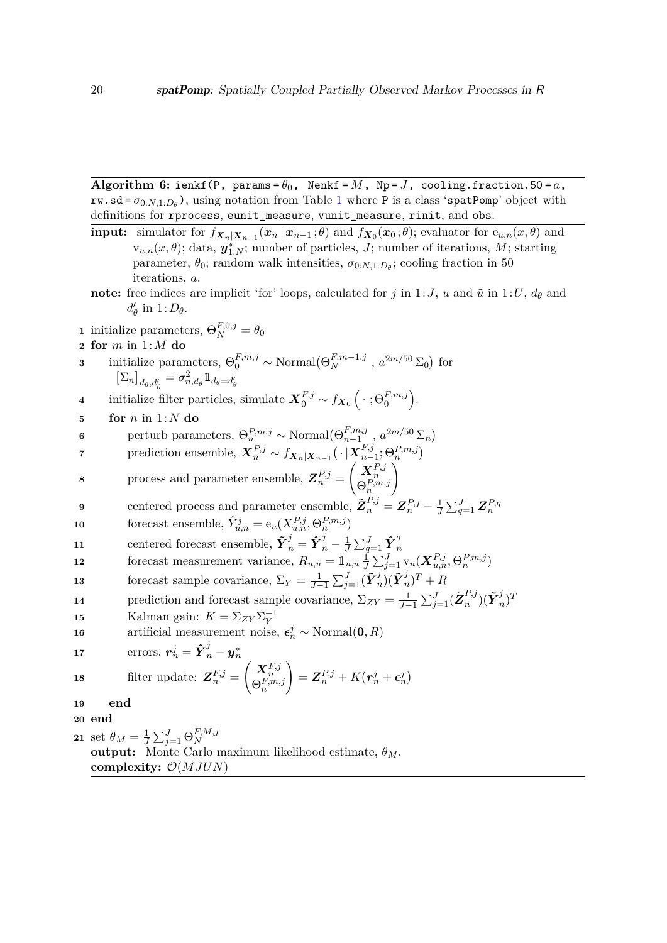Algorithm 6: ienkf(P, params= $\theta_0$ , Nenkf= $M$ , Np= $J$ , cooling.fraction.50=a,  $rw$ .sd =  $\sigma_{0:N,1:D_\theta}$  $\sigma_{0:N,1:D_\theta}$  $\sigma_{0:N,1:D_\theta}$ , using notation from Table 1 where P is a class 'spatPomp' object with definitions for rprocess, eunit\_measure, vunit\_measure, rinit, and obs.

- <span id="page-19-0"></span>**input:** simulator for  $f_{X_n|X_{n-1}}(x_n | x_{n-1}; \theta)$  and  $f_{X_0}(x_0; \theta)$ ; evaluator for  $e_{u,n}(x, \theta)$  and  $\mathbf{v}_{u,n}(x,\theta)$ ; data,  $\mathbf{y}_{1:N}^*$ ; number of particles, *J*; number of iterations, *M*; starting parameter,  $\theta_0$ ; random walk intensities,  $\sigma_{0:N,1:D_\theta}$ ; cooling fraction in 50 iterations, *a*. **note:** free indices are implicit 'for' loops, calculated for *j* in 1:*J*, *u* and  $\tilde{u}$  in 1:*U*,  $d_{\theta}$  and  $d'_{\theta}$  in  $1:D_{\theta}$ .
- **1** initialize parameters,  $\Theta_N^{F,0,j} = \theta_0$
- **2 for** *m* in 1:*M* **do**
- **3** initialize parameters,  $\Theta_0^{F,m,j} \sim \text{Normal}(\Theta_N^{F,m-1,j}, a^{2m/50} \Sigma_0)$  for  $\left[\sum_{n}\right]_{d_{\theta},d_{\theta}'} = \sigma_{n,d_{\theta}}^{2} \mathbb{1}_{d_{\theta}=d_{\theta}'}$
- **4** initialize filter particles, simulate  $\mathbf{X}_{0}^{F,j} \sim f_{\mathbf{X}_{0}}\left(\cdot ; \Theta_{0}^{F,m,j}\right)$ .
- **5 for** *n* in 1:*N* **do**
- **6** perturb parameters,  $\Theta_n^{P,m,j} \sim \text{Normal}(\Theta_{n-1}^{F,m,j})$  $_{n-1}^{F,m,j}$ ,  $a^{2m/50}$   $\Sigma_n$ )
- $\mathbf{r}$  prediction ensemble,  $\mathbf{X}_n^{P,j} \sim f_{\mathbf{X}_n|\mathbf{X}_{n-1}}(\cdot|\mathbf{X}_{n-1}^{F,j})$  $_{n-1}^{F,j};\Theta_{n}^{P,m,j})$  $\setminus$
- **8** process and parameter ensemble,  $\mathbf{Z}_n^{P,j} =$  $\begin{pmatrix} \boldsymbol{X}^{P,j}_n \ \Theta^{P,m,j}_n \end{pmatrix}$

9 centered process and parameter ensemble, 
$$
\tilde{\mathbf{Z}}_n^{P,j} = \mathbf{Z}_n^{P,j} - \frac{1}{J} \sum_{q=1}^J \mathbf{Z}_n^{P,q}
$$

- **10** forecast ensemble,  $\hat{Y}_{u,n}^j = e_u(X_{u,n}^{P,j}, \Theta_n^{P,m,j})$
- **11** centered forecast ensemble,  $\tilde{\boldsymbol{Y}}_n^j = \hat{\boldsymbol{Y}}_n^j \frac{1}{J}$  $\frac{1}{J}\sum_{q=1}^J \hat{\boldsymbol{Y}}_r^q$ *n*
- 12 forecast measurement variance,  $R_{u,\tilde{u}} = \mathbb{1}_{u,\tilde{u}} \frac{1}{J}$  $\frac{1}{J}\sum_{j=1}^J \mathrm{v}_u(\boldsymbol{X}_{u,n}^{P,j},\Theta_n^{P,m,j})$
- **13** forecast sample covariance,  $\Sigma_Y = \frac{1}{J-1} \sum_{j=1}^J (\tilde{\boldsymbol{Y}}_j^j)$  $\sum_{j=1}^{j}(\tilde{\boldsymbol{Y}}_{r}^{j})$  $\binom{J}{n}$ <sup>T</sup> + *R*
- **14** prediction and forecast sample covariance,  $\Sigma_{ZY} = \frac{1}{J-1} \sum_{j=1}^{J} (\tilde{\mathbf{Z}}_n^{P,j})$  $_{n}^{P,j})(\tilde{\boldsymbol{Y}}_{n}^{j}% \boldsymbol{\beta})\coloneqq(\tilde{\boldsymbol{\alpha}}_{n}^{P,j})\mathcal{Y}_{n}^{j}(\tilde{\boldsymbol{\alpha}}_{n}^{j})$  $\binom{J}{n}$ <sup>T</sup>
- **15** Kalman gain:  $K = \sum_{ZY} \sum_{Y}^{-1}$
- **16** artificial measurement noise,  $\epsilon_n^j \sim \text{Normal}(\mathbf{0}, R)$

17 errors, 
$$
\mathbf{r}_n^j = \hat{\mathbf{Y}}_n^j - \mathbf{y}_n^*
$$
  
18 filter update:  $\mathbf{Z}_n^{F,j} = \begin{pmatrix} \mathbf{X}_n^{F,j} \\ \Theta_n^{F,m,j} \end{pmatrix} = \mathbf{Z}_n^{P,j} + K(\mathbf{r}_n^j + \boldsymbol{\epsilon}_n^j)$ 

- **19 end**
- **20 end**

**21** set  $\theta_M = \frac{1}{J}$  $\frac{1}{J}\sum_{j=1}^{J}\Theta_{N}^{F,M,j}$ *N* **output:** Monte Carlo maximum likelihood estimate, *θM*. **complexity:** O(*MJUN*)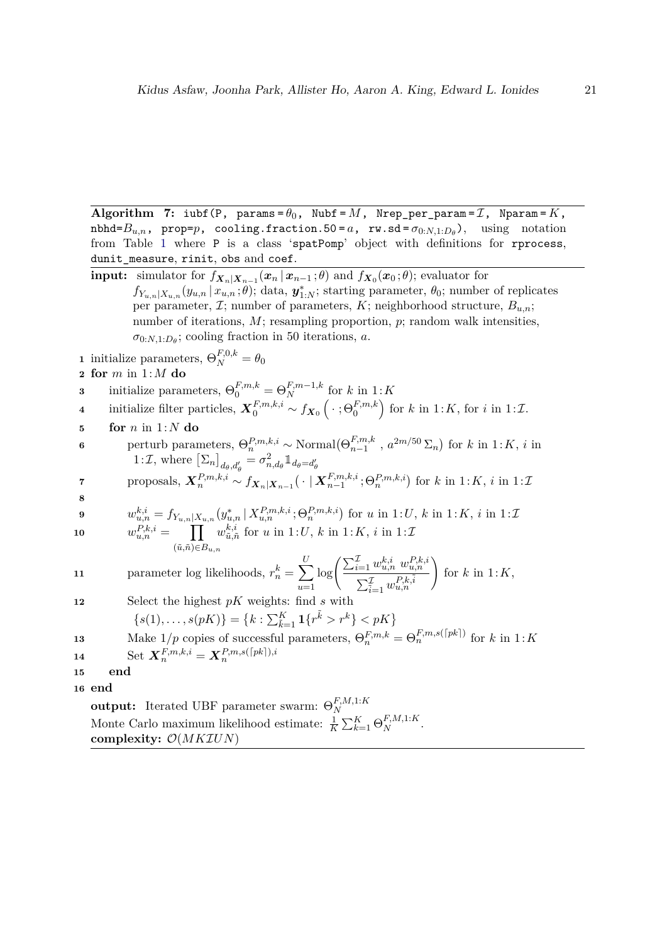**Algorithm 7:** iubf(P, params =  $\theta_0$ , Nubf = M, Nrep\_per\_param =  $\mathcal{I}$ , Nparam =  $K$ ,  $m$ bhd= $B$ <sub>*u,n*</sub>, prop= $p$ , cooling.fraction.50 = *a*, rw.sd =  $\sigma$ <sub>0:</sub>*N*,1: $D$  $_{\theta}$  $)$ , using notation from Table [1](#page-5-0) where P is a class 'spatPomp' object with definitions for rprocess, dunit\_measure, rinit, obs and coef.

<span id="page-20-0"></span>**input:** simulator for 
$$
f_{\mathbf{X}_n|\mathbf{X}_{n-1}}(\mathbf{x}_n | \mathbf{x}_{n-1}; \theta)
$$
 and  $f_{\mathbf{X}_0}(\mathbf{x}_0; \theta)$ ; evaluator for  $f_{Y_{u,n}|X_{u,n}}(y_{u,n} | x_{u,n}; \theta)$ ; data,  $\mathbf{y}_{1:N}^*$ ; starting parameter,  $\theta_0$ ; number of replicates per parameter,  $\mathcal{I}$ ; number of parameters,  $K$ ; neighborhood structure,  $B_{u,n}$ ; number of iterations,  $M$ ; resampling proportion,  $p$ ; random walk intensities,  $\sigma_{0:N,1:D_\theta}$ ; cooling fraction in 50 iterations,  $a$ .  
1 initialize parameters,  $\Theta_N^{F,0,k} = \theta_0$   
**2 for**  $m$  in 1:  $M$  **do**  
3 initialize parameters,  $\Theta_0^{F,m,k} = \Theta_N^{F,m-1,k}$  for  $k$  in 1:  $K$   
4 initialize filter particles,  $\mathbf{X}_0^{F,m,k,i} \sim f_{\mathbf{X}_0}(\cdot ; \Theta_0^{F,m,k})$  for  $k$  in 1:  $K$ , for  $i$  in 1:  $\mathcal{I}$ .  
**for**  $n$  in 1:  $N$  **do**

**6** perturb parameters,  $\Theta_n^{P,m,k,i} \sim \text{Normal}(\Theta_{n-1}^{F,m,k}$  $f^{F,m,k}_{n-1}$ ,  $a^{2m/50}$  ∑<sub>*n*</sub></sub> for *k* in 1:*K*, *i* in 1:*T*, where  $\left[\Sigma_n\right]_{d_{\theta},d'_{\theta}} = \sigma_{n,d_{\theta}}^2 \mathbb{1}_{d_{\theta}=d'_{\theta}}$ 

$$
\mathbf{7} \qquad \text{proposals}, \ \mathbf{X}_n^{P,m,k,i} \sim f_{\mathbf{X}_n|\mathbf{X}_{n-1}}(\cdot \mid \mathbf{X}_{n-1}^{F,m,k,i}; \Theta_n^{P,m,k,i}) \text{ for } k \text{ in } 1:K, \ i \text{ in } 1:K
$$

9 
$$
w_{u,n}^{k,i} = f_{Y_{u,n}|X_{u,n}}(y_{u,n}^* | X_{u,n}^{P,m,k,i}; \Theta_n^{P,m,k,i}) \text{ for } u \text{ in } 1:U, k \text{ in } 1:K, i \text{ in } 1:U
$$

 $w_{u,n}^{P,k,i} = \prod$ (˜*u,n*˜)∈*Bu,n*  $w_{\tilde{u},\tilde{i}}^{k,i}$  $\tilde{u}_{\tilde{u},\tilde{n}}^{k,i}$  for *u* in 1:*U*, *k* in 1:*K*, *i* in 1:*L* 

11 parameter log likelihoods, 
$$
r_n^k = \sum_{u=1}^U \log \left( \frac{\sum_{i=1}^{\mathcal{I}} w_{u,n}^{k,i} w_{u,n}^{P,k,i}}{\sum_{i=1}^{\mathcal{I}} w_{u,n}^{P,k,i}} \right)
$$
 for  $k$  in  $1:K$ ,

**12** Select the highest *pK* weights: find *s* with

$$
\{s(1),\ldots,s(pK)\} = \{k : \sum_{k=1}^{K} \mathbf{1}\{r^k > r^k\} < pK\}
$$

**13** Make  $1/p$  copies of successful parameters,  $\Theta_n^{F,m,k} = \Theta_n^{F,m,s(\lceil pk \rceil)}$  for *k* in  $1:K$  $14$  Set  $\boldsymbol{X}_n^{F,m,k,i} = \boldsymbol{X}_n^{P,m,s(\lceil pk \rceil),i}$ 

$$
14
$$

**15 end**

**16 end**

**output:** Iterated UBF parameter swarm:  $\Theta_N^{F,M,1:K}$ *N* Monte Carlo maximum likelihood estimate:  $\frac{1}{K} \sum_{k=1}^{K} \Theta_N^{F,M,1:K}$ . **complexity:** O(*MK*I*UN*)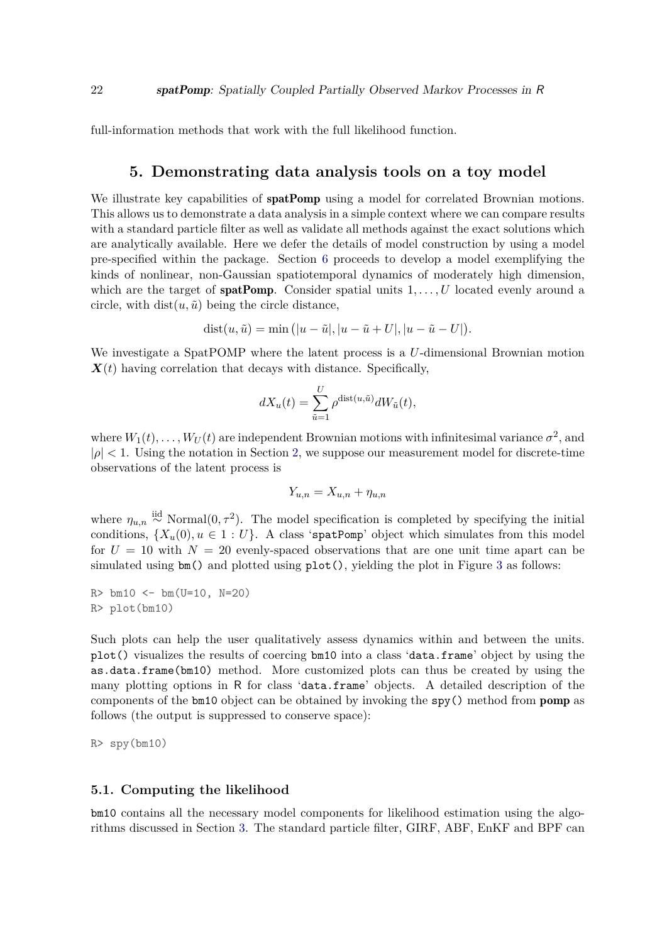full-information methods that work with the full likelihood function.

# **5. Demonstrating data analysis tools on a toy model**

<span id="page-21-0"></span>We illustrate key capabilities of **spatPomp** using a model for correlated Brownian motions. This allows us to demonstrate a data analysis in a simple context where we can compare results with a standard particle filter as well as validate all methods against the exact solutions which are analytically available. Here we defer the details of model construction by using a model pre-specified within the package. Section [6](#page-29-0) proceeds to develop a model exemplifying the kinds of nonlinear, non-Gaussian spatiotemporal dynamics of moderately high dimension, which are the target of **spatPomp**. Consider spatial units  $1, \ldots, U$  located evenly around a circle, with  $dist(u, \tilde{u})$  being the circle distance,

$$
dist(u, \tilde{u}) = \min\left(|u - \tilde{u}|, |u - \tilde{u} + U|, |u - \tilde{u} - U|\right).
$$

We investigate a SpatPOMP where the latent process is a *U*-dimensional Brownian motion  $\mathbf{X}(t)$  having correlation that decays with distance. Specifically,

$$
dX_u(t) = \sum_{\tilde{u}=1}^U \rho^{\text{dist}(u,\tilde{u})} dW_{\tilde{u}}(t),
$$

where  $W_1(t), \ldots, W_U(t)$  are independent Brownian motions with infinitesimal variance  $\sigma^2$ , and  $|\rho| < 1$ . Using the notation in Section [2,](#page-3-0) we suppose our measurement model for discrete-time observations of the latent process is

$$
Y_{u,n} = X_{u,n} + \eta_{u,n}
$$

where  $\eta_{u,n} \stackrel{\text{iid}}{\sim} \text{Normal}(0, \tau^2)$ . The model specification is completed by specifying the initial conditions,  $\{X_u(0), u \in 1 : U\}$ . A class 'spatPomp' object which simulates from this model for  $U = 10$  with  $N = 20$  evenly-spaced observations that are one unit time apart can be simulated using  $bm($ ) and plotted using  $plot()$ , yielding the plot in Figure [3](#page-22-0) as follows:

 $R>bm10 < -bm(U=10, N=20)$ R> plot(bm10)

Such plots can help the user qualitatively assess dynamics within and between the units. plot() visualizes the results of coercing bm10 into a class 'data.frame' object by using the as.data.frame(bm10) method. More customized plots can thus be created by using the many plotting options in R for class 'data.frame' objects. A detailed description of the components of the  $b$ m10 object can be obtained by invoking the spy() method from **pomp** as follows (the output is suppressed to conserve space):

 $R>$  spy(bm10)

# **5.1. Computing the likelihood**

bm10 contains all the necessary model components for likelihood estimation using the algorithms discussed in Section [3.](#page-9-0) The standard particle filter, GIRF, ABF, EnKF and BPF can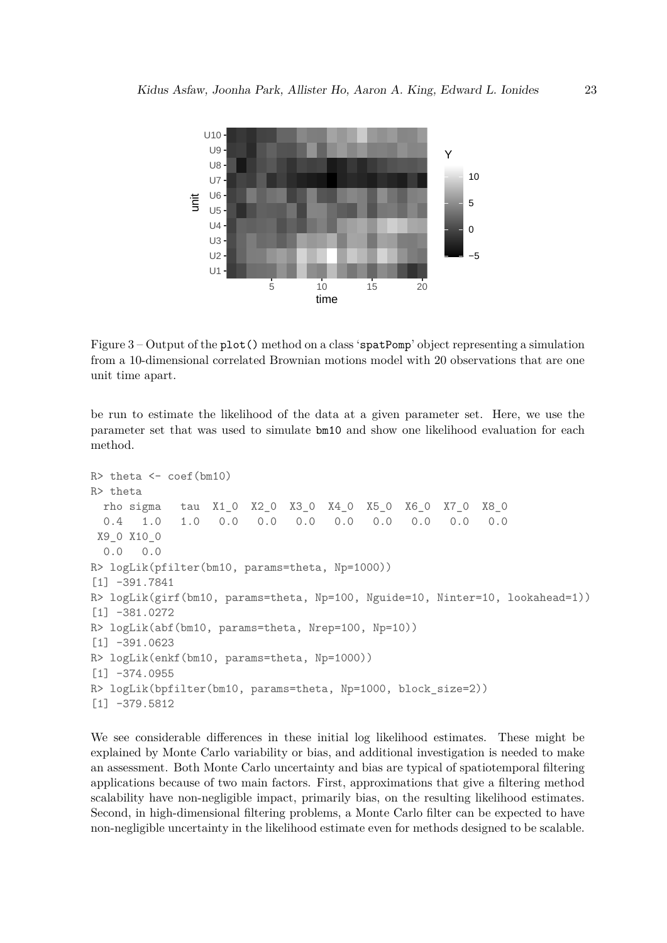<span id="page-22-0"></span>

Figure 3 – Output of the plot() method on a class 'spatPomp' object representing a simulation from a 10-dimensional correlated Brownian motions model with 20 observations that are one unit time apart.

be run to estimate the likelihood of the data at a given parameter set. Here, we use the parameter set that was used to simulate bm10 and show one likelihood evaluation for each method.

```
R> theta \leftarrow coef(bm10)
R> theta
  rho sigma tau X1_0 X2_0 X3_0 X4_0 X5_0 X6_0 X7_0 X8_0
  0.4 1.0 1.0 0.0 0.0 0.0 0.0 0.0 0.0 0.0 0.0
 X9_0 X10_0
  0.0 0.0
R> logLik(pfilter(bm10, params=theta, Np=1000))
[1] -391.7841
R> logLik(girf(bm10, params=theta, Np=100, Nguide=10, Ninter=10, lookahead=1))
[1] -381.0272
R> logLik(abf(bm10, params=theta, Nrep=100, Np=10))
[1] -391.0623
R> logLik(enkf(bm10, params=theta, Np=1000))
\lceil 1 \rceil -374.0955
R> logLik(bpfilter(bm10, params=theta, Np=1000, block_size=2))
[1] -379.5812
```
We see considerable differences in these initial log likelihood estimates. These might be explained by Monte Carlo variability or bias, and additional investigation is needed to make an assessment. Both Monte Carlo uncertainty and bias are typical of spatiotemporal filtering applications because of two main factors. First, approximations that give a filtering method scalability have non-negligible impact, primarily bias, on the resulting likelihood estimates. Second, in high-dimensional filtering problems, a Monte Carlo filter can be expected to have non-negligible uncertainty in the likelihood estimate even for methods designed to be scalable.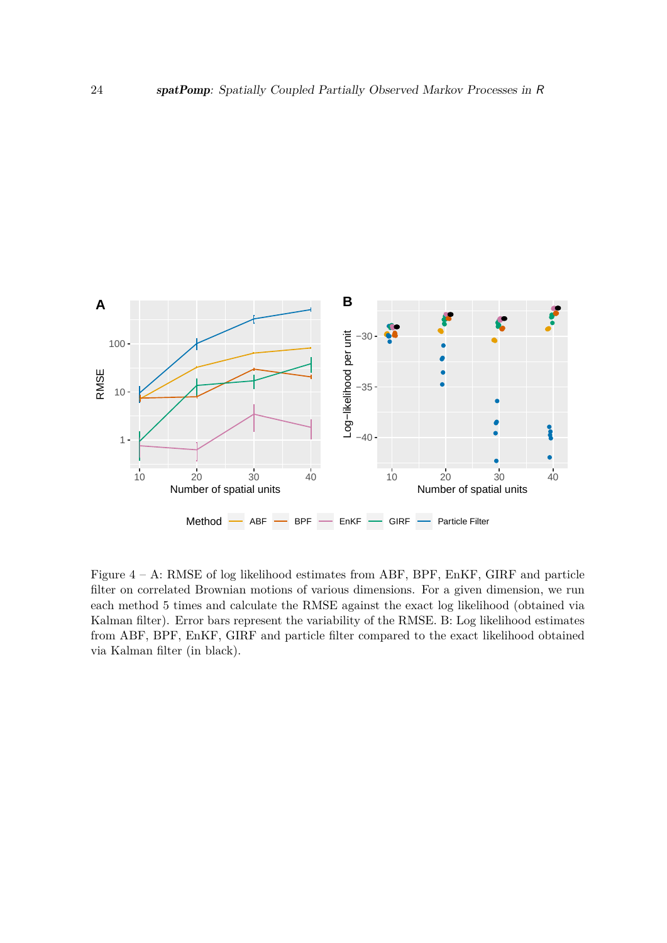<span id="page-23-0"></span>

Figure  $4 - A$ : RMSE of log likelihood estimates from ABF, BPF, EnKF, GIRF and particle filter on correlated Brownian motions of various dimensions. For a given dimension, we run each method 5 times and calculate the RMSE against the exact log likelihood (obtained via Kalman filter). Error bars represent the variability of the RMSE. B: Log likelihood estimates from ABF, BPF, EnKF, GIRF and particle filter compared to the exact likelihood obtained via Kalman filter (in black).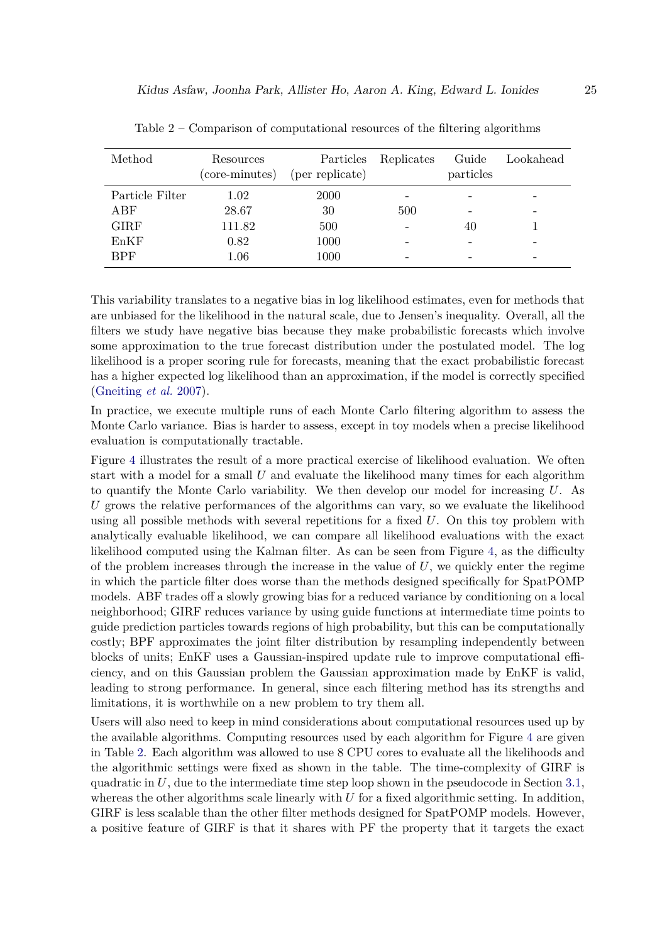<span id="page-24-0"></span>

| Method          | Resources<br>(core-minutes) | Particles<br>(per replicate) | Replicates | Guide<br>particles       | Lookahead |
|-----------------|-----------------------------|------------------------------|------------|--------------------------|-----------|
| Particle Filter | 1.02                        | 2000                         |            |                          |           |
| ABF             | 28.67                       | 30                           | 500        | $\overline{\phantom{0}}$ |           |
| <b>GIRF</b>     | 111.82                      | 500                          |            | 40                       |           |
| EnKF            | 0.82                        | 1000                         |            |                          |           |
| <b>BPF</b>      | $1.06\,$                    | 1000                         |            |                          |           |

Table 2 – Comparison of computational resources of the filtering algorithms

This variability translates to a negative bias in log likelihood estimates, even for methods that are unbiased for the likelihood in the natural scale, due to Jensen's inequality. Overall, all the filters we study have negative bias because they make probabilistic forecasts which involve some approximation to the true forecast distribution under the postulated model. The log likelihood is a proper scoring rule for forecasts, meaning that the exact probabilistic forecast has a higher expected log likelihood than an approximation, if the model is correctly specified [\(Gneiting](#page-44-10) *et al.* [2007\)](#page-44-10).

In practice, we execute multiple runs of each Monte Carlo filtering algorithm to assess the Monte Carlo variance. Bias is harder to assess, except in toy models when a precise likelihood evaluation is computationally tractable.

Figure [4](#page-23-0) illustrates the result of a more practical exercise of likelihood evaluation. We often start with a model for a small *U* and evaluate the likelihood many times for each algorithm to quantify the Monte Carlo variability. We then develop our model for increasing *U*. As *U* grows the relative performances of the algorithms can vary, so we evaluate the likelihood using all possible methods with several repetitions for a fixed *U*. On this toy problem with analytically evaluable likelihood, we can compare all likelihood evaluations with the exact likelihood computed using the Kalman filter. As can be seen from Figure [4,](#page-23-0) as the difficulty of the problem increases through the increase in the value of  $U$ , we quickly enter the regime in which the particle filter does worse than the methods designed specifically for SpatPOMP models. ABF trades off a slowly growing bias for a reduced variance by conditioning on a local neighborhood; GIRF reduces variance by using guide functions at intermediate time points to guide prediction particles towards regions of high probability, but this can be computationally costly; BPF approximates the joint filter distribution by resampling independently between blocks of units; EnKF uses a Gaussian-inspired update rule to improve computational efficiency, and on this Gaussian problem the Gaussian approximation made by EnKF is valid, leading to strong performance. In general, since each filtering method has its strengths and limitations, it is worthwhile on a new problem to try them all.

Users will also need to keep in mind considerations about computational resources used up by the available algorithms. Computing resources used by each algorithm for Figure [4](#page-23-0) are given in Table [2.](#page-24-0) Each algorithm was allowed to use 8 CPU cores to evaluate all the likelihoods and the algorithmic settings were fixed as shown in the table. The time-complexity of GIRF is quadratic in *U*, due to the intermediate time step loop shown in the pseudocode in Section [3.1,](#page-9-1) whereas the other algorithms scale linearly with *U* for a fixed algorithmic setting. In addition, GIRF is less scalable than the other filter methods designed for SpatPOMP models. However, a positive feature of GIRF is that it shares with PF the property that it targets the exact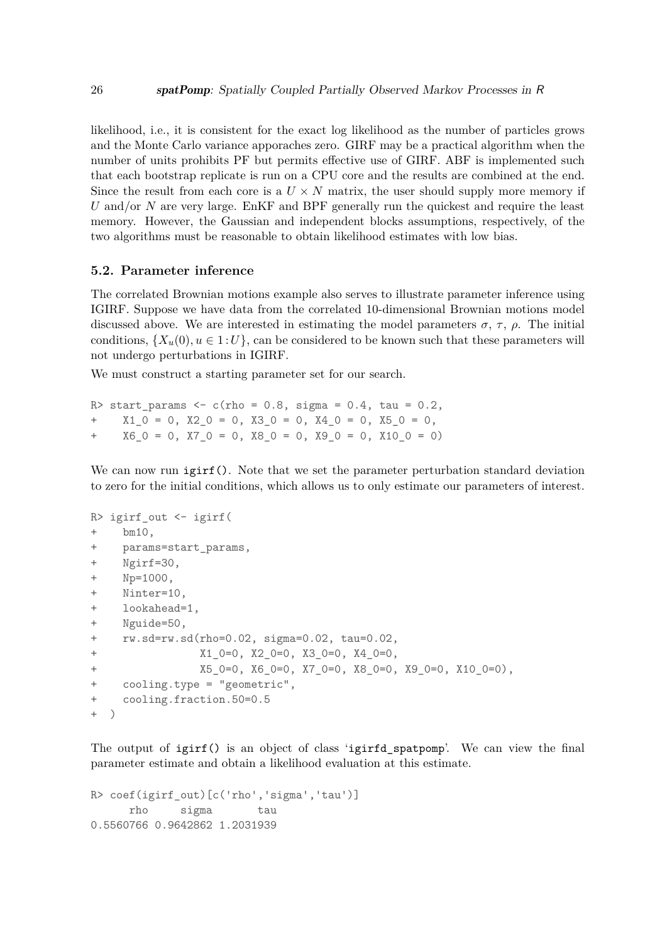likelihood, i.e., it is consistent for the exact log likelihood as the number of particles grows and the Monte Carlo variance apporaches zero. GIRF may be a practical algorithm when the number of units prohibits PF but permits effective use of GIRF. ABF is implemented such that each bootstrap replicate is run on a CPU core and the results are combined at the end. Since the result from each core is a  $U \times N$  matrix, the user should supply more memory if *U* and/or *N* are very large. EnKF and BPF generally run the quickest and require the least memory. However, the Gaussian and independent blocks assumptions, respectively, of the two algorithms must be reasonable to obtain likelihood estimates with low bias.

### **5.2. Parameter inference**

The correlated Brownian motions example also serves to illustrate parameter inference using IGIRF. Suppose we have data from the correlated 10-dimensional Brownian motions model discussed above. We are interested in estimating the model parameters  $\sigma$ ,  $\tau$ ,  $\rho$ . The initial conditions,  $\{X_u(0), u \in 1 : U\}$ , can be considered to be known such that these parameters will not undergo perturbations in IGIRF.

We must construct a starting parameter set for our search.

R> start params  $\leq c$  (rho = 0.8, sigma = 0.4, tau = 0.2,  $X1$  0 = 0, X2 0 = 0, X3 0 = 0, X4 0 = 0, X5 0 = 0,  $+$  X6 0 = 0, X7 0 = 0, X8 0 = 0, X9 0 = 0, X10 0 = 0)

We can now run igirf(). Note that we set the parameter perturbation standard deviation to zero for the initial conditions, which allows us to only estimate our parameters of interest.

```
R> igirf_out <- igirf(
+ bm10,
+ params=start_params,
+ Ngirf=30,
+ Np=1000,
+ Ninter=10,
+ lookahead=1,
+ Nguide=50,
+ rw.sd=rw.sd(rho=0.02, sigma=0.02, tau=0.02,
               X1_0=0, X2_0=0, X3_0=0, X4_0=0,
+ X5_0=0, X6_0=0, X7_0=0, X8_0=0, X9_0=0, X10_0=0),
+ cooling.type = "geometric",
+ cooling.fraction.50=0.5
+ )
```
The output of igirf() is an object of class 'igirfd spatpomp'. We can view the final parameter estimate and obtain a likelihood evaluation at this estimate.

```
R> coef(igirf_out)[c('rho','sigma','tau')]
     rho sigma tau
0.5560766 0.9642862 1.2031939
```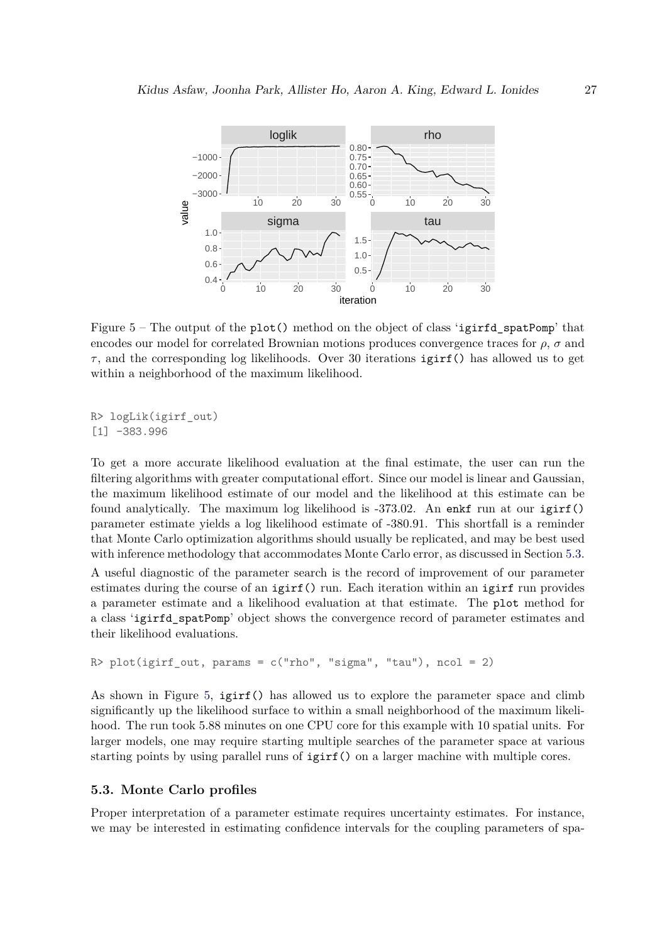<span id="page-26-1"></span>

Figure  $5$  – The output of the plot() method on the object of class 'igirfd spatPomp' that encodes our model for correlated Brownian motions produces convergence traces for  $\rho$ ,  $\sigma$  and  $\tau$ , and the corresponding log likelihoods. Over 30 iterations igirf() has allowed us to get within a neighborhood of the maximum likelihood.

```
R> logLik(igirf_out)
[1] -383.996
```
To get a more accurate likelihood evaluation at the final estimate, the user can run the filtering algorithms with greater computational effort. Since our model is linear and Gaussian, the maximum likelihood estimate of our model and the likelihood at this estimate can be found analytically. The maximum log likelihood is -373.02. An enkf run at our igirf() parameter estimate yields a log likelihood estimate of -380.91. This shortfall is a reminder that Monte Carlo optimization algorithms should usually be replicated, and may be best used with inference methodology that accommodates Monte Carlo error, as discussed in Section [5.3.](#page-26-0)

A useful diagnostic of the parameter search is the record of improvement of our parameter estimates during the course of an igirf() run. Each iteration within an igirf run provides a parameter estimate and a likelihood evaluation at that estimate. The plot method for a class 'igirfd\_spatPomp' object shows the convergence record of parameter estimates and their likelihood evaluations.

```
R> plot(igirf out, params = c("rho", "sigma", "tau"), ncol = 2)
```
As shown in Figure [5,](#page-26-1) igirf() has allowed us to explore the parameter space and climb significantly up the likelihood surface to within a small neighborhood of the maximum likelihood. The run took 5.88 minutes on one CPU core for this example with 10 spatial units. For larger models, one may require starting multiple searches of the parameter space at various starting points by using parallel runs of igirf() on a larger machine with multiple cores.

# <span id="page-26-0"></span>**5.3. Monte Carlo profiles**

Proper interpretation of a parameter estimate requires uncertainty estimates. For instance, we may be interested in estimating confidence intervals for the coupling parameters of spa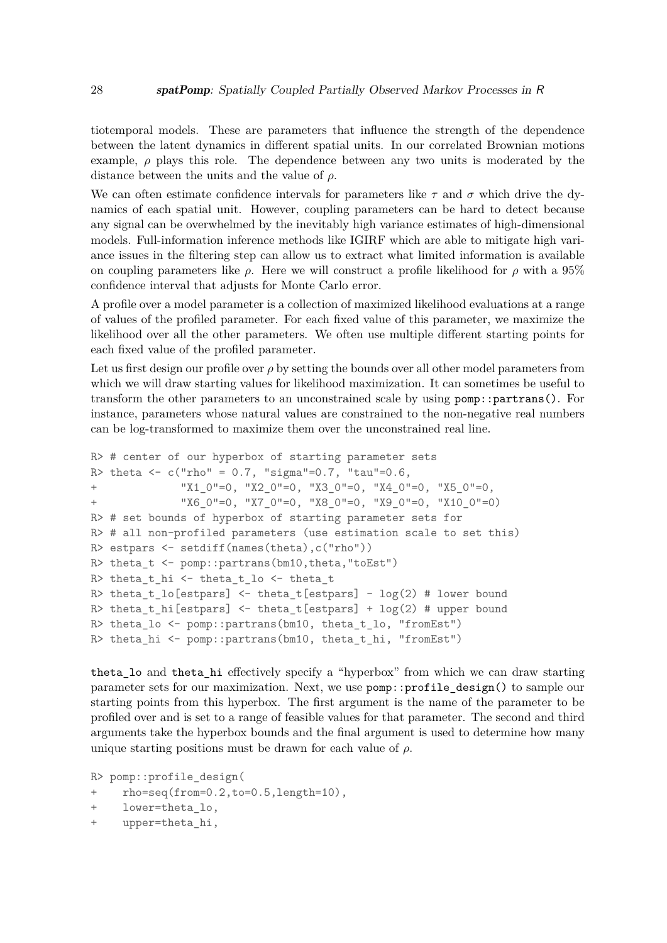tiotemporal models. These are parameters that influence the strength of the dependence between the latent dynamics in different spatial units. In our correlated Brownian motions example,  $\rho$  plays this role. The dependence between any two units is moderated by the distance between the units and the value of *ρ*.

We can often estimate confidence intervals for parameters like  $\tau$  and  $\sigma$  which drive the dynamics of each spatial unit. However, coupling parameters can be hard to detect because any signal can be overwhelmed by the inevitably high variance estimates of high-dimensional models. Full-information inference methods like IGIRF which are able to mitigate high variance issues in the filtering step can allow us to extract what limited information is available on coupling parameters like  $\rho$ . Here we will construct a profile likelihood for  $\rho$  with a 95% confidence interval that adjusts for Monte Carlo error.

A profile over a model parameter is a collection of maximized likelihood evaluations at a range of values of the profiled parameter. For each fixed value of this parameter, we maximize the likelihood over all the other parameters. We often use multiple different starting points for each fixed value of the profiled parameter.

Let us first design our profile over  $\rho$  by setting the bounds over all other model parameters from which we will draw starting values for likelihood maximization. It can sometimes be useful to transform the other parameters to an unconstrained scale by using pomp::partrans(). For instance, parameters whose natural values are constrained to the non-negative real numbers can be log-transformed to maximize them over the unconstrained real line.

```
R> # center of our hyperbox of starting parameter sets
R> theta <- c("rho" = 0.7, "sigma"=0.7, "tau"=0.6,
+ "X1_0"=0, "X2_0"=0, "X3_0"=0, "X4_0"=0, "X5_0"=0,
+ "X6_0"=0, "X7_0"=0, "X8_0"=0, "X9_0"=0, "X10_0"=0)
R> # set bounds of hyperbox of starting parameter sets for
R> # all non-profiled parameters (use estimation scale to set this)
R> estpars <- setdiff(names(theta),c("rho"))
R> theta_t <- pomp::partrans(bm10,theta,"toEst")
R> theta_t_hi <- theta_t_lo <- theta_t
R> theta t_lo[estpars] <- theta_t[estpars] - log(2) # lower bound
R> theta t hi[estpars] <- theta t[estpars] + log(2) # upper bound
R> theta_lo <- pomp::partrans(bm10, theta_t_lo, "fromEst")
R> theta_hi <- pomp::partrans(bm10, theta_t_hi, "fromEst")
```
theta lo and theta hi effectively specify a "hyperbox" from which we can draw starting parameter sets for our maximization. Next, we use pomp::profile\_design() to sample our starting points from this hyperbox. The first argument is the name of the parameter to be profiled over and is set to a range of feasible values for that parameter. The second and third arguments take the hyperbox bounds and the final argument is used to determine how many unique starting positions must be drawn for each value of *ρ*.

```
R> pomp::profile_design(
+ rho=seq(from=0.2,to=0.5,length=10),
+ lower=theta_lo,
```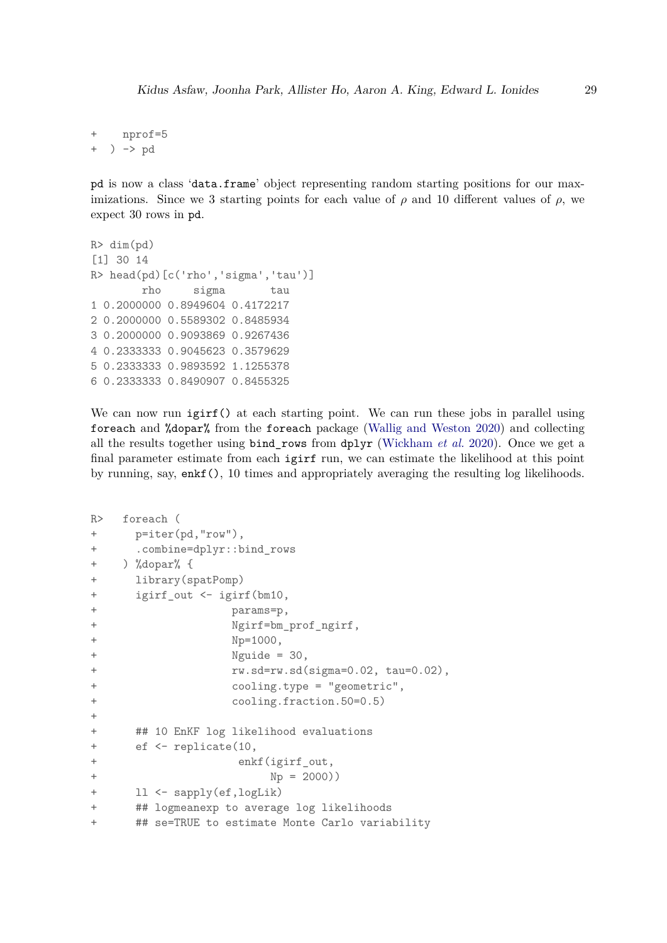+ nprof=5 + ) -> pd

pd is now a class 'data.frame' object representing random starting positions for our maximizations. Since we 3 starting points for each value of  $\rho$  and 10 different values of  $\rho$ , we expect 30 rows in pd.

```
R > dim(pd)[1] 30 14
R> head(pd)[c('rho','sigma','tau')]
        rho sigma tau
1 0.2000000 0.8949604 0.4172217
2 0.2000000 0.5589302 0.8485934
3 0.2000000 0.9093869 0.9267436
4 0.2333333 0.9045623 0.3579629
5 0.2333333 0.9893592 1.1255378
6 0.2333333 0.8490907 0.8455325
```
We can now run igirf() at each starting point. We can run these jobs in parallel using foreach and %dopar% from the foreach package [\(Wallig and Weston](#page-47-4) [2020\)](#page-47-4) and collecting all the results together using bind\_rows from dplyr [\(Wickham](#page-47-6) *et al.* [2020\)](#page-47-6). Once we get a final parameter estimate from each igirf run, we can estimate the likelihood at this point by running, say, enkf(), 10 times and appropriately averaging the resulting log likelihoods.

```
R> foreach (
+ p=iter(pd,"row"),
+ .combine=dplyr::bind_rows
+ ) %dopar% {
+ library(spatPomp)
+ igirf_out <- igirf(bm10,
+ params=p,
+ Ngirf=bm_prof_ngirf,
+ Np=1000,
+ Nguide = 30,
+ rw.sd=rw.sd(sigma=0.02, tau=0.02),
+ cooling.type = "geometric",
+ cooling.fraction.50=0.5)
+
+ ## 10 EnKF log likelihood evaluations
+ ef <- replicate(10,
+ enkf(igirf_out,
+ Np = 2000))
+ ll <- sapply(ef,logLik)
+ ## logmeanexp to average log likelihoods
+ ## se=TRUE to estimate Monte Carlo variability
```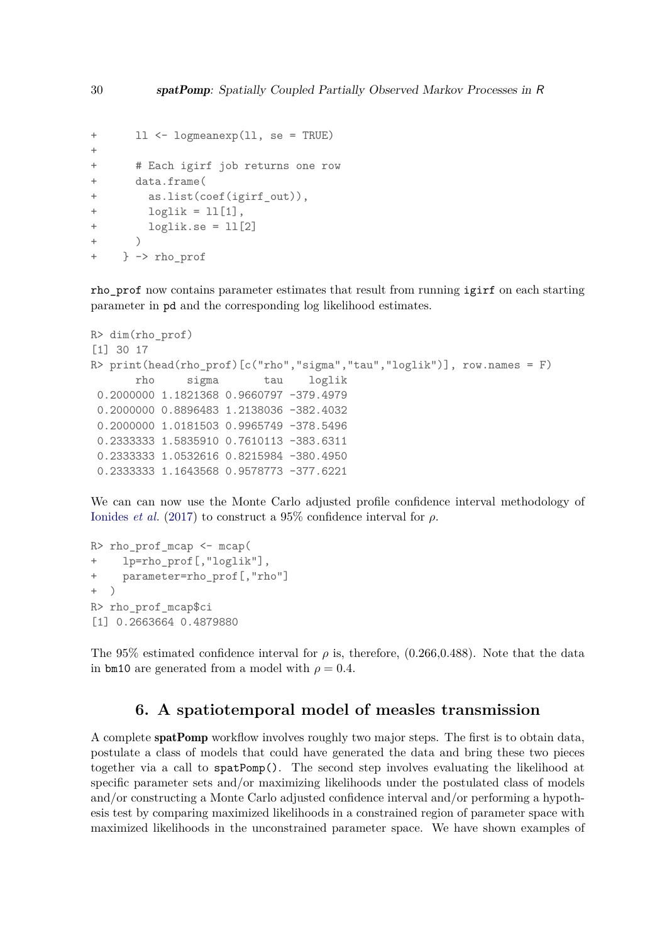```
+ ll <- logmeanexp(ll, se = TRUE)
+
+ # Each igirf job returns one row
+ data.frame(
+ as.list(coef(igirf_out)),
+ loglik = ll[1],
       loglik.se = 11[2]+ )
+ } -> rho_prof
```
rho prof now contains parameter estimates that result from running igirf on each starting parameter in pd and the corresponding log likelihood estimates.

```
R> dim(rho_prof)
[1] 30 17
R> print(head(rho\_prof)[c("rho", "sigma", "tau", "loglik")), row.names = F)
       rho sigma tau loglik
 0.2000000 1.1821368 0.9660797 -379.4979
 0.2000000 0.8896483 1.2138036 -382.4032
 0.2000000 1.0181503 0.9965749 -378.5496
 0.2333333 1.5835910 0.7610113 -383.6311
 0.2333333 1.0532616 0.8215984 -380.4950
 0.2333333 1.1643568 0.9578773 -377.6221
```
We can can now use the Monte Carlo adjusted profile confidence interval methodology of [Ionides](#page-45-10) *et al.* [\(2017\)](#page-45-10) to construct a 95% confidence interval for *ρ*.

```
R> rho prof mcap \leq mcap(
+ lp=rho_prof[,"loglik"],
+ parameter=rho_prof[,"rho"]
+ )
R> rho_prof_mcap$ci
[1] 0.2663664 0.4879880
```
The 95% estimated confidence interval for  $\rho$  is, therefore, (0.266,0.488). Note that the data in bm10 are generated from a model with  $\rho = 0.4$ .

# **6. A spatiotemporal model of measles transmission**

<span id="page-29-0"></span>A complete spatPomp workflow involves roughly two major steps. The first is to obtain data, postulate a class of models that could have generated the data and bring these two pieces together via a call to spatPomp(). The second step involves evaluating the likelihood at specific parameter sets and/or maximizing likelihoods under the postulated class of models and/or constructing a Monte Carlo adjusted confidence interval and/or performing a hypothesis test by comparing maximized likelihoods in a constrained region of parameter space with maximized likelihoods in the unconstrained parameter space. We have shown examples of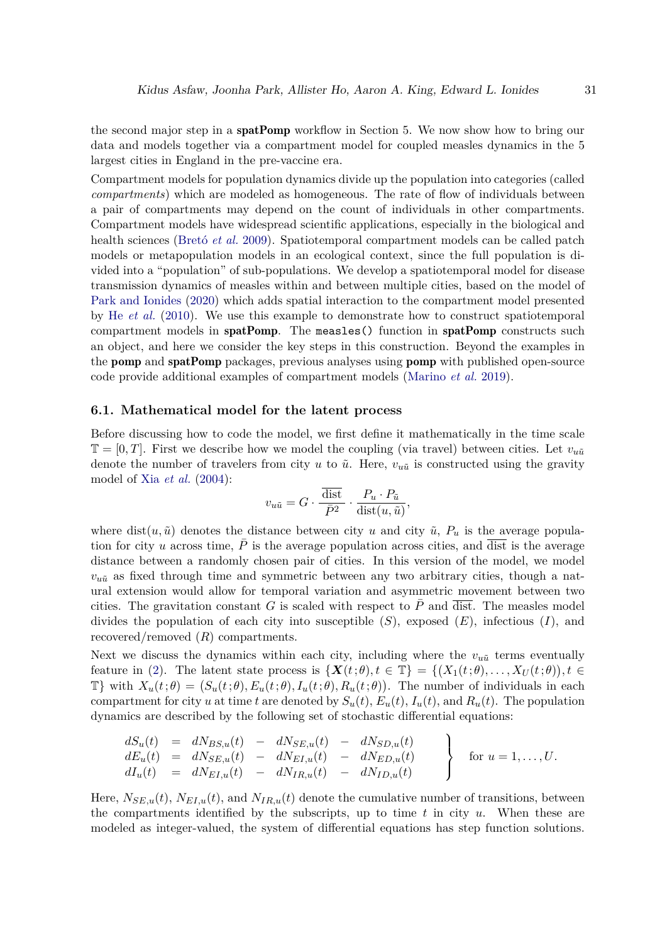the second major step in a **spatPomp** workflow in Section 5. We now show how to bring our data and models together via a compartment model for coupled measles dynamics in the 5 largest cities in England in the pre-vaccine era.

Compartment models for population dynamics divide up the population into categories (called *compartments*) which are modeled as homogeneous. The rate of flow of individuals between a pair of compartments may depend on the count of individuals in other compartments. Compartment models have widespread scientific applications, especially in the biological and health sciences [\(Bretó](#page-43-1) *et al.* [2009\)](#page-43-1). Spatiotemporal compartment models can be called patch models or metapopulation models in an ecological context, since the full population is divided into a "population" of sub-populations. We develop a spatiotemporal model for disease transmission dynamics of measles within and between multiple cities, based on the model of [Park and Ionides](#page-46-9) [\(2020\)](#page-46-9) which adds spatial interaction to the compartment model presented by He *[et al.](#page-45-1)* [\(2010\)](#page-45-1). We use this example to demonstrate how to construct spatiotemporal compartment models in spatPomp. The measles() function in spatPomp constructs such an object, and here we consider the key steps in this construction. Beyond the examples in the pomp and spatPomp packages, previous analyses using pomp with published open-source code provide additional examples of compartment models [\(Marino](#page-46-6) *et al.* [2019\)](#page-46-6).

## **6.1. Mathematical model for the latent process**

Before discussing how to code the model, we first define it mathematically in the time scale  $\mathbb{T} = [0, T]$ . First we describe how we model the coupling (via travel) between cities. Let  $v_{\nu \tilde{u}}$ denote the number of travelers from city *u* to  $\tilde{u}$ . Here,  $v_{\tilde{u}}\tilde{u}$  is constructed using the gravity model of Xia *[et al.](#page-47-7)* [\(2004\)](#page-47-7):

$$
v_{u\tilde{u}} = G \cdot \frac{\overline{\text{dist}}}{\overline{P}^2} \cdot \frac{P_u \cdot P_{\tilde{u}}}{\text{dist}(u, \tilde{u})},
$$

where dist $(u, \tilde{u})$  denotes the distance between city *u* and city  $\tilde{u}$ ,  $P_u$  is the average population for city *u* across time,  $\overline{P}$  is the average population across cities, and  $\overline{dist}$  is the average distance between a randomly chosen pair of cities. In this version of the model, we model  $v_{\tilde{u}}$  as fixed through time and symmetric between any two arbitrary cities, though a natural extension would allow for temporal variation and asymmetric movement between two cities. The gravitation constant  $G$  is scaled with respect to  $P$  and  $\overline{dist}$ . The measles model divides the population of each city into susceptible (*S*), exposed (*E*), infectious (*I*), and recovered/removed (*R*) compartments.

Next we discuss the dynamics within each city, including where the  $v_{\mu\tilde{u}}$  terms eventually feature in [\(2\)](#page-31-0). The latent state process is  $\{X(t;\theta), t \in \mathbb{T}\} = \{(X_1(t;\theta), \ldots, X_U(t;\theta)), t \in \mathbb{T}\}$  $\mathbb{T}\}$  with  $X_u(t;\theta) = (S_u(t;\theta), E_u(t;\theta), I_u(t;\theta), R_u(t;\theta))$ . The number of individuals in each compartment for city *u* at time *t* are denoted by  $S_u(t)$ ,  $E_u(t)$ ,  $I_u(t)$ , and  $R_u(t)$ . The population dynamics are described by the following set of stochastic differential equations:

$$
\begin{array}{rcl}\ndS_u(t) & = & dN_{BS,u}(t) & - & dN_{SE,u}(t) & - & dN_{SD,u}(t) \\
dE_u(t) & = & dN_{SE,u}(t) & - & dN_{EI,u}(t) & - & dN_{ED,u}(t) \\
dI_u(t) & = & dN_{EI,u}(t) & - & dN_{ID,u}(t) & - & dN_{ID,u}(t)\n\end{array}\n\bigg\} \quad \text{for } u = 1, \ldots, U.
$$

Here,  $N_{SE,u}(t)$ ,  $N_{EI,u}(t)$ , and  $N_{IR,u}(t)$  denote the cumulative number of transitions, between the compartments identified by the subscripts, up to time *t* in city *u*. When these are modeled as integer-valued, the system of differential equations has step function solutions.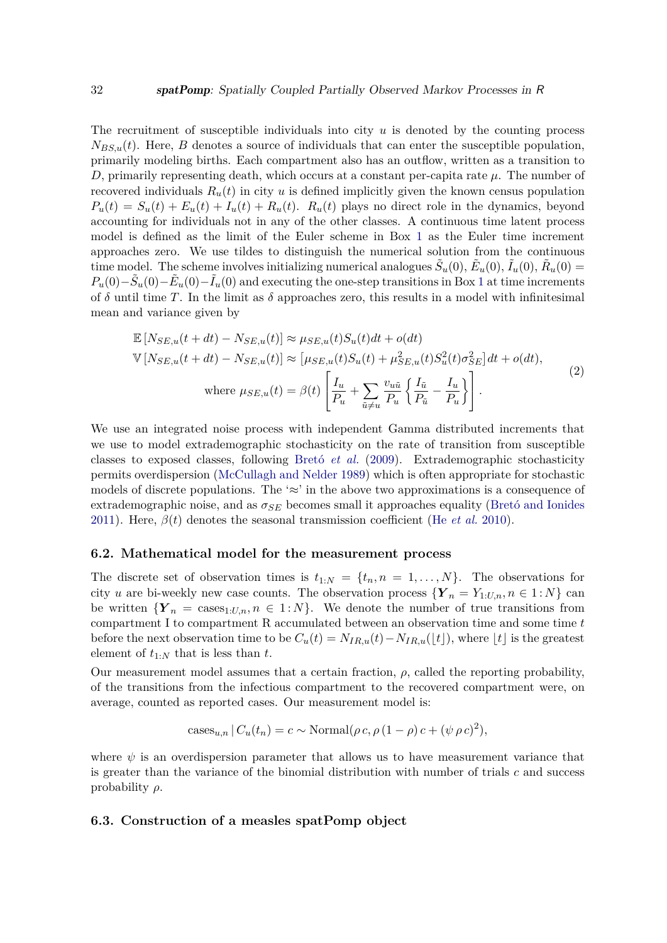The recruitment of susceptible individuals into city *u* is denoted by the counting process  $N_{BS,u}(t)$ . Here, *B* denotes a source of individuals that can enter the susceptible population, primarily modeling births. Each compartment also has an outflow, written as a transition to *D*, primarily representing death, which occurs at a constant per-capita rate *µ*. The number of recovered individuals  $R_u(t)$  in city *u* is defined implicitly given the known census population  $P_u(t) = S_u(t) + E_u(t) + I_u(t) + R_u(t)$ .  $R_u(t)$  plays no direct role in the dynamics, beyond accounting for individuals not in any of the other classes. A continuous time latent process model is defined as the limit of the Euler scheme in Box [1](#page-32-0) as the Euler time increment approaches zero. We use tildes to distinguish the numerical solution from the continuous time model. The scheme involves initializing numerical analogues  $\tilde{S}_u(0), \tilde{E}_u(0), \tilde{I}_u(0), \tilde{R}_u(0) =$  $P_u(0) - \tilde{S}_u(0) - \tilde{E}_u(0) - \tilde{I}_u(0)$  and executing the one-step transitions in Box [1](#page-32-0) at time increments of  $\delta$  until time T. In the limit as  $\delta$  approaches zero, this results in a model with infinitesimal mean and variance given by

<span id="page-31-0"></span>
$$
\mathbb{E}\left[N_{SE,u}(t+dt) - N_{SE,u}(t)\right] \approx \mu_{SE,u}(t)S_u(t)dt + o(dt)
$$
\n
$$
\mathbb{V}\left[N_{SE,u}(t+dt) - N_{SE,u}(t)\right] \approx \left[\mu_{SE,u}(t)S_u(t) + \mu_{SE,u}^2(t)S_u^2(t)\sigma_{SE}^2\right]dt + o(dt),
$$
\nwhere  $\mu_{SE,u}(t) = \beta(t)\left[\frac{I_u}{P_u} + \sum_{\tilde{u}\neq u} \frac{v_{\tilde{u}\tilde{u}}}{P_u} \left\{\frac{I_{\tilde{u}}}{P_{\tilde{u}}} - \frac{I_u}{P_u}\right\}\right].$ \n
$$
(2)
$$

We use an integrated noise process with independent Gamma distributed increments that we use to model extrademographic stochasticity on the rate of transition from susceptible classes to exposed classes, following [Bretó](#page-43-1) *et al.* [\(2009\)](#page-43-1). Extrademographic stochasticity permits overdispersion [\(McCullagh and Nelder](#page-46-13) [1989\)](#page-46-13) which is often appropriate for stochastic models of discrete populations. The ' $\approx$ ' in the above two approximations is a consequence of extrademographic noise, and as  $\sigma_{SE}$  becomes small it approaches equality [\(Bretó and Ionides](#page-43-10) [2011\)](#page-43-10). Here,  $\beta(t)$  denotes the seasonal transmission coefficient (He *[et al.](#page-45-1)* [2010\)](#page-45-1).

#### **6.2. Mathematical model for the measurement process**

The discrete set of observation times is  $t_{1:N} = \{t_n, n = 1, \ldots, N\}$ . The observations for city *u* are bi-weekly new case counts. The observation process  ${Y}_n = Y_{1:U,n}, n \in 1:N$  can be written  ${Y}_n = \text{cases}_{1:U,n}, n \in 1:N$ . We denote the number of true transitions from compartment I to compartment R accumulated between an observation time and some time *t* before the next observation time to be  $C_u(t) = N_{IR,u}(t) - N_{IR,u}(\lfloor t \rfloor)$ , where  $\lfloor t \rfloor$  is the greatest element of *t*1:*<sup>N</sup>* that is less than *t*.

Our measurement model assumes that a certain fraction,  $\rho$ , called the reporting probability, of the transitions from the infectious compartment to the recovered compartment were, on average, counted as reported cases. Our measurement model is:

$$
cases_{u,n} | C_u(t_n) = c \sim \text{Normal}(\rho c, \rho (1 - \rho) c + (\psi \rho c)^2),
$$

where  $\psi$  is an overdispersion parameter that allows us to have measurement variance that is greater than the variance of the binomial distribution with number of trials *c* and success probability *ρ*.

### **6.3. Construction of a measles spatPomp object**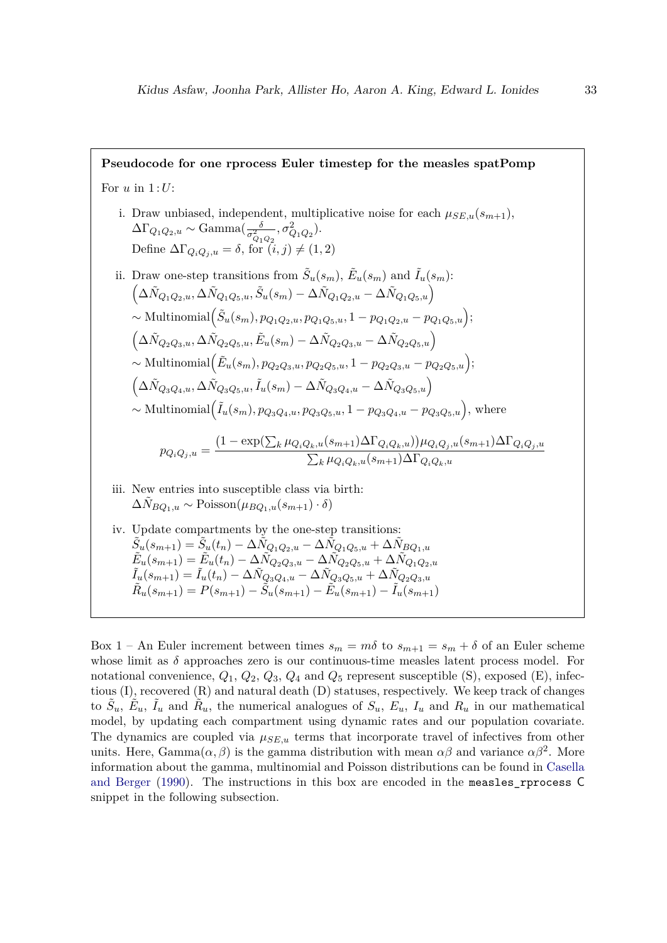<span id="page-32-0"></span>**Pseudocode for one rprocess Euler timestep for the measles spatPomp** For *u* in 1 :*U*: i. Draw unbiased, independent, multiplicative noise for each  $\mu_{SE,u}(s_{m+1}),$  $\Delta\Gamma_{Q_1Q_2,u} \sim \text{Gamma}(\frac{\delta}{\sigma_{Q_1Q_2}^2})$  $, \sigma^2_{Q_1Q_2}).$ Define  $\Delta \Gamma_{Q_i Q_j, u} = \delta$ , for  $(i, j) \neq (1, 2)$ ii. Draw one-step transitions from  $\tilde{S}_u(s_m)$ ,  $\tilde{E}_u(s_m)$  and  $\tilde{I}_u(s_m)$ :  $\left( \Delta \tilde{N}_{Q_1 Q_2, u}, \Delta \tilde{N}_{Q_1 Q_5, u}, \tilde{S}_u(s_m) - \Delta \tilde{N}_{Q_1 Q_2, u} - \Delta \tilde{N}_{Q_1 Q_5, u} \right)$  $\sim$  Multinomial $(\tilde{S}_u(s_m), p_{Q_1Q_2,u}, p_{Q_1Q_5,u}, 1 - p_{Q_1Q_2,u} - p_{Q_1Q_5,u});$  $\left( \Delta \tilde{N}_{Q_2Q_3,u}, \Delta \tilde{N}_{Q_2Q_5,u}, \tilde{E}_u(s_m) - \Delta \tilde{N}_{Q_2Q_3,u} - \Delta \tilde{N}_{Q_2Q_5,u} \right)$  $\sim$  Multinomial $(\tilde{E}_u(s_m), p_{Q_2Q_3,u}, p_{Q_2Q_5,u}, 1-p_{Q_2Q_3,u}-p_{Q_2Q_5,u});$  $(\Delta \tilde{N}_{Q_3Q_4,u}, \Delta \tilde{N}_{Q_3Q_5,u}, \tilde{I}_u(s_m) - \Delta \tilde{N}_{Q_3Q_4,u} - \Delta \tilde{N}_{Q_3Q_5,u})$  $\sim$  Multinomial $(\tilde{I}_u(s_m), p_{Q_3Q_4,u}, p_{Q_3Q_5,u}, 1 - p_{Q_3Q_4,u} - p_{Q_3Q_5,u}),$  where  $p_{Q_iQ_j,u} =$  $(1 - \exp(\sum_k \mu_{Q_iQ_k,u}(s_{m+1})\Delta\Gamma_{Q_iQ_k,u}))\mu_{Q_iQ_j,u}(s_{m+1})\Delta\Gamma_{Q_iQ_j,u}$  $\sum_{k} \mu_{Q_i Q_k, u}(s_{m+1}) \Delta \Gamma_{Q_i Q_k, u}$ iii. New entries into susceptible class via birth:  $\Delta N_{BO_1,u} \sim \text{Poisson}(\mu_{BO_1,u}(s_{m+1}) \cdot \delta)$ iv. Update compartments by the one-step transitions:  $\tilde{S_u}(s_{m+1}) = \tilde{S}_u(t_n) - \Delta \tilde{N}_{Q_1Q_2,u} - \Delta \tilde{N}_{Q_1Q_5,u} + \Delta \tilde{N}_{BQ_1,u}$  $\tilde{E}_{u}(s_{m+1}) = \tilde{E}_{u}(t_{n}) - \Delta \tilde{N}$  $\tilde{Q}_{2}Q_{3,u} - \Delta \tilde{N}$  $\tilde{Q}_{2}Q_{5,u} + \Delta \tilde{N}$  $\tilde{Q}_{1}Q_{2,u}$  $\tilde{I}_{u}(s_{m+1}) = \tilde{I}_{u}(t_{n}) - \Delta \tilde{N}_{Q_{3}Q_{4,u}} - \Delta \tilde{N}_{Q_{3}Q_{5,u}} + \Delta \tilde{N}_{Q_{2}Q_{3,u}}$  $\tilde{R}_u(s_{m+1}) = P(s_{m+1}) - \tilde{S}_u(s_{m+1}) - \tilde{E}_u(s_{m+1}) - \tilde{I}_u(s_{m+1})$ 

Box 1 – An Euler increment between times  $s_m = m\delta$  to  $s_{m+1} = s_m + \delta$  of an Euler scheme whose limit as  $\delta$  approaches zero is our continuous-time measles latent process model. For notational convenience,  $Q_1$ ,  $Q_2$ ,  $Q_3$ ,  $Q_4$  and  $Q_5$  represent susceptible (S), exposed (E), infectious (I), recovered (R) and natural death (D) statuses, respectively. We keep track of changes to  $\tilde{S}_u$ ,  $\tilde{E}_u$ ,  $\tilde{I}_u$  and  $\tilde{R}_u$ , the numerical analogues of  $S_u$ ,  $E_u$ ,  $I_u$  and  $R_u$  in our mathematical model, by updating each compartment using dynamic rates and our population covariate. The dynamics are coupled via  $\mu_{SE,u}$  terms that incorporate travel of infectives from other units. Here,  $Gamma(\alpha, \beta)$  is the gamma distribution with mean  $\alpha\beta$  and variance  $\alpha\beta^2$ . More information about the gamma, multinomial and Poisson distributions can be found in [Casella](#page-44-11) [and Berger](#page-44-11) [\(1990\)](#page-44-11). The instructions in this box are encoded in the measles\_rprocess C snippet in the following subsection.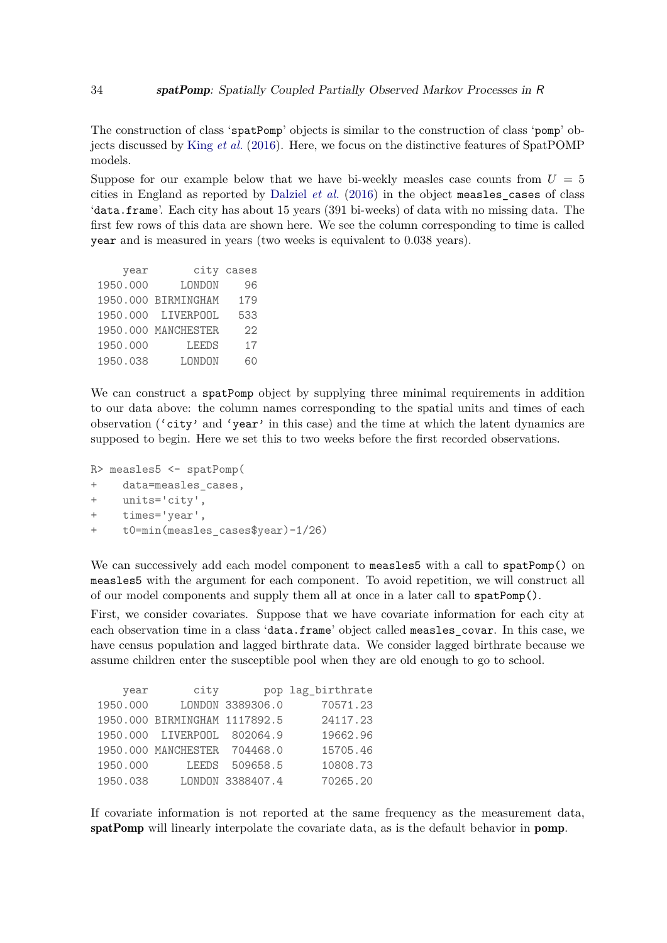The construction of class 'spatPomp' objects is similar to the construction of class 'pomp' objects discussed by King *[et al.](#page-45-0)* [\(2016\)](#page-45-0). Here, we focus on the distinctive features of SpatPOMP models.

Suppose for our example below that we have bi-weekly measles case counts from  $U = 5$ cities in England as reported by [Dalziel](#page-44-12) *et al.* [\(2016\)](#page-44-12) in the object measles\_cases of class 'data.frame'. Each city has about 15 years (391 bi-weeks) of data with no missing data. The first few rows of this data are shown here. We see the column corresponding to time is called year and is measured in years (two weeks is equivalent to 0.038 years).

| year     |                     | city cases |
|----------|---------------------|------------|
| 1950.000 | LONDON              | 96         |
|          | 1950.000 BIRMINGHAM | 179        |
|          | 1950.000 LIVERPOOL  | 533        |
|          | 1950.000 MANCHESTER | 22         |
| 1950.000 | <b>LEEDS</b>        | 17         |
| 1950.038 | LONDON              | 60         |

We can construct a spatPomp object by supplying three minimal requirements in addition to our data above: the column names corresponding to the spatial units and times of each observation ('city' and 'year' in this case) and the time at which the latent dynamics are supposed to begin. Here we set this to two weeks before the first recorded observations.

```
R> measles5 <- spatPomp(
+ data=measles cases,
+ units='city',
+ times='year',
+ t0=min(measles_cases$year)-1/26)
```
We can successively add each model component to measles5 with a call to spatPomp() on measles5 with the argument for each component. To avoid repetition, we will construct all of our model components and supply them all at once in a later call to spatPomp().

First, we consider covariates. Suppose that we have covariate information for each city at each observation time in a class 'data.frame' object called measles\_covar. In this case, we have census population and lagged birthrate data. We consider lagged birthrate because we assume children enter the susceptible pool when they are old enough to go to school.

| year     | city                          |                  | pop lag_birthrate |
|----------|-------------------------------|------------------|-------------------|
| 1950.000 |                               | LONDON 3389306.0 | 70571.23          |
|          | 1950.000 BIRMINGHAM 1117892.5 |                  | 24117.23          |
|          | 1950.000 LIVERPOOL 802064.9   |                  | 19662.96          |
|          | 1950.000 MANCHESTER 704468.0  |                  | 15705.46          |
| 1950.000 | <b>LEEDS</b>                  | 509658.5         | 10808.73          |
| 1950.038 |                               | LONDON 3388407.4 | 70265.20          |

If covariate information is not reported at the same frequency as the measurement data, spatPomp will linearly interpolate the covariate data, as is the default behavior in pomp.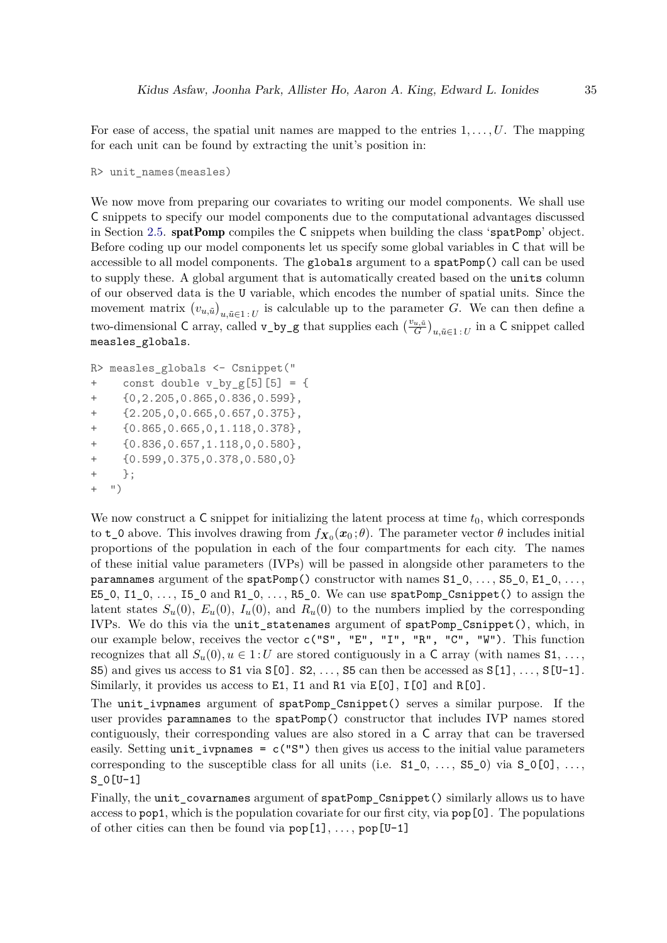For ease of access, the spatial unit names are mapped to the entries  $1, \ldots, U$ . The mapping for each unit can be found by extracting the unit's position in:

R> unit\_names(measles)

We now move from preparing our covariates to writing our model components. We shall use C snippets to specify our model components due to the computational advantages discussed in Section [2.5.](#page-7-0) spatPomp compiles the C snippets when building the class 'spatPomp' object. Before coding up our model components let us specify some global variables in C that will be accessible to all model components. The globals argument to a spatPomp() call can be used to supply these. A global argument that is automatically created based on the units column of our observed data is the U variable, which encodes the number of spatial units. Since the movement matrix  $(v_{u,\tilde{u}})_{u,\tilde{u}\in\mathbb{1}:U}$  is calculable up to the parameter *G*. We can then define a two-dimensional C array, called  $v \text{-} by \text{-} g$  that supplies each  $\left(\frac{v_{u,\tilde{u}}}{G}\right)_{u,\tilde{u}\in 1:U}$  in a C snippet called measles\_globals.

```
R> measles_globals <- Csnippet("
+ const double v_by_g[5][5] = {+ {0,2.205,0.865,0.836,0.599},
+ {2.205,0,0.665,0.657,0.375},
+ {0.865,0.665,0,1.118,0.378},
    + {0.836,0.657,1.118,0,0.580},
    + {0.599,0.375,0.378,0.580,0}
+ };
+ ")
```
We now construct a  $\mathsf C$  snippet for initializing the latent process at time  $t_0$ , which corresponds to  $t_0$  above. This involves drawing from  $f_{X_0}(x_0;\theta)$ . The parameter vector  $\theta$  includes initial proportions of the population in each of the four compartments for each city. The names of these initial value parameters (IVPs) will be passed in alongside other parameters to the paramnames argument of the spatPomp() constructor with names  $S1_0, \ldots, S5_0, E1_0, \ldots$ E5\_0, I1\_0, *. . .* , I5\_0 and R1\_0, *. . .* , R5\_0. We can use spatPomp\_Csnippet() to assign the latent states  $S_u(0)$ ,  $E_u(0)$ ,  $I_u(0)$ , and  $R_u(0)$  to the numbers implied by the corresponding IVPs. We do this via the unit\_statenames argument of spatPomp\_Csnippet(), which, in our example below, receives the vector c("S", "E", "I", "R", "C", "W"). This function recognizes that all  $S_u(0), u \in 1: U$  are stored contiguously in a C array (with names  $S_1, \ldots$ ) S5) and gives us access to S1 via S[0]. S2, *. . .* , S5 can then be accessed as S[1], *. . .* , S[U-1]. Similarly, it provides us access to  $E1$ ,  $I1$  and  $R1$  via  $E[0]$ ,  $I[0]$  and  $R[0]$ .

The unit\_ivpnames argument of spatPomp\_Csnippet() serves a similar purpose. If the user provides paramnames to the spatPomp() constructor that includes IVP names stored contiguously, their corresponding values are also stored in a C array that can be traversed easily. Setting unit ivpnames =  $c("S")$  then gives us access to the initial value parameters corresponding to the susceptible class for all units (i.e.  $S1_0, \ldots, S5_0$ ) via  $S_0[0], \ldots,$ S\_0[U-1]

Finally, the unit\_covarnames argument of spatPomp\_Csnippet() similarly allows us to have access to pop1, which is the population covariate for our first city, via pop[0]. The populations of other cities can then be found via  $\text{pop}[1], \ldots, \text{pop}[U-1]$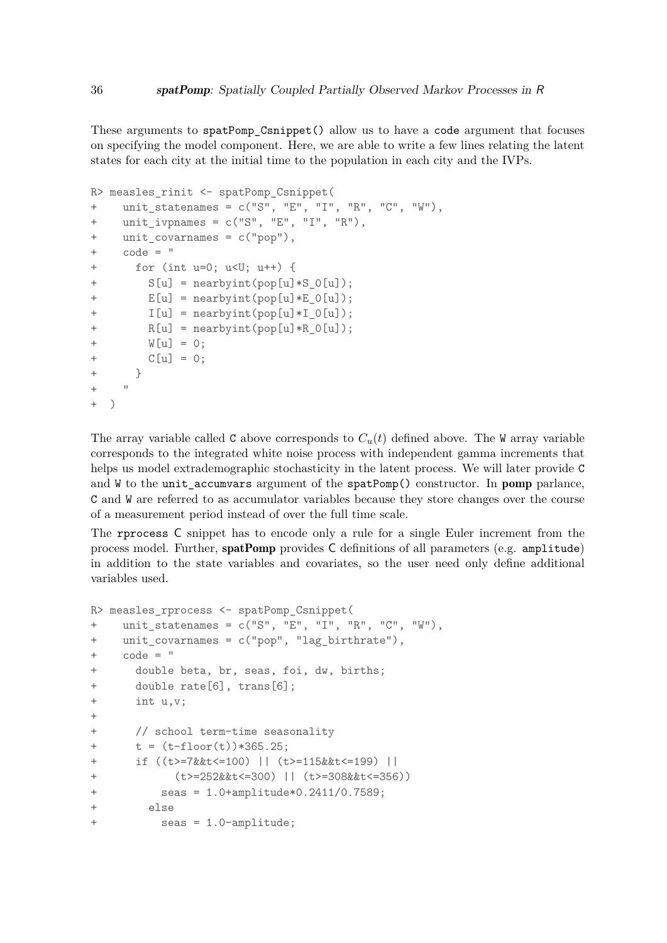These arguments to spatPomp\_Csnippet() allow us to have a code argument that focuses on specifying the model component. Here, we are able to write a few lines relating the latent states for each city at the initial time to the population in each city and the IVPs.

```
R> measles_rinit <- spatPomp_Csnippet(
+ unit_statenames = c("S", "E", "I", "R", "C", "W"),
+ unit_ivpnames = c("S", "E", "I", "R"),
+ unit_covarnames = c("pop"),
+ code = "
      for (int u=0; u\leq U; u++) {
        S[u] = nearbyint(pop[u]*S O[u]);
+ E[u] = nearbyint(pop[u]*E_0[u]);
+ I[u] = nearbyint(pop[u]*I 0[u]);
+ R[u] = nearbyint(pop[u]*R_0[u]);
+ W[u] = 0;
+ C[u] = 0;
+ }
+ + + ++ )
```
The array variable called C above corresponds to  $C<sub>u</sub>(t)$  defined above. The W array variable corresponds to the integrated white noise process with independent gamma increments that helps us model extrademographic stochasticity in the latent process. We will later provide C and W to the unit\_accumvars argument of the spatPomp() constructor. In pomp parlance, C and W are referred to as accumulator variables because they store changes over the course of a measurement period instead of over the full time scale.

The rprocess C snippet has to encode only a rule for a single Euler increment from the process model. Further, spatPomp provides C definitions of all parameters (e.g. amplitude) in addition to the state variables and covariates, so the user need only define additional variables used.

```
R> measles_rprocess <- spatPomp_Csnippet(
+ unit_statenames = c("S", "E", "I", "R", "C", "W"),
+ unit_covarnames = c("pop", "lag_birthrate"),
+ code = "
+ double beta, br, seas, foi, dw, births;
+ double rate[6], trans[6];
+ int u,v;
+
+ // school term-time seasonality
+ t = (t - float(t)) * 365.25;+ if ((t>=7&&t<=100) || (t>=115&&t<=199) ||
+ (t>=252&&t<=300) || (t>=308&&t<=356))
+ seas = 1.0+amplitude*0.2411/0.7589;
+ else
+ seas = 1.0-amplitude;
```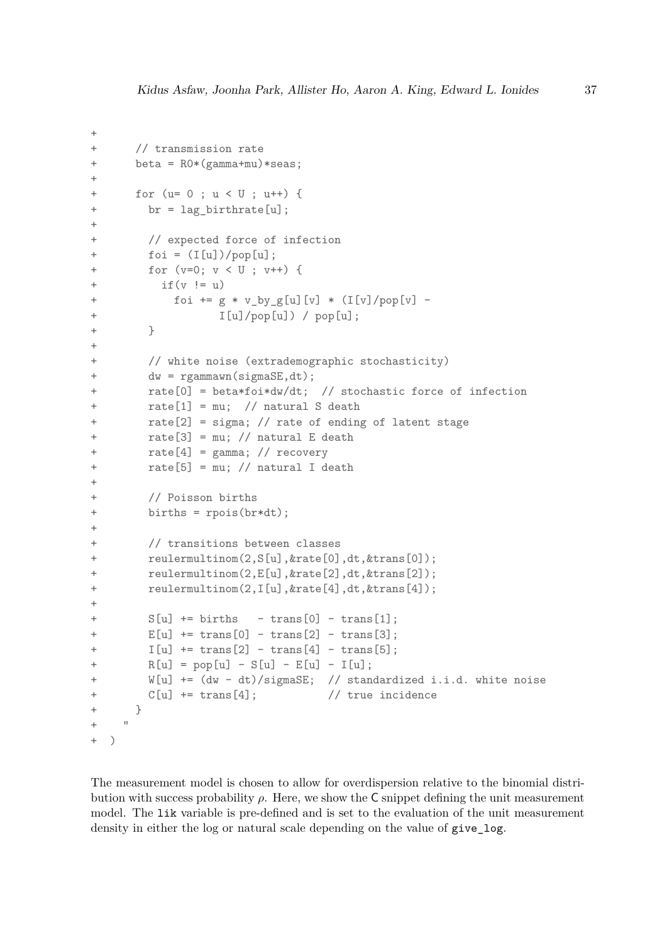```
+
+ // transmission rate
+ beta = R0*(gamma+mu)*seas;
+
+ for (u= 0 ; u < U ; u++) {
+ br = lag_birthrate[u];
++ // expected force of infection
+ foi = (I[u])/pop[u];
+ for (v=0; v < U ; v++) {
+ if(v := u)+ foi += g * v by g[u][v] * (I[v]/pop[v] -
+ I[u]/pop[u]) / pop[u];
+ }
+
+ // white noise (extrademographic stochasticity)
+ dw = rgammawn(sigmaSE,dt);
+ rate[0] = beta*foi*dw/dt; // stochastic force of infection
+ rate[1] = mu; // natural S death
+ rate[2] = sigma; // rate of ending of latent stage
+ rate[3] = mu; // natural E death
+ rate[4] = gamma; // recovery
+ rate[5] = mu; // natural I death
++ // Poisson births
+ births = rpois(br*dt);
+
+ // transitions between classes
+ reulermultinom(2,S[u],&rate[0],dt,&trans[0]);
+ reulermultinom(2,E[u],&rate[2],dt,&trans[2]);
+ reulermultinom(2,I[u],&rate[4],dt,&trans[4]);
+
+ S[u] + births - trans[0] - trans[1];
+ E[u] += trans[0] - trans[2] - trans[3];
+ I[u] += trans[2] - trans[4] - trans[5];
+ R[u] = pop[u] - S[u] - E[u] - I[u];+ W[u] += (dw - dt)/sigmaSE; // standardized i.i.d. white noise
+ C[u] += trans[4]; // true incidence
+ }
+ "
+ )
```
The measurement model is chosen to allow for overdispersion relative to the binomial distribution with success probability  $\rho$ . Here, we show the C snippet defining the unit measurement model. The lik variable is pre-defined and is set to the evaluation of the unit measurement density in either the log or natural scale depending on the value of give\_log.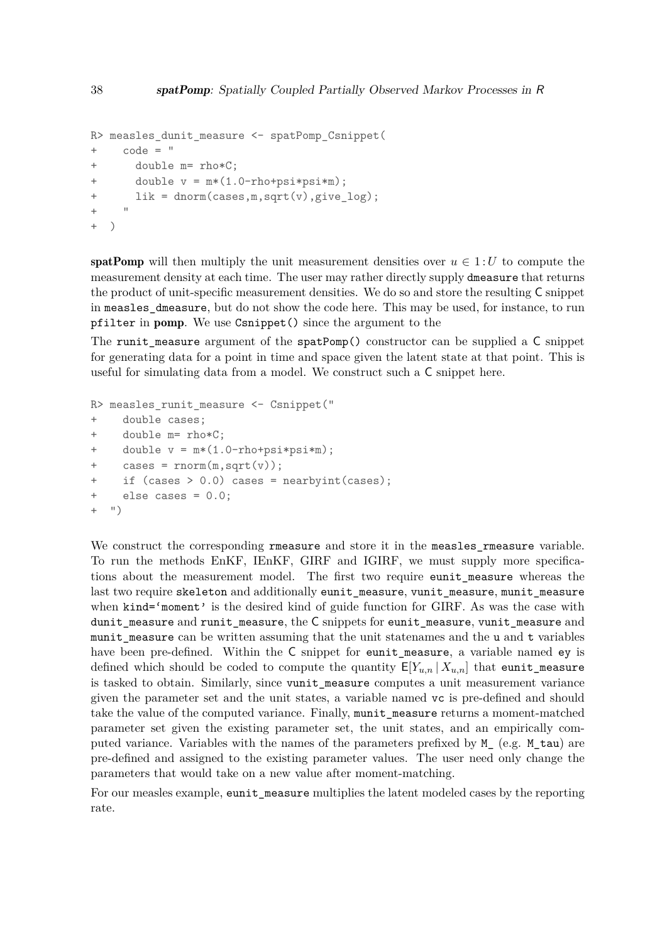```
R> measles_dunit_measure <- spatPomp_Csnippet(
+ code = "
+ double m= rho*C;
+ double v = m*(1.0-rho+psi+psi);
+ lik = dnorm(cases,m,sqrt(v),give_log);
+ "
+ )
```
spatPomp will then multiply the unit measurement densities over  $u \in 1:U$  to compute the measurement density at each time. The user may rather directly supply dmeasure that returns the product of unit-specific measurement densities. We do so and store the resulting C snippet in measles\_dmeasure, but do not show the code here. This may be used, for instance, to run pfilter in pomp. We use Csnippet() since the argument to the

The runit measure argument of the spatPomp() constructor can be supplied a  $C$  snippet for generating data for a point in time and space given the latent state at that point. This is useful for simulating data from a model. We construct such a C snippet here.

```
R> measles_runit_measure <- Csnippet("
+ double cases;
+ double m= rho*C;
    double v = m*(1.0-rho+psi+psi);
+ cases = rnorm(m, sqrt(v));if (cases > 0.0) cases = nearbyint(cases);
+ else cases = 0.0;
+ ")
```
We construct the corresponding rmeasure and store it in the measles rmeasure variable. To run the methods EnKF, IEnKF, GIRF and IGIRF, we must supply more specifications about the measurement model. The first two require eunit\_measure whereas the last two require skeleton and additionally eunit\_measure, vunit\_measure, munit\_measure when kind='moment' is the desired kind of guide function for GIRF. As was the case with dunit measure and runit measure, the C snippets for eunit measure, vunit measure and munit measure can be written assuming that the unit statenames and the u and t variables have been pre-defined. Within the C snippet for eunit\_measure, a variable named ey is defined which should be coded to compute the quantity  $E[Y_{u,n} | X_{u,n}]$  that eunit\_measure is tasked to obtain. Similarly, since vunit\_measure computes a unit measurement variance given the parameter set and the unit states, a variable named vc is pre-defined and should take the value of the computed variance. Finally, munit\_measure returns a moment-matched parameter set given the existing parameter set, the unit states, and an empirically computed variance. Variables with the names of the parameters prefixed by M\_ (e.g. M\_tau) are pre-defined and assigned to the existing parameter values. The user need only change the parameters that would take on a new value after moment-matching.

For our measles example, eunit\_measure multiplies the latent modeled cases by the reporting rate.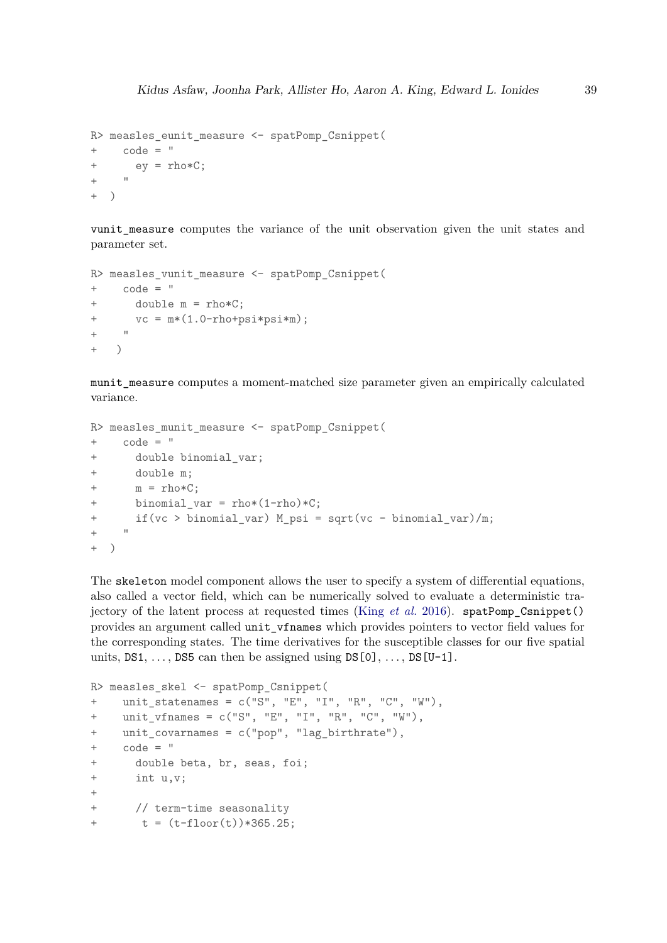```
R> measles_eunit_measure <- spatPomp_Csnippet(
+ code = "
+ ey = rho*C;
+ " + "
+ )
```
vunit measure computes the variance of the unit observation given the unit states and parameter set.

```
R> measles_vunit_measure <- spatPomp_Csnippet(
+ code = "
+ double m = rho*C;
+ vc = m*(1.0-rho+psi*psi*m);
+ "
+ )
```
munit measure computes a moment-matched size parameter given an empirically calculated variance.

```
R> measles munit measure <- spatPomp Csnippet(
+ code = "
+ double binomial_var;
+ double m;
+m = \text{rho}*C;+ binomial_var = rho*(1-rho)*C;
+ if(vc > binomial_var) M_psi = sqrt(vc - binomial_var)/m;
+ - "
+ )
```
The skeleton model component allows the user to specify a system of differential equations, also called a vector field, which can be numerically solved to evaluate a deterministic trajectory of the latent process at requested times (King *[et al.](#page-45-0)* [2016\)](#page-45-0). spatPomp\_Csnippet() provides an argument called unit\_vfnames which provides pointers to vector field values for the corresponding states. The time derivatives for the susceptible classes for our five spatial units,  $DS1, \ldots$ ,  $DS5$  can then be assigned using  $DS[0], \ldots$ ,  $DS[U-1]$ .

```
R> measles_skel <- spatPomp_Csnippet(
+ unit_statenames = c("S", "E", "I", "R", "C", "W"),
+ unit_vfnames = c("S", "E", "I", "R", "C", "W"),
+ unit_covarnames = c("pop", "lag_birthrate"),
+ code = "+ double beta, br, seas, foi;
+ int u,v;
+
+ // term-time seasonality
+ t = (t - f \cdot t) * 365.25;
```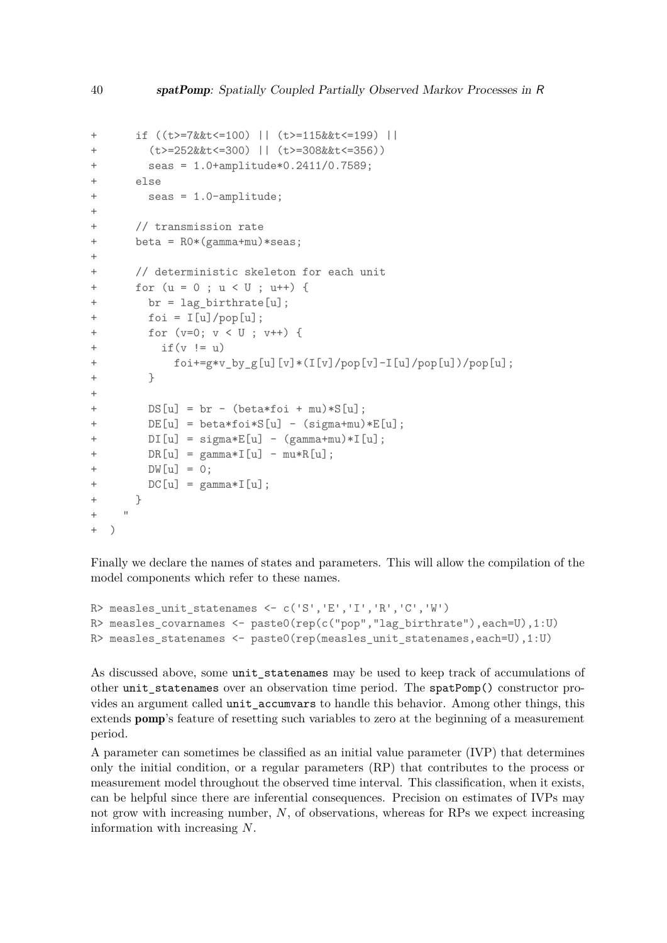```
+ if ((t>=7&&t<=100) || (t>=115&&t<=199) ||
       + (t>=252&&t<=300) || (t>=308&&t<=356))
+ seas = 1.0+amplitude*0.2411/0.7589;
+ else
+ seas = 1.0-amplitude;
+
     // transmission rate
+ beta = R0*(gamma+mu)*seas;
+
+ // deterministic skeleton for each unit
+ for (u = 0 ; u < U ; u++) {
+ br = lag_birthrate[u];
       foi = I[u]/pop[u];for (v=0; v < U; v++) {
+ if(v := u)+ foi+=g*v_by_g[u][v]*(I[v]/pop[v]-I[u]/pop[u])/pop[u];
+ }
+
       DS[u] = br - (beta*foi + mu)*S[u];+ DE[u] = beta*foi*S[u] - (sigma+mu)*E[u];
+ DI[u] = sigma*E[u] - (gamma+mu)*I[u];+ DR[u] = gamma * I[u] - mu * R[u];+ DW[u] = 0;
+ DC[u] = gamma*I[u];
+ }
+ "
+ )
```
Finally we declare the names of states and parameters. This will allow the compilation of the model components which refer to these names.

```
R> measles unit statenames <- c('S','E','I','R','C','W')
R> measles covarnames <- paste0(rep(c("pop","lag_birthrate"),each=U),1:U)
R> measles_statenames <- paste0(rep(measles_unit_statenames,each=U),1:U)
```
As discussed above, some unit\_statenames may be used to keep track of accumulations of other unit\_statenames over an observation time period. The spatPomp() constructor provides an argument called unit\_accumvars to handle this behavior. Among other things, this extends pomp's feature of resetting such variables to zero at the beginning of a measurement period.

A parameter can sometimes be classified as an initial value parameter (IVP) that determines only the initial condition, or a regular parameters (RP) that contributes to the process or measurement model throughout the observed time interval. This classification, when it exists, can be helpful since there are inferential consequences. Precision on estimates of IVPs may not grow with increasing number, *N*, of observations, whereas for RPs we expect increasing information with increasing *N*.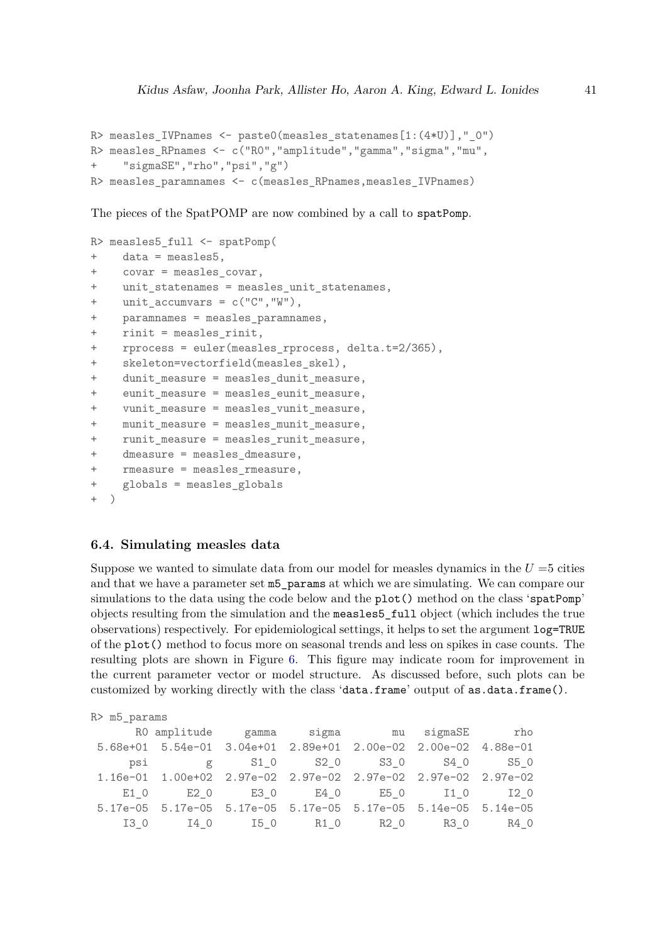```
R> measles_IVPnames <- paste0(measles_statenames[1:(4*U)],"_0")
R> measles_RPnames <- c("R0","amplitude","gamma","sigma","mu",
+ "sigmaSE","rho","psi","g")
R> measles_paramnames <- c(measles_RPnames,measles_IVPnames)
```
The pieces of the SpatPOMP are now combined by a call to spatPomp.

```
R> measles5_full <- spatPomp(
+ data = measles5,
+ covar = measles covar,
+ unit_statenames = measles_unit_statenames,
+ unit_accumvars = c("C","W"),
+ paramnames = measles_paramnames,
    rint = measles_rinit,
+ rprocess = euler(measles_rprocess, delta.t=2/365),
+ skeleton=vectorfield(measles skel),
+ dunit_measure = measles_dunit_measure,
    eunit_measure = measles_eunit_measure,
    + vunit_measure = measles_vunit_measure,
+ munit measure = measles munit measure,
+ runit_measure = measles_runit_measure,
+ dmeasure = measles_dmeasure,
+ rmeasure = measles rmeasure,
+ globals = measles_globals
+ )
```
# **6.4. Simulating measles data**

Suppose we wanted to simulate data from our model for measles dynamics in the  $U = 5$  cities and that we have a parameter set m5\_params at which we are simulating. We can compare our simulations to the data using the code below and the plot() method on the class 'spatPomp' objects resulting from the simulation and the measles5\_full object (which includes the true observations) respectively. For epidemiological settings, it helps to set the argument log=TRUE of the plot() method to focus more on seasonal trends and less on spikes in case counts. The resulting plots are shown in Figure [6.](#page-41-1) This figure may indicate room for improvement in the current parameter vector or model structure. As discussed before, such plots can be customized by working directly with the class 'data.frame' output of as.data.frame().

| R> m5_params |                                                                      |  |  |  |
|--------------|----------------------------------------------------------------------|--|--|--|
|              | RO amplitude gamma sigma mu sigmaSE rho                              |  |  |  |
|              | 5.68e+01  5.54e-01  3.04e+01  2.89e+01  2.00e-02  2.00e-02  4.88e-01 |  |  |  |
|              | psi g S1_0 S2_0 S3_0 S4_0 S5_0                                       |  |  |  |
|              | 1.16e-01  1.00e+02  2.97e-02  2.97e-02  2.97e-02  2.97e-02  2.97e-02 |  |  |  |
|              | E1 0 E2 0 E3 0 E4 0 E5 0 I1 0 I2 0                                   |  |  |  |
|              | 5.17e-05  5.17e-05  5.17e-05  5.17e-05  5.17e-05  5.14e-05  5.14e-05 |  |  |  |
|              |                                                                      |  |  |  |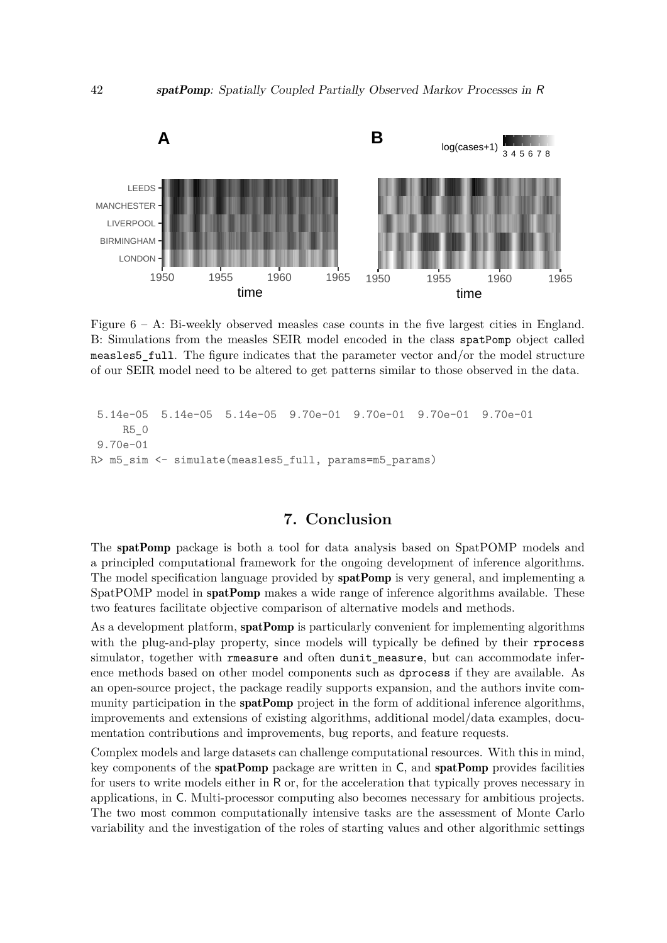<span id="page-41-1"></span>

Figure 6 – A: Bi-weekly observed measles case counts in the five largest cities in England. B: Simulations from the measles SEIR model encoded in the class spatPomp object called measles5\_full. The figure indicates that the parameter vector and/or the model structure of our SEIR model need to be altered to get patterns similar to those observed in the data.

```
5.14e-05 5.14e-05 5.14e-05 9.70e-01 9.70e-01 9.70e-01 9.70e-01
    R5_0
9.70e-01
R> m5 sim <- simulate(measles5_full, params=m5_params)
```
# **7. Conclusion**

<span id="page-41-0"></span>The spatPomp package is both a tool for data analysis based on SpatPOMP models and a principled computational framework for the ongoing development of inference algorithms. The model specification language provided by **spatPomp** is very general, and implementing a SpatPOMP model in **spatPomp** makes a wide range of inference algorithms available. These two features facilitate objective comparison of alternative models and methods.

As a development platform, **spatPomp** is particularly convenient for implementing algorithms with the plug-and-play property, since models will typically be defined by their rprocess simulator, together with rmeasure and often dunit measure, but can accommodate inference methods based on other model components such as dprocess if they are available. As an open-source project, the package readily supports expansion, and the authors invite community participation in the **spatPomp** project in the form of additional inference algorithms, improvements and extensions of existing algorithms, additional model/data examples, documentation contributions and improvements, bug reports, and feature requests.

Complex models and large datasets can challenge computational resources. With this in mind, key components of the **spatPomp** package are written in C, and **spatPomp** provides facilities for users to write models either in R or, for the acceleration that typically proves necessary in applications, in C. Multi-processor computing also becomes necessary for ambitious projects. The two most common computationally intensive tasks are the assessment of Monte Carlo variability and the investigation of the roles of starting values and other algorithmic settings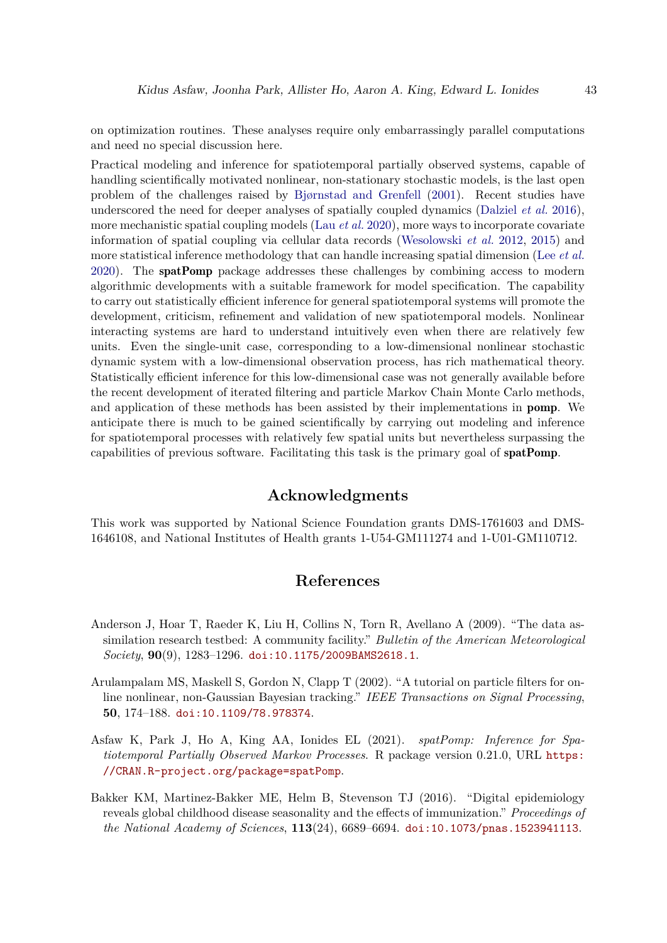on optimization routines. These analyses require only embarrassingly parallel computations and need no special discussion here.

Practical modeling and inference for spatiotemporal partially observed systems, capable of handling scientifically motivated nonlinear, non-stationary stochastic models, is the last open problem of the challenges raised by [Bjørnstad and Grenfell](#page-43-11) [\(2001\)](#page-43-11). Recent studies have underscored the need for deeper analyses of spatially coupled dynamics [\(Dalziel](#page-44-12) *et al.* [2016\)](#page-44-12), more mechanistic spatial coupling models (Lau *[et al.](#page-45-11)* [2020\)](#page-45-11), more ways to incorporate covariate information of spatial coupling via cellular data records [\(Wesolowski](#page-47-8) *et al.* [2012,](#page-47-8) [2015\)](#page-47-9) and more statistical inference methodology that can handle increasing spatial dimension (Lee *[et al.](#page-45-12)* [2020\)](#page-45-12). The spatPomp package addresses these challenges by combining access to modern algorithmic developments with a suitable framework for model specification. The capability to carry out statistically efficient inference for general spatiotemporal systems will promote the development, criticism, refinement and validation of new spatiotemporal models. Nonlinear interacting systems are hard to understand intuitively even when there are relatively few units. Even the single-unit case, corresponding to a low-dimensional nonlinear stochastic dynamic system with a low-dimensional observation process, has rich mathematical theory. Statistically efficient inference for this low-dimensional case was not generally available before the recent development of iterated filtering and particle Markov Chain Monte Carlo methods, and application of these methods has been assisted by their implementations in pomp. We anticipate there is much to be gained scientifically by carrying out modeling and inference for spatiotemporal processes with relatively few spatial units but nevertheless surpassing the capabilities of previous software. Facilitating this task is the primary goal of spatPomp.

# **Acknowledgments**

This work was supported by National Science Foundation grants DMS-1761603 and DMS-1646108, and National Institutes of Health grants 1-U54-GM111274 and 1-U01-GM110712.

# **References**

- <span id="page-42-1"></span>Anderson J, Hoar T, Raeder K, Liu H, Collins N, Torn R, Avellano A (2009). "The data assimilation research testbed: A community facility." *Bulletin of the American Meteorological Society*, **90**(9), 1283–1296. [doi:10.1175/2009BAMS2618.1](http://dx.doi.org/10.1175/2009BAMS2618.1).
- <span id="page-42-3"></span>Arulampalam MS, Maskell S, Gordon N, Clapp T (2002). "A tutorial on particle filters for online nonlinear, non-Gaussian Bayesian tracking." *IEEE Transactions on Signal Processing*, **50**, 174–188. [doi:10.1109/78.978374](http://dx.doi.org/10.1109/78.978374).
- <span id="page-42-0"></span>Asfaw K, Park J, Ho A, King AA, Ionides EL (2021). *spatPomp: Inference for Spatiotemporal Partially Observed Markov Processes*. R package version 0.21.0, URL [https:](https://CRAN.R-project.org/package=spatPomp) [//CRAN.R-project.org/package=spatPomp](https://CRAN.R-project.org/package=spatPomp).
- <span id="page-42-2"></span>Bakker KM, Martinez-Bakker ME, Helm B, Stevenson TJ (2016). "Digital epidemiology reveals global childhood disease seasonality and the effects of immunization." *Proceedings of the National Academy of Sciences*, **113**(24), 6689–6694. [doi:10.1073/pnas.1523941113](http://dx.doi.org/10.1073/pnas.1523941113).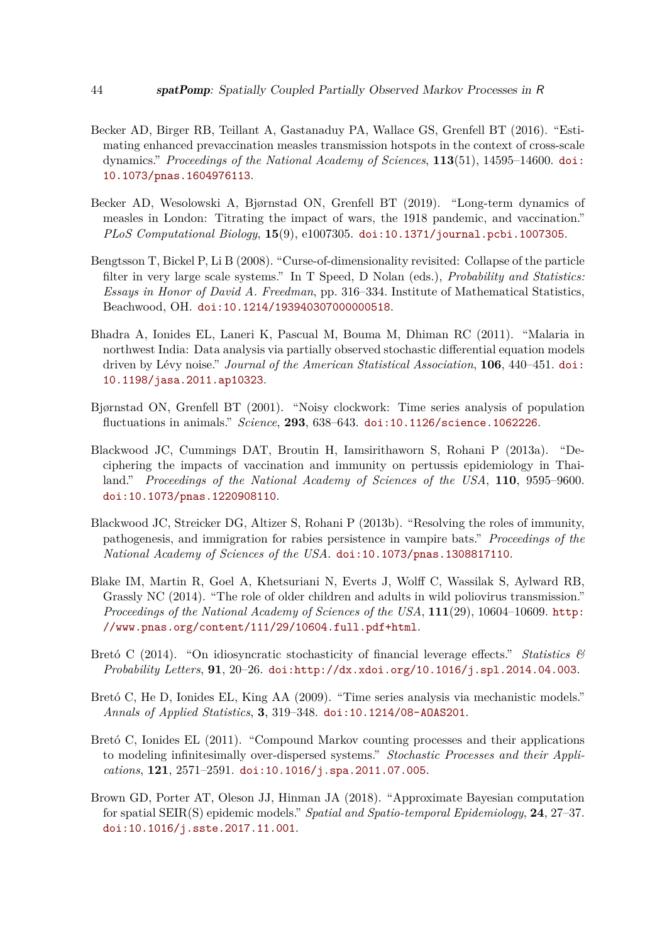- <span id="page-43-7"></span>Becker AD, Birger RB, Teillant A, Gastanaduy PA, Wallace GS, Grenfell BT (2016). "Estimating enhanced prevaccination measles transmission hotspots in the context of cross-scale dynamics." *Proceedings of the National Academy of Sciences*, **113**(51), 14595–14600. [doi:](http://dx.doi.org/10.1073/pnas.1604976113) [10.1073/pnas.1604976113](http://dx.doi.org/10.1073/pnas.1604976113).
- <span id="page-43-8"></span>Becker AD, Wesolowski A, Bjørnstad ON, Grenfell BT (2019). "Long-term dynamics of measles in London: Titrating the impact of wars, the 1918 pandemic, and vaccination." *PLoS Computational Biology*, **15**(9), e1007305. [doi:10.1371/journal.pcbi.1007305](http://dx.doi.org/10.1371/journal.pcbi.1007305).
- <span id="page-43-0"></span>Bengtsson T, Bickel P, Li B (2008). "Curse-of-dimensionality revisited: Collapse of the particle filter in very large scale systems." In T Speed, D Nolan (eds.), *Probability and Statistics: Essays in Honor of David A. Freedman*, pp. 316–334. Institute of Mathematical Statistics, Beachwood, OH. [doi:10.1214/193940307000000518](http://dx.doi.org/10.1214/193940307000000518).
- <span id="page-43-2"></span>Bhadra A, Ionides EL, Laneri K, Pascual M, Bouma M, Dhiman RC (2011). "Malaria in northwest India: Data analysis via partially observed stochastic differential equation models driven by Lévy noise." *Journal of the American Statistical Association*, **106**, 440–451. [doi:](http://dx.doi.org/10.1198/jasa.2011.ap10323) [10.1198/jasa.2011.ap10323](http://dx.doi.org/10.1198/jasa.2011.ap10323).
- <span id="page-43-11"></span>Bjørnstad ON, Grenfell BT (2001). "Noisy clockwork: Time series analysis of population fluctuations in animals." *Science*, **293**, 638–643. [doi:10.1126/science.1062226](http://dx.doi.org/10.1126/science.1062226).
- <span id="page-43-3"></span>Blackwood JC, Cummings DAT, Broutin H, Iamsirithaworn S, Rohani P (2013a). "Deciphering the impacts of vaccination and immunity on pertussis epidemiology in Thailand." *Proceedings of the National Academy of Sciences of the USA*, **110**, 9595–9600. [doi:10.1073/pnas.1220908110](http://dx.doi.org/10.1073/pnas.1220908110).
- <span id="page-43-4"></span>Blackwood JC, Streicker DG, Altizer S, Rohani P (2013b). "Resolving the roles of immunity, pathogenesis, and immigration for rabies persistence in vampire bats." *Proceedings of the National Academy of Sciences of the USA*. [doi:10.1073/pnas.1308817110](http://dx.doi.org/10.1073/pnas.1308817110).
- <span id="page-43-6"></span>Blake IM, Martin R, Goel A, Khetsuriani N, Everts J, Wolff C, Wassilak S, Aylward RB, Grassly NC (2014). "The role of older children and adults in wild poliovirus transmission." *Proceedings of the National Academy of Sciences of the USA*, **111**(29), 10604–10609. [http:](http://www.pnas.org/content/111/29/10604.full.pdf+html) [//www.pnas.org/content/111/29/10604.full.pdf+html](http://www.pnas.org/content/111/29/10604.full.pdf+html).
- <span id="page-43-5"></span>Bretó C (2014). "On idiosyncratic stochasticity of financial leverage effects." *Statistics & Probability Letters*, **91**, 20–26. [doi:http://dx.xdoi.org/10.1016/j.spl.2014.04.003](http://dx.doi.org/http://dx.xdoi.org/10.1016/j.spl.2014.04.003).
- <span id="page-43-1"></span>Bretó C, He D, Ionides EL, King AA (2009). "Time series analysis via mechanistic models." *Annals of Applied Statistics*, **3**, 319–348. [doi:10.1214/08-AOAS201](http://dx.doi.org/10.1214/08-AOAS201).
- <span id="page-43-10"></span>Bretó C, Ionides EL (2011). "Compound Markov counting processes and their applications to modeling infinitesimally over-dispersed systems." *Stochastic Processes and their Applications*, **121**, 2571–2591. [doi:10.1016/j.spa.2011.07.005](http://dx.doi.org/10.1016/j.spa.2011.07.005).
- <span id="page-43-9"></span>Brown GD, Porter AT, Oleson JJ, Hinman JA (2018). "Approximate Bayesian computation for spatial SEIR(S) epidemic models." *Spatial and Spatio-temporal Epidemiology*, **24**, 27–37. [doi:10.1016/j.sste.2017.11.001](http://dx.doi.org/10.1016/j.sste.2017.11.001).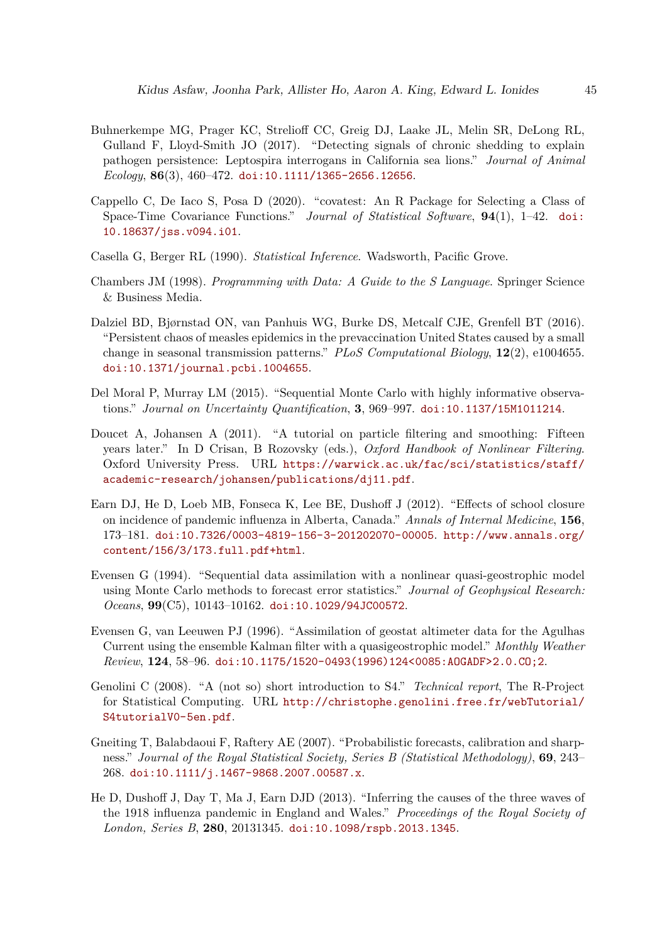- <span id="page-44-5"></span>Buhnerkempe MG, Prager KC, Strelioff CC, Greig DJ, Laake JL, Melin SR, DeLong RL, Gulland F, Lloyd-Smith JO (2017). "Detecting signals of chronic shedding to explain pathogen persistence: Leptospira interrogans in California sea lions." *Journal of Animal Ecology*, **86**(3), 460–472. [doi:10.1111/1365-2656.12656](http://dx.doi.org/10.1111/1365-2656.12656).
- <span id="page-44-0"></span>Cappello C, De Iaco S, Posa D (2020). "covatest: An R Package for Selecting a Class of Space-Time Covariance Functions." *Journal of Statistical Software*, **94**(1), 1–42. [doi:](http://dx.doi.org/10.18637/jss.v094.i01) [10.18637/jss.v094.i01](http://dx.doi.org/10.18637/jss.v094.i01).
- <span id="page-44-11"></span>Casella G, Berger RL (1990). *Statistical Inference*. Wadsworth, Pacific Grove.
- <span id="page-44-1"></span>Chambers JM (1998). *Programming with Data: A Guide to the S Language*. Springer Science & Business Media.
- <span id="page-44-12"></span>Dalziel BD, Bjørnstad ON, van Panhuis WG, Burke DS, Metcalf CJE, Grenfell BT (2016). "Persistent chaos of measles epidemics in the prevaccination United States caused by a small change in seasonal transmission patterns." *PLoS Computational Biology*, **12**(2), e1004655. [doi:10.1371/journal.pcbi.1004655](http://dx.doi.org/10.1371/journal.pcbi.1004655).
- <span id="page-44-7"></span>Del Moral P, Murray LM (2015). "Sequential Monte Carlo with highly informative observations." *Journal on Uncertainty Quantification*, **3**, 969–997. [doi:10.1137/15M1011214](http://dx.doi.org/10.1137/15M1011214).
- <span id="page-44-6"></span>Doucet A, Johansen A (2011). "A tutorial on particle filtering and smoothing: Fifteen years later." In D Crisan, B Rozovsky (eds.), *Oxford Handbook of Nonlinear Filtering*. Oxford University Press. URL [https://warwick.ac.uk/fac/sci/statistics/staff/](https://warwick.ac.uk/fac/sci/statistics/staff/academic-research/johansen/publications/dj11.pdf) [academic-research/johansen/publications/dj11.pdf](https://warwick.ac.uk/fac/sci/statistics/staff/academic-research/johansen/publications/dj11.pdf).
- <span id="page-44-3"></span>Earn DJ, He D, Loeb MB, Fonseca K, Lee BE, Dushoff J (2012). "Effects of school closure on incidence of pandemic influenza in Alberta, Canada." *Annals of Internal Medicine*, **156**, 173–181. [doi:10.7326/0003-4819-156-3-201202070-00005](http://dx.doi.org/10.7326/0003-4819-156-3-201202070-00005). [http://www.annals.org/](http://www.annals.org/content/156/3/173.full.pdf+html) [content/156/3/173.full.pdf+html](http://www.annals.org/content/156/3/173.full.pdf+html).
- <span id="page-44-8"></span>Evensen G (1994). "Sequential data assimilation with a nonlinear quasi-geostrophic model using Monte Carlo methods to forecast error statistics." *Journal of Geophysical Research: Oceans*, **99**(C5), 10143–10162. [doi:10.1029/94JC00572](http://dx.doi.org/10.1029/94JC00572).
- <span id="page-44-9"></span>Evensen G, van Leeuwen PJ (1996). "Assimilation of geostat altimeter data for the Agulhas Current using the ensemble Kalman filter with a quasigeostrophic model." *Monthly Weather Review*, **124**, 58–96. [doi:10.1175/1520-0493\(1996\)124<0085:AOGADF>2.0.CO;2](http://dx.doi.org/10.1175/1520-0493(1996)124<0085:AOGADF>2.0.CO;2).
- <span id="page-44-2"></span>Genolini C (2008). "A (not so) short introduction to S4." *Technical report*, The R-Project for Statistical Computing. URL [http://christophe.genolini.free.fr/webTutorial/](http://christophe.genolini.free.fr/webTutorial/S4tutorialV0-5en.pdf) [S4tutorialV0-5en.pdf](http://christophe.genolini.free.fr/webTutorial/S4tutorialV0-5en.pdf).
- <span id="page-44-10"></span>Gneiting T, Balabdaoui F, Raftery AE (2007). "Probabilistic forecasts, calibration and sharpness." *Journal of the Royal Statistical Society, Series B (Statistical Methodology)*, **69**, 243– 268. [doi:10.1111/j.1467-9868.2007.00587.x](http://dx.doi.org/10.1111/j.1467-9868.2007.00587.x).
- <span id="page-44-4"></span>He D, Dushoff J, Day T, Ma J, Earn DJD (2013). "Inferring the causes of the three waves of the 1918 influenza pandemic in England and Wales." *Proceedings of the Royal Society of London, Series B*, **280**, 20131345. [doi:10.1098/rspb.2013.1345](http://dx.doi.org/10.1098/rspb.2013.1345).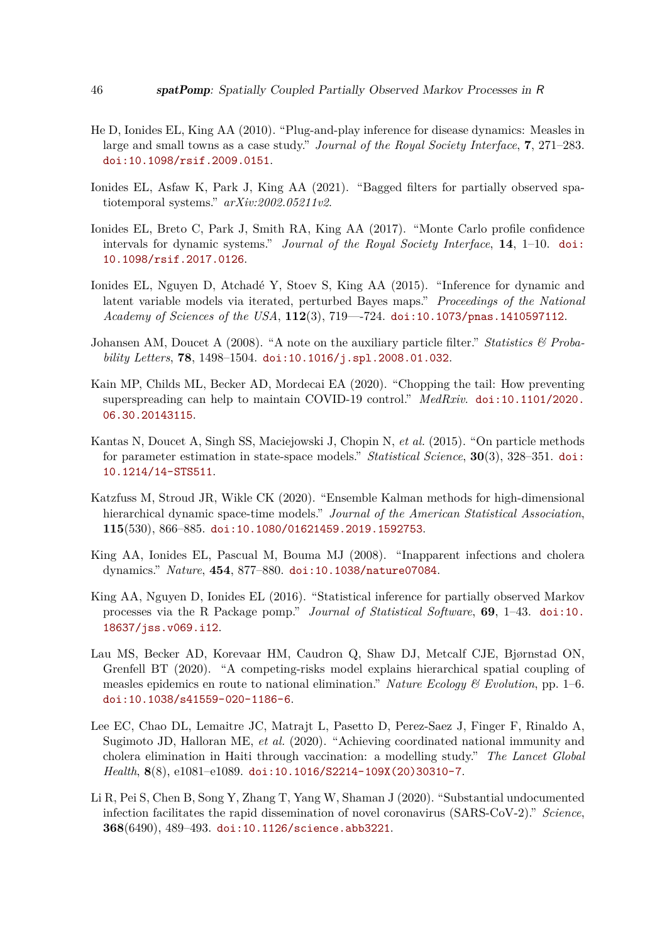- <span id="page-45-1"></span>He D, Ionides EL, King AA (2010). "Plug-and-play inference for disease dynamics: Measles in large and small towns as a case study." *Journal of the Royal Society Interface*, **7**, 271–283. [doi:10.1098/rsif.2009.0151](http://dx.doi.org/10.1098/rsif.2009.0151).
- <span id="page-45-5"></span>Ionides EL, Asfaw K, Park J, King AA (2021). "Bagged filters for partially observed spatiotemporal systems." *arXiv:2002.05211v2*.
- <span id="page-45-10"></span>Ionides EL, Breto C, Park J, Smith RA, King AA (2017). "Monte Carlo profile confidence intervals for dynamic systems." *Journal of the Royal Society Interface*, **14**, 1–10. [doi:](http://dx.doi.org/10.1098/rsif.2017.0126) [10.1098/rsif.2017.0126](http://dx.doi.org/10.1098/rsif.2017.0126).
- <span id="page-45-8"></span>Ionides EL, Nguyen D, Atchadé Y, Stoev S, King AA (2015). "Inference for dynamic and latent variable models via iterated, perturbed Bayes maps." *Proceedings of the National Academy of Sciences of the USA*, **112**(3), 719—-724. [doi:10.1073/pnas.1410597112](http://dx.doi.org/10.1073/pnas.1410597112).
- <span id="page-45-6"></span>Johansen AM, Doucet A (2008). "A note on the auxiliary particle filter." *Statistics & Probability Letters*, **78**, 1498–1504. [doi:10.1016/j.spl.2008.01.032](http://dx.doi.org/10.1016/j.spl.2008.01.032).
- <span id="page-45-3"></span>Kain MP, Childs ML, Becker AD, Mordecai EA (2020). "Chopping the tail: How preventing superspreading can help to maintain COVID-19 control." *MedRxiv*. [doi:10.1101/2020.](http://dx.doi.org/10.1101/2020.06.30.20143115) [06.30.20143115](http://dx.doi.org/10.1101/2020.06.30.20143115).
- <span id="page-45-4"></span>Kantas N, Doucet A, Singh SS, Maciejowski J, Chopin N, *et al.* (2015). "On particle methods for parameter estimation in state-space models." *Statistical Science*, **30**(3), 328–351. [doi:](http://dx.doi.org/10.1214/14-STS511) [10.1214/14-STS511](http://dx.doi.org/10.1214/14-STS511).
- <span id="page-45-7"></span>Katzfuss M, Stroud JR, Wikle CK (2020). "Ensemble Kalman methods for high-dimensional hierarchical dynamic space-time models." *Journal of the American Statistical Association*, **115**(530), 866–885. [doi:10.1080/01621459.2019.1592753](http://dx.doi.org/10.1080/01621459.2019.1592753).
- <span id="page-45-2"></span>King AA, Ionides EL, Pascual M, Bouma MJ (2008). "Inapparent infections and cholera dynamics." *Nature*, **454**, 877–880. [doi:10.1038/nature07084](http://dx.doi.org/10.1038/nature07084).
- <span id="page-45-0"></span>King AA, Nguyen D, Ionides EL (2016). "Statistical inference for partially observed Markov processes via the R Package pomp." *Journal of Statistical Software*, **69**, 1–43. [doi:10.](http://dx.doi.org/10.18637/jss.v069.i12) [18637/jss.v069.i12](http://dx.doi.org/10.18637/jss.v069.i12).
- <span id="page-45-11"></span>Lau MS, Becker AD, Korevaar HM, Caudron Q, Shaw DJ, Metcalf CJE, Bjørnstad ON, Grenfell BT (2020). "A competing-risks model explains hierarchical spatial coupling of measles epidemics en route to national elimination." *Nature Ecology & Evolution*, pp. 1–6. [doi:10.1038/s41559-020-1186-6](http://dx.doi.org/10.1038/s41559-020-1186-6).
- <span id="page-45-12"></span>Lee EC, Chao DL, Lemaitre JC, Matrajt L, Pasetto D, Perez-Saez J, Finger F, Rinaldo A, Sugimoto JD, Halloran ME, *et al.* (2020). "Achieving coordinated national immunity and cholera elimination in Haiti through vaccination: a modelling study." *The Lancet Global Health*, **8**(8), e1081–e1089. [doi:10.1016/S2214-109X\(20\)30310-7](http://dx.doi.org/10.1016/S2214-109X(20)30310-7).
- <span id="page-45-9"></span>Li R, Pei S, Chen B, Song Y, Zhang T, Yang W, Shaman J (2020). "Substantial undocumented infection facilitates the rapid dissemination of novel coronavirus (SARS-CoV-2)." *Science*, **368**(6490), 489–493. [doi:10.1126/science.abb3221](http://dx.doi.org/10.1126/science.abb3221).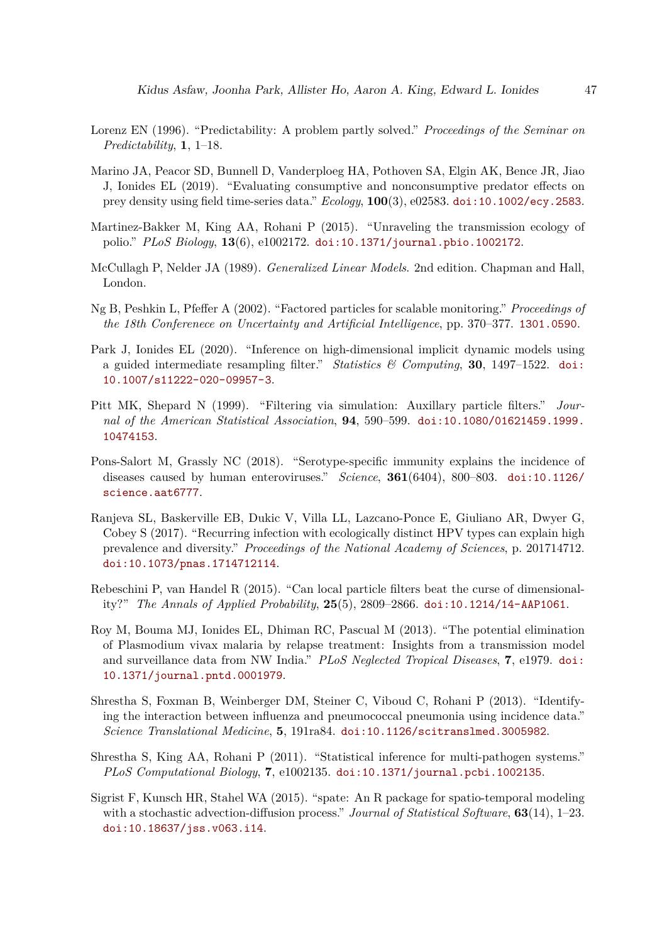- <span id="page-46-8"></span>Lorenz EN (1996). "Predictability: A problem partly solved." *Proceedings of the Seminar on Predictability*, **1**, 1–18.
- <span id="page-46-6"></span>Marino JA, Peacor SD, Bunnell D, Vanderploeg HA, Pothoven SA, Elgin AK, Bence JR, Jiao J, Ionides EL (2019). "Evaluating consumptive and nonconsumptive predator effects on prey density using field time-series data." *Ecology*, **100**(3), e02583. [doi:10.1002/ecy.2583](http://dx.doi.org/10.1002/ecy.2583).
- <span id="page-46-4"></span>Martinez-Bakker M, King AA, Rohani P (2015). "Unraveling the transmission ecology of polio." *PLoS Biology*, **13**(6), e1002172. [doi:10.1371/journal.pbio.1002172](http://dx.doi.org/10.1371/journal.pbio.1002172).
- <span id="page-46-13"></span>McCullagh P, Nelder JA (1989). *Generalized Linear Models*. 2nd edition. Chapman and Hall, London.
- <span id="page-46-12"></span>Ng B, Peshkin L, Pfeffer A (2002). "Factored particles for scalable monitoring." *Proceedings of the 18th Conferenece on Uncertainty and Artificial Intelligence*, pp. 370–377. <1301.0590>.
- <span id="page-46-9"></span>Park J, Ionides EL (2020). "Inference on high-dimensional implicit dynamic models using a guided intermediate resampling filter." *Statistics & Computing*, **30**, 1497–1522. [doi:](http://dx.doi.org/10.1007/s11222-020-09957-3) [10.1007/s11222-020-09957-3](http://dx.doi.org/10.1007/s11222-020-09957-3).
- <span id="page-46-10"></span>Pitt MK, Shepard N (1999). "Filtering via simulation: Auxillary particle filters." *Journal of the American Statistical Association*, **94**, 590–599. [doi:10.1080/01621459.1999.](http://dx.doi.org/10.1080/01621459.1999.10474153) [10474153](http://dx.doi.org/10.1080/01621459.1999.10474153).
- <span id="page-46-7"></span>Pons-Salort M, Grassly NC (2018). "Serotype-specific immunity explains the incidence of diseases caused by human enteroviruses." *Science*, **361**(6404), 800–803. [doi:10.1126/](http://dx.doi.org/10.1126/science.aat6777) [science.aat6777](http://dx.doi.org/10.1126/science.aat6777).
- <span id="page-46-5"></span>Ranjeva SL, Baskerville EB, Dukic V, Villa LL, Lazcano-Ponce E, Giuliano AR, Dwyer G, Cobey S (2017). "Recurring infection with ecologically distinct HPV types can explain high prevalence and diversity." *Proceedings of the National Academy of Sciences*, p. 201714712. [doi:10.1073/pnas.1714712114](http://dx.doi.org/10.1073/pnas.1714712114).
- <span id="page-46-11"></span>Rebeschini P, van Handel R (2015). "Can local particle filters beat the curse of dimensionality?" *The Annals of Applied Probability*, **25**(5), 2809–2866. [doi:10.1214/14-AAP1061](http://dx.doi.org/10.1214/14-AAP1061).
- <span id="page-46-3"></span>Roy M, Bouma MJ, Ionides EL, Dhiman RC, Pascual M (2013). "The potential elimination of Plasmodium vivax malaria by relapse treatment: Insights from a transmission model and surveillance data from NW India." *PLoS Neglected Tropical Diseases*, **7**, e1979. [doi:](http://dx.doi.org/10.1371/journal.pntd.0001979) [10.1371/journal.pntd.0001979](http://dx.doi.org/10.1371/journal.pntd.0001979).
- <span id="page-46-2"></span>Shrestha S, Foxman B, Weinberger DM, Steiner C, Viboud C, Rohani P (2013). "Identifying the interaction between influenza and pneumococcal pneumonia using incidence data." *Science Translational Medicine*, **5**, 191ra84. [doi:10.1126/scitranslmed.3005982](http://dx.doi.org/10.1126/scitranslmed.3005982).
- <span id="page-46-1"></span>Shrestha S, King AA, Rohani P (2011). "Statistical inference for multi-pathogen systems." *PLoS Computational Biology*, **7**, e1002135. [doi:10.1371/journal.pcbi.1002135](http://dx.doi.org/10.1371/journal.pcbi.1002135).
- <span id="page-46-0"></span>Sigrist F, Kunsch HR, Stahel WA (2015). "spate: An R package for spatio-temporal modeling with a stochastic advection-diffusion process." *Journal of Statistical Software*, **63**(14), 1–23. [doi:10.18637/jss.v063.i14](http://dx.doi.org/10.18637/jss.v063.i14).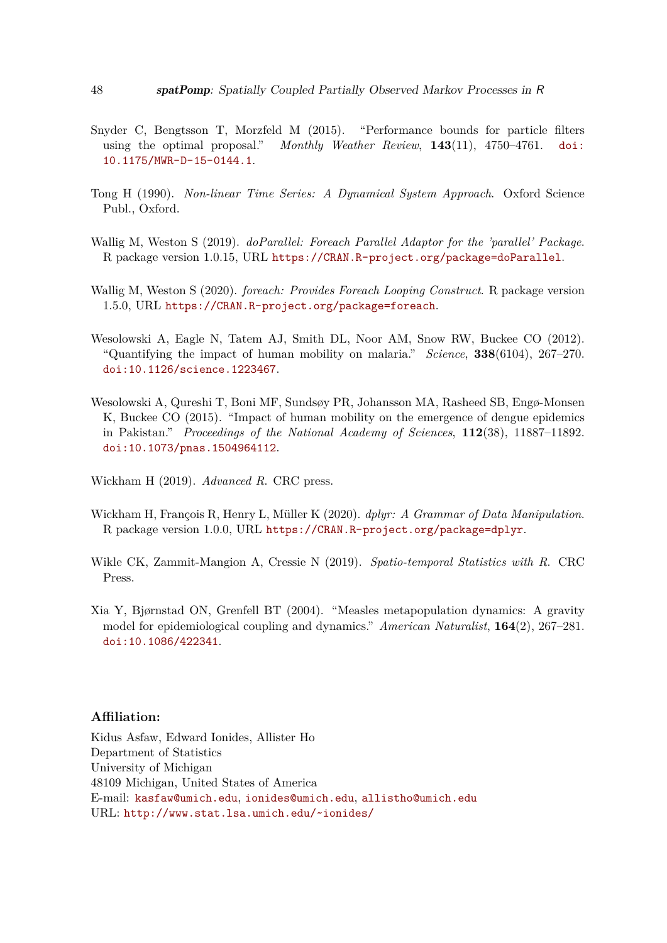- <span id="page-47-2"></span>Snyder C, Bengtsson T, Morzfeld M (2015). "Performance bounds for particle filters using the optimal proposal." *Monthly Weather Review*, **143**(11), 4750–4761. [doi:](http://dx.doi.org/10.1175/MWR-D-15-0144.1) [10.1175/MWR-D-15-0144.1](http://dx.doi.org/10.1175/MWR-D-15-0144.1).
- <span id="page-47-3"></span>Tong H (1990). *Non-linear Time Series: A Dynamical System Approach*. Oxford Science Publ., Oxford.
- <span id="page-47-5"></span>Wallig M, Weston S (2019). *doParallel: Foreach Parallel Adaptor for the 'parallel' Package*. R package version 1.0.15, URL <https://CRAN.R-project.org/package=doParallel>.
- <span id="page-47-4"></span>Wallig M, Weston S (2020). *foreach: Provides Foreach Looping Construct*. R package version 1.5.0, URL <https://CRAN.R-project.org/package=foreach>.
- <span id="page-47-8"></span>Wesolowski A, Eagle N, Tatem AJ, Smith DL, Noor AM, Snow RW, Buckee CO (2012). "Quantifying the impact of human mobility on malaria." *Science*, **338**(6104), 267–270. [doi:10.1126/science.1223467](http://dx.doi.org/10.1126/science.1223467).
- <span id="page-47-9"></span>Wesolowski A, Qureshi T, Boni MF, Sundsøy PR, Johansson MA, Rasheed SB, Engø-Monsen K, Buckee CO (2015). "Impact of human mobility on the emergence of dengue epidemics in Pakistan." *Proceedings of the National Academy of Sciences*, **112**(38), 11887–11892. [doi:10.1073/pnas.1504964112](http://dx.doi.org/10.1073/pnas.1504964112).

<span id="page-47-1"></span>Wickham H (2019). *Advanced R*. CRC press.

- <span id="page-47-6"></span>Wickham H, François R, Henry L, Müller K (2020). *dplyr: A Grammar of Data Manipulation*. R package version 1.0.0, URL <https://CRAN.R-project.org/package=dplyr>.
- <span id="page-47-0"></span>Wikle CK, Zammit-Mangion A, Cressie N (2019). *Spatio-temporal Statistics with R*. CRC Press.
- <span id="page-47-7"></span>Xia Y, Bjørnstad ON, Grenfell BT (2004). "Measles metapopulation dynamics: A gravity model for epidemiological coupling and dynamics." *American Naturalist*, **164**(2), 267–281. [doi:10.1086/422341](http://dx.doi.org/10.1086/422341).

# **Affiliation:**

Kidus Asfaw, Edward Ionides, Allister Ho Department of Statistics University of Michigan 48109 Michigan, United States of America E-mail: [kasfaw@umich.edu](mailto:kasfaw@umich.edu), [ionides@umich.edu](mailto:ionides@umich.edu), [allistho@umich.edu](mailto:allistho@umich.edu) URL: <http://www.stat.lsa.umich.edu/~ionides/>